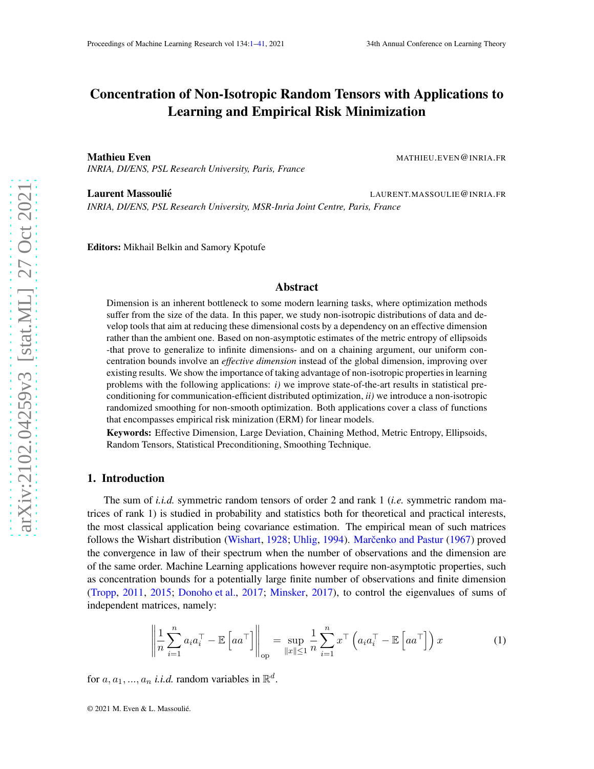# Concentration of Non-Isotropic Random Tensors with Applications to Learning and Empirical Risk Minimization

**Mathieu Even** MATHIEU.EVEN @INRIA.FR *INRIA, DI/ENS, PSL Research University, Paris, France*

Laurent Massoulié in the control of the LAURENT.MASSOULIE@INRIA.FR *INRIA, DI/ENS, PSL Research University, MSR-Inria Joint Centre, Paris, France*

Editors: Mikhail Belkin and Samory Kpotufe

## Abstract

Dimension is an inherent bottleneck to some modern learning tasks, where optimization methods suffer from the size of the data. In this paper, we study non-isotropic distributions of data and develop tools that aim at reducing these dimensional costs by a dependency on an effective dimension rather than the ambient one. Based on non-asymptotic estimates of the metric entropy of ellipsoids -that prove to generalize to infinite dimensions- and on a chaining argument, our uniform concentration bounds involve an *effective dimension* instead of the global dimension, improving over existing results. We show the importance of taking advantage of non-isotropic properties in learning problems with the following applications: *i)* we improve state-of-the-art results in statistical preconditioning for communication-efficient distributed optimization, *ii)* we introduce a non-isotropic randomized smoothing for non-smooth optimization. Both applications cover a class of functions that encompasses empirical risk minization (ERM) for linear models.

Keywords: Effective Dimension, Large Deviation, Chaining Method, Metric Entropy, Ellipsoids, Random Tensors, Statistical Preconditioning, Smoothing Technique.

## <span id="page-0-1"></span>1. Introduction

The sum of *i.i.d.* symmetric random tensors of order 2 and rank 1 (*i.e.* symmetric random matrices of rank 1) is studied in probability and statistics both for theoretical and practical interests, the most classical application being covariance estimation. The empirical mean of such matrices follows the Wishart distribution [\(Wishart](#page-15-0), [1928](#page-15-0); [Uhlig](#page-15-1), [1994](#page-15-1)). Marčenko and Pastur [\(1967](#page-14-0)) proved the convergence in law of their spectrum when the number of observations and the dimension are of the same order. Machine Learning applications however require non-asymptotic properties, such as concentration bounds for a potentially large finite number of observations and finite dimension [\(Tropp,](#page-15-2) [2011](#page-15-2), [2015](#page-15-3); [Donoho et al.](#page-13-0), [2017](#page-13-0); [Minsker,](#page-14-1) [2017](#page-14-1)), to control the eigenvalues of sums of independent matrices, namely:

<span id="page-0-0"></span>
$$
\left\| \frac{1}{n} \sum_{i=1}^{n} a_i a_i^\top - \mathbb{E} \left[ a a^\top \right] \right\|_{\text{op}} = \sup_{\|x\| \le 1} \frac{1}{n} \sum_{i=1}^{n} x^\top \left( a_i a_i^\top - \mathbb{E} \left[ a a^\top \right] \right) x \tag{1}
$$

for  $a, a_1, ..., a_n$  *i.i.d.* random variables in  $\mathbb{R}^d$ .

© 2021 M. Even & L. Massoulié.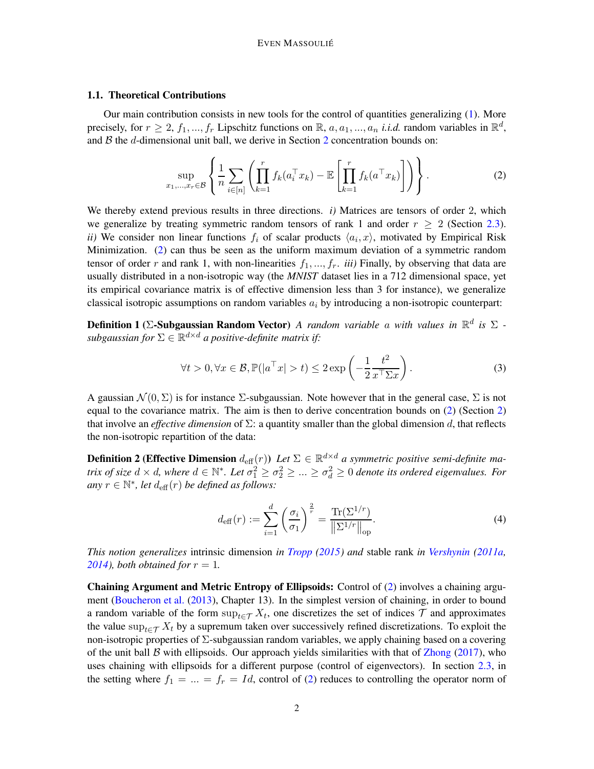### <span id="page-1-3"></span>1.1. Theoretical Contributions

Our main contribution consists in new tools for the control of quantities generalizing [\(1\)](#page-0-0). More precisely, for  $r \ge 2$ ,  $f_1, ..., f_r$  Lipschitz functions on  $\mathbb{R}$ ,  $a, a_1, ..., a_n$  *i.i.d.* random variables in  $\mathbb{R}^d$ , and  $B$  the  $d$ -dimensional unit ball, we derive in Section [2](#page-3-0) concentration bounds on:

<span id="page-1-0"></span>
$$
\sup_{x_1,\ldots,x_r\in\mathcal{B}}\left\{\frac{1}{n}\sum_{i\in[n]}\left(\prod_{k=1}^rf_k(a_i^\top x_k)-\mathbb{E}\left[\prod_{k=1}^rf_k(a^\top x_k)\right]\right)\right\}.
$$
 (2)

We thereby extend previous results in three directions. *i*) Matrices are tensors of order 2, which we generalize by treating symmetric random tensors of rank 1 and order  $r \geq 2$  (Section [2.3\)](#page-4-0). *ii*) We consider non linear functions  $f_i$  of scalar products  $\langle a_i, x \rangle$ , motivated by Empirical Risk Minimization. [\(2\)](#page-1-0) can thus be seen as the uniform maximum deviation of a symmetric random tensor of order r and rank 1, with non-linearities  $f_1, ..., f_r$ . *iii*) Finally, by observing that data are usually distributed in a non-isotropic way (the *MNIST* dataset lies in a 712 dimensional space, yet its empirical covariance matrix is of effective dimension less than 3 for instance), we generalize classical isotropic assumptions on random variables  $a_i$  by introducing a non-isotropic counterpart:

Definition 1 (Σ-Subgaussian Random Vector) *A random variable* a *with values in* R d *is* Σ *-*  $\mathit{subgaussian}$  for  $\Sigma \in \mathbb{R}^{d \times d}$  a positive-definite matrix if:

<span id="page-1-2"></span>
$$
\forall t > 0, \forall x \in \mathcal{B}, \mathbb{P}(|a^{\top}x| > t) \le 2 \exp\left(-\frac{1}{2} \frac{t^2}{x^{\top} \Sigma x}\right).
$$
 (3)

A gaussian  $\mathcal{N}(0, \Sigma)$  is for instance  $\Sigma$ -subgaussian. Note however that in the general case,  $\Sigma$  is not equal to the covariance matrix. The aim is then to derive concentration bounds on [\(2\)](#page-1-0) (Section [2\)](#page-3-0) that involve an *effective dimension* of  $\Sigma$ : a quantity smaller than the global dimension d, that reflects the non-isotropic repartition of the data:

**Definition 2 (Effective Dimension**  $d_{\text{eff}}(r)$ ) Let  $\Sigma \in \mathbb{R}^{d \times d}$  a symmetric positive semi-definite ma*trix of size*  $d \times d$ , where  $d \in \mathbb{N}^*$ . Let  $\sigma_1^2 \geq \sigma_2^2 \geq ... \geq \sigma_d^2 \geq 0$  denote its ordered eigenvalues. For  $any \ r \in \mathbb{N}^*$ , let  $d_{\text{eff}}(r)$  *be defined as follows:* 

<span id="page-1-1"></span>
$$
d_{\text{eff}}(r) := \sum_{i=1}^{d} \left(\frac{\sigma_i}{\sigma_1}\right)^{\frac{2}{r}} = \frac{\text{Tr}(\Sigma^{1/r})}{\|\Sigma^{1/r}\|_{\text{op}}}.
$$
 (4)

*This notion generalizes* intrinsic dimension *in [Tropp](#page-15-3) [\(2015](#page-15-3)) and* stable rank *in [Vershynin](#page-15-4) [\(2011a](#page-15-4), 2014), both obtained for*  $r = 1$ *.* 

Chaining Argument and Metric Entropy of Ellipsoids: Control of [\(2\)](#page-1-0) involves a chaining argument [\(Boucheron et al.](#page-13-1) [\(2013\)](#page-13-1), Chapter 13). In the simplest version of chaining, in order to bound a random variable of the form  $\sup_{t \in \mathcal{T}} X_t$ , one discretizes the set of indices  $\mathcal{T}$  and approximates the value sup $_{t\in\mathcal{T}} X_t$  by a supremum taken over successively refined discretizations. To exploit the non-isotropic properties of  $\Sigma$ -subgaussian random variables, we apply chaining based on a covering of the unit ball  $\beta$  with ellipsoids. Our approach yields similarities with that of [Zhong](#page-16-0) [\(2017\)](#page-16-0), who uses chaining with ellipsoids for a different purpose (control of eigenvectors). In section [2.3,](#page-4-0) in the setting where  $f_1 = ... = f_r = Id$ , control of [\(2\)](#page-1-0) reduces to controlling the operator norm of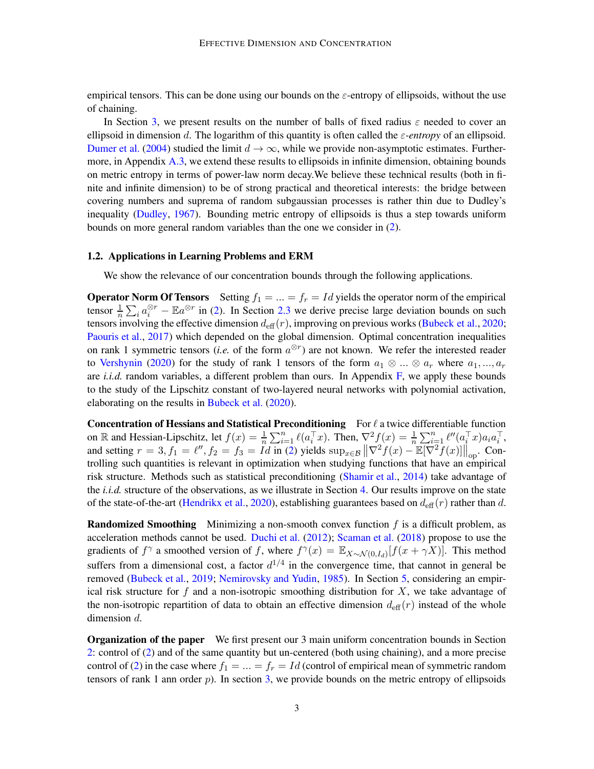empirical tensors. This can be done using our bounds on the  $\varepsilon$ -entropy of ellipsoids, without the use of chaining.

In Section [3,](#page-5-0) we present results on the number of balls of fixed radius  $\varepsilon$  needed to cover an ellipsoid in dimension d. The logarithm of this quantity is often called the  $\varepsilon$ -entropy of an ellipsoid. [Dumer et al.](#page-14-2) [\(2004](#page-14-2)) studied the limit  $d \to \infty$ , while we provide non-asymptotic estimates. Furthermore, in Appendix [A.3,](#page-21-0) we extend these results to ellipsoids in infinite dimension, obtaining bounds on metric entropy in terms of power-law norm decay.We believe these technical results (both in finite and infinite dimension) to be of strong practical and theoretical interests: the bridge between covering numbers and suprema of random subgaussian processes is rather thin due to Dudley's inequality [\(Dudley,](#page-14-3) [1967](#page-14-3)). Bounding metric entropy of ellipsoids is thus a step towards uniform bounds on more general random variables than the one we consider in [\(2\)](#page-1-0).

# <span id="page-2-0"></span>1.2. Applications in Learning Problems and ERM

We show the relevance of our concentration bounds through the following applications.

**Operator Norm Of Tensors** Setting  $f_1 = ... = f_r = Id$  yields the operator norm of the empirical tensor  $\frac{1}{n} \sum_i a_i^{\otimes r} - \mathbb{E}a^{\otimes r}$  in [\(2\)](#page-1-0). In Section [2.3](#page-4-0) we derive precise large deviation bounds on such tensors involving the effective dimension  $d_{\text{eff}}(r)$ , improving on previous works [\(Bubeck et al.](#page-13-2), [2020](#page-13-2); [Paouris et al.](#page-15-6), [2017](#page-15-6)) which depended on the global dimension. Optimal concentration inequalities on rank 1 symmetric tensors (*i.e.* of the form  $a^{\otimes r}$ ) are not known. We refer the interested reader to [Vershynin](#page-15-7) [\(2020\)](#page-15-7) for the study of rank 1 tensors of the form  $a_1 \otimes ... \otimes a_r$  where  $a_1, ..., a_r$ are *i.i.d.* random variables, a different problem than ours. In Appendix [F,](#page-38-0) we apply these bounds to the study of the Lipschitz constant of two-layered neural networks with polynomial activation, elaborating on the results in [Bubeck et al.](#page-13-2) [\(2020](#page-13-2)).

**Concentration of Hessians and Statistical Preconditioning** For  $\ell$  a twice differentiable function on R and Hessian-Lipschitz, let  $f(x) = \frac{1}{n} \sum_{i=1}^n \ell(a_i^\top x)$ . Then,  $\nabla^2 f(x) = \frac{1}{n} \sum_{i=1}^n \ell''(a_i^\top x) a_i a_i^\top$ , and setting  $r = 3, f_1 = \ell'', f_2 = f_3 = Id$  in [\(2\)](#page-1-0) yields  $\sup_{x \in \mathcal{B}} \left\| \nabla^2 f(x) - \mathbb{E}[\nabla^2 f(x)] \right\|_{\text{op}}$ . Controlling such quantities is relevant in optimization when studying functions that have an empirical risk structure. Methods such as statistical preconditioning [\(Shamir et al.](#page-15-8), [2014](#page-15-8)) take advantage of the *i.i.d.* structure of the observations, as we illustrate in Section [4.](#page-8-0) Our results improve on the state of the state-of-the-art [\(Hendrikx et al.](#page-14-4), [2020](#page-14-4)), establishing guarantees based on  $d_{\text{eff}}(r)$  rather than d.

**Randomized Smoothing** Minimizing a non-smooth convex function  $f$  is a difficult problem, as acceleration methods cannot be used. [Duchi et al.](#page-14-5) [\(2012](#page-14-5)); [Scaman et al.](#page-15-9) [\(2018\)](#page-15-9) propose to use the gradients of  $f^{\gamma}$  a smoothed version of f, where  $f^{\gamma}(x) = \mathbb{E}_{X \sim \mathcal{N}(0, I_d)}[f(x + \gamma X)].$  This method suffers from a dimensional cost, a factor  $d^{1/4}$  in the convergence time, that cannot in general be removed [\(Bubeck et al.](#page-13-3), [2019](#page-13-3); [Nemirovsky and Yudin,](#page-15-10) [1985](#page-15-10)). In Section [5,](#page-11-0) considering an empirical risk structure for f and a non-isotropic smoothing distribution for X, we take advantage of the non-isotropic repartition of data to obtain an effective dimension  $d_{\text{eff}}(r)$  instead of the whole dimension d.

Organization of the paper We first present our 3 main uniform concentration bounds in Section [2:](#page-3-0) control of [\(2\)](#page-1-0) and of the same quantity but un-centered (both using chaining), and a more precise control of [\(2\)](#page-1-0) in the case where  $f_1 = \ldots = f_r = Id$  (control of empirical mean of symmetric random tensors of rank 1 ann order  $p$ ). In section [3,](#page-5-0) we provide bounds on the metric entropy of ellipsoids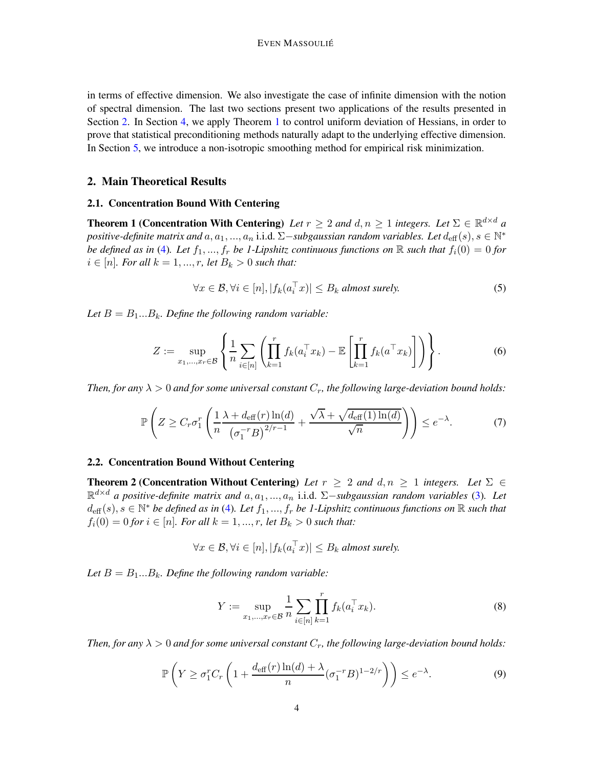in terms of effective dimension. We also investigate the case of infinite dimension with the notion of spectral dimension. The last two sections present two applications of the results presented in Section [2.](#page-3-0) In Section [4,](#page-8-0) we apply Theorem [1](#page-3-1) to control uniform deviation of Hessians, in order to prove that statistical preconditioning methods naturally adapt to the underlying effective dimension. In Section [5,](#page-11-0) we introduce a non-isotropic smoothing method for empirical risk minimization.

# <span id="page-3-5"></span><span id="page-3-0"></span>2. Main Theoretical Results

# <span id="page-3-1"></span>2.1. Concentration Bound With Centering

**Theorem 1 (Concentration With Centering)** Let  $r \geq 2$  and  $d, n \geq 1$  integers. Let  $\Sigma \in \mathbb{R}^{d \times d}$  a positive-definite matrix and  $a, a_1, ..., a_n$  i.i.d. ∑−*subgaussian random variables. Let*  $d_{\text{eff}}(s), s \in \mathbb{N}^*$ *be defined as in* [\(4\)](#page-1-1). Let  $f_1, ..., f_r$  *be 1-Lipshitz continuous functions on* R *such that*  $f_i(0) = 0$  *for i* ∈ [*n*]*. For all*  $k = 1, ..., r$ *, let*  $B_k > 0$  *such that:* 

<span id="page-3-2"></span>
$$
\forall x \in \mathcal{B}, \forall i \in [n], |f_k(a_i^\top x)| \le B_k \text{ almost surely.}
$$
 (5)

*Let*  $B = B_1...B_k$ *. Define the following random variable:* 

<span id="page-3-3"></span>
$$
Z := \sup_{x_1, \dots, x_r \in \mathcal{B}} \left\{ \frac{1}{n} \sum_{i \in [n]} \left( \prod_{k=1}^r f_k(a_i^\top x_k) - \mathbb{E} \left[ \prod_{k=1}^r f_k(a^\top x_k) \right] \right) \right\}.
$$
 (6)

*Then, for any*  $\lambda > 0$  *and for some universal constant*  $C_r$ *, the following large-deviation bound holds:* 

$$
\mathbb{P}\left(Z \geq C_r \sigma_1^r \left(\frac{1}{n} \frac{\lambda + d_{\text{eff}}(r) \ln(d)}{\left(\sigma_1^{-r} B\right)^{2/r-1}} + \frac{\sqrt{\lambda} + \sqrt{d_{\text{eff}}(1) \ln(d)}}{\sqrt{n}}\right)\right) \leq e^{-\lambda}.\tag{7}
$$

#### <span id="page-3-6"></span><span id="page-3-4"></span>2.2. Concentration Bound Without Centering

**Theorem 2 (Concentration Without Centering)** Let  $r \geq 2$  and  $d, n \geq 1$  integers. Let  $\Sigma \in$ R <sup>d</sup>×<sup>d</sup> *a positive-definite matrix and* a, a1, ..., a<sup>n</sup> i.i.d. <sup>Σ</sup>−*subgaussian random variables* [\(3\)](#page-1-2)*. Let*  $d_{\text{eff}}(s), s \in \mathbb{N}^*$  *be defined as in* [\(4\)](#page-1-1). Let  $f_1, ..., f_r$  *be 1-Lipshitz continuous functions on*  $\mathbb R$  *such that*  $f_i(0) = 0$  *for*  $i \in [n]$ *. For all*  $k = 1, ..., r$ *, let*  $B_k > 0$  *such that:* 

$$
\forall x \in \mathcal{B}, \forall i \in [n], |f_k(a_i^{\top} x)| \leq B_k \text{ almost surely.}
$$

Let  $B = B_1...B_k$ *. Define the following random variable:* 

<span id="page-3-8"></span>
$$
Y := \sup_{x_1, \dots, x_r \in \mathcal{B}} \frac{1}{n} \sum_{i \in [n]} \prod_{k=1}^r f_k(a_i^\top x_k).
$$
 (8)

<span id="page-3-7"></span>*Then, for any*  $\lambda > 0$  *and for some universal constant*  $C_r$ , the following large-deviation bound holds:

$$
\mathbb{P}\left(Y \ge \sigma_1^r C_r \left(1 + \frac{d_{\text{eff}}(r)\ln(d) + \lambda}{n} (\sigma_1^{-r} B)^{1 - 2/r}\right)\right) \le e^{-\lambda}.\tag{9}
$$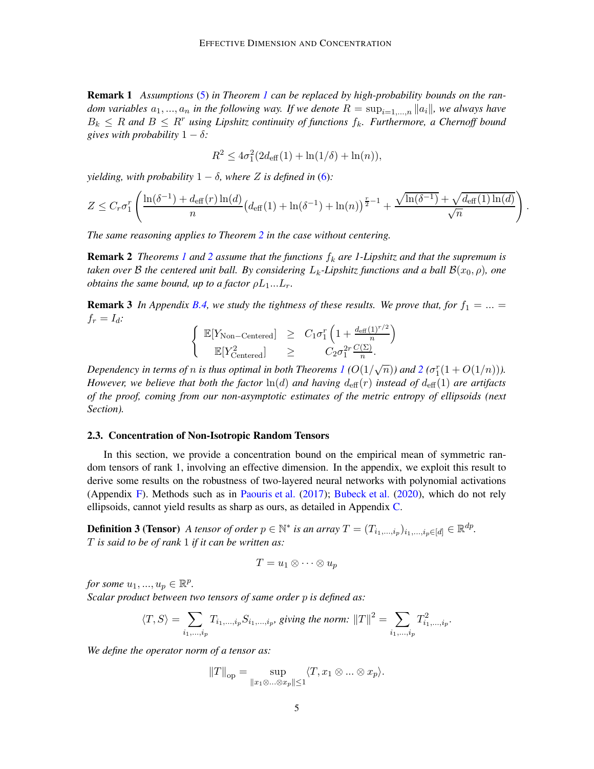Remark 1 *Assumptions* [\(5\)](#page-3-2) *in Theorem [1](#page-3-1) can be replaced by high-probability bounds on the random variables*  $a_1, ..., a_n$  *in the following way. If we denote*  $R = \sup_{i=1,...,n} ||a_i||$ *, we always have*  $B_k \leq R$  and  $B \leq R^r$  using Lipshitz continuity of functions  $f_k$ . Furthermore, a Chernoff bound *gives with probability*  $1 - \delta$ *:* 

$$
R^2 \le 4\sigma_1^2(2d_{\text{eff}}(1) + \ln(1/\delta) + \ln(n)),
$$

*yielding, with probability*  $1 - \delta$ *, where* Z *is defined in* [\(6\)](#page-3-3):

$$
Z \leq C_r \sigma_1^r \left( \frac{\ln(\delta^{-1}) + d_{\text{eff}}(r) \ln(d)}{n} \left( d_{\text{eff}}(1) + \ln(\delta^{-1}) + \ln(n) \right)^{\frac{r}{2}-1} + \frac{\sqrt{\ln(\delta^{-1})} + \sqrt{d_{\text{eff}}(1) \ln(d)}}{\sqrt{n}} \right).
$$

*The same reasoning applies to Theorem [2](#page-3-4) in the case without centering.*

**Remark [2](#page-3-4)** *Theorems [1](#page-3-1) and* 2 *assume that the functions*  $f_k$  *are 1-Lipshitz and that the supremum is taken over* B *the centered unit ball. By considering*  $L_k$ -Lipshitz functions and a ball  $\mathcal{B}(x_0, \rho)$ , one *obtains the same bound, up to a factor*  $\rho L_1...L_r$ .

**Remark 3** In Appendix [B.4,](#page-28-0) we study the tightness of these results. We prove that, for  $f_1 = ... =$  $f_r = I_d$ :

$$
\begin{cases}\n\mathbb{E}[Y_{\text{Non-Centered}}] & \geq C_1 \sigma_1^r \left(1 + \frac{d_{\text{eff}}(1)^{r/2}}{n}\right) \\
\mathbb{E}[Y_{\text{Centered}}^2] & \geq C_2 \sigma_1^{2r} \frac{C(\Sigma)}{n}.\n\end{cases}
$$

Dependency in terms of  $n$  is thus optimal in both Theorems  $I$  ( $O(1/\sqrt{n})$  $O(1/\sqrt{n})$  $O(1/\sqrt{n})$ ) and  $2$  ( $\sigma_1^r(1+O(1/n))$ ). *However, we believe that both the factor*  $\ln(d)$  *and having*  $d_{\text{eff}}(r)$  *instead of*  $d_{\text{eff}}(1)$  *are artifacts of the proof, coming from our non-asymptotic estimates of the metric entropy of ellipsoids (next Section).*

#### <span id="page-4-0"></span>2.3. Concentration of Non-Isotropic Random Tensors

In this section, we provide a concentration bound on the empirical mean of symmetric random tensors of rank 1, involving an effective dimension. In the appendix, we exploit this result to derive some results on the robustness of two-layered neural networks with polynomial activations (Appendix [F\)](#page-38-0). Methods such as in [Paouris et al.](#page-15-6) [\(2017](#page-15-6)); [Bubeck et al.](#page-13-2) [\(2020](#page-13-2)), which do not rely ellipsoids, cannot yield results as sharp as ours, as detailed in Appendix [C.](#page-29-0)

**Definition 3 (Tensor)** *A tensor of order*  $p \in \mathbb{N}^*$  *is an array*  $T = (T_{i_1,\ldots,i_p})_{i_1,\ldots,i_p \in [d]} \in \mathbb{R}^{dp}$ . T *is said to be of rank* 1 *if it can be written as:*

$$
T = u_1 \otimes \cdots \otimes u_p
$$

*for some*  $u_1, ..., u_p \in \mathbb{R}^p$ . *Scalar product between two tensors of same order* p *is defined as:*

$$
\langle T, S \rangle = \sum_{i_1, ..., i_p} T_{i_1, ..., i_p} S_{i_1, ..., i_p}, \text{ giving the norm: } ||T||^2 = \sum_{i_1, ..., i_p} T_{i_1, ..., i_p}^2.
$$

*We define the operator norm of a tensor as:*

$$
||T||_{\text{op}} = \sup_{||x_1 \otimes ... \otimes x_p|| \le 1} \langle T, x_1 \otimes ... \otimes x_p \rangle.
$$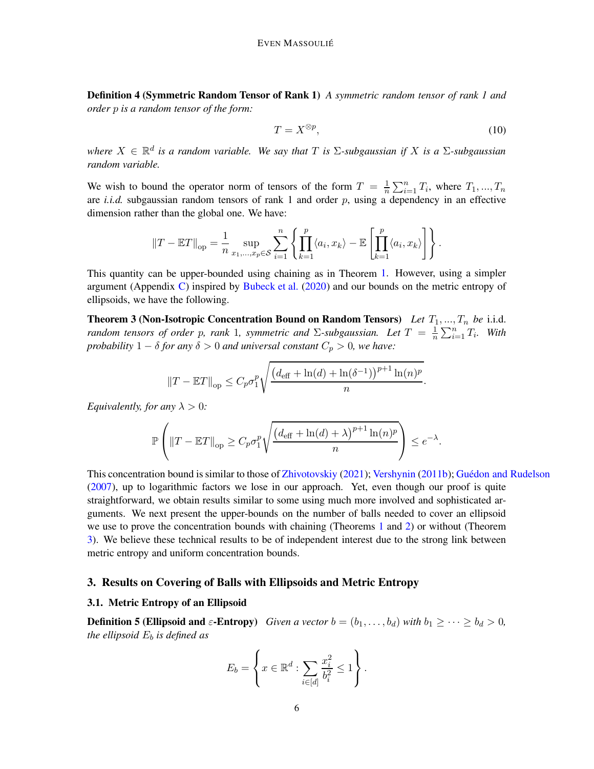Definition 4 (Symmetric Random Tensor of Rank 1) *A symmetric random tensor of rank 1 and order* p *is a random tensor of the form:*

$$
T = X^{\otimes p},\tag{10}
$$

*where*  $X \in \mathbb{R}^d$  *is a random variable. We say that*  $T$  *is*  $\Sigma$ -subgaussian *if*  $X$  *is a*  $\Sigma$ -subgaussian *random variable.*

We wish to bound the operator norm of tensors of the form  $T = \frac{1}{n}$  $\frac{1}{n} \sum_{i=1}^{n} T_i$ , where  $T_1, ..., T_n$ are *i.i.d.* subgaussian random tensors of rank 1 and order p, using a dependency in an effective dimension rather than the global one. We have:

$$
||T - \mathbb{E}T||_{op} = \frac{1}{n} \sup_{x_1, \dots, x_p \in \mathcal{S}} \sum_{i=1}^n \left\{ \prod_{k=1}^p \langle a_i, x_k \rangle - \mathbb{E} \left[ \prod_{k=1}^p \langle a_i, x_k \rangle \right] \right\}.
$$

This quantity can be upper-bounded using chaining as in Theorem [1.](#page-3-1) However, using a simpler argument (Appendix [C\)](#page-29-0) inspired by [Bubeck et al.](#page-13-2) [\(2020](#page-13-2)) and our bounds on the metric entropy of ellipsoids, we have the following.

**Theorem 3 (Non-Isotropic Concentration Bound on Random Tensors)** *Let*  $T_1, ..., T_n$  *be* i.i.d. *random tensors of order p, rank* 1*, symmetric and*  $\Sigma$ -subgaussian. Let  $T = \frac{1}{n}$  $\frac{1}{n} \sum_{i=1}^n T_i$ . With *probability*  $1 - \delta$  *for any*  $\delta > 0$  *and universal constant*  $C_p > 0$ *, we have:* 

<span id="page-5-1"></span>
$$
||T - \mathbb{E}T||_{op} \leq C_p \sigma_1^p \sqrt{\frac{(d_{\text{eff}} + \ln(d) + \ln(\delta^{-1}))^{p+1} \ln(n)^p}{n}}
$$
.

*Equivalently, for any*  $\lambda > 0$ *:* 

$$
\mathbb{P}\left(\left\|T-\mathbb{E}T\right\|_{\text{op}} \geq C_p \sigma_1^p \sqrt{\frac{\left(d_{\text{eff}}+\ln(d)+\lambda\right)^{p+1}\ln(n)^p}{n}}\right) \leq e^{-\lambda}.
$$

This concentration bound is similar to those of [Zhivotovskiy](#page-15-11) [\(2021\)](#page-15-11); [Vershynin](#page-15-12) [\(2011b\)](#page-15-12); Guédon and Rudelson [\(2007](#page-14-6)), up to logarithmic factors we lose in our approach. Yet, even though our proof is quite straightforward, we obtain results similar to some using much more involved and sophisticated arguments. We next present the upper-bounds on the number of balls needed to cover an ellipsoid we use to prove the concentration bounds with chaining (Theorems [1](#page-3-1) and [2\)](#page-3-4) or without (Theorem [3\)](#page-5-1). We believe these technical results to be of independent interest due to the strong link between metric entropy and uniform concentration bounds.

# <span id="page-5-3"></span><span id="page-5-0"></span>3. Results on Covering of Balls with Ellipsoids and Metric Entropy

# <span id="page-5-2"></span>3.1. Metric Entropy of an Ellipsoid

**Definition 5 (Ellipsoid and**  $\varepsilon$ -Entropy) *Given a vector*  $b = (b_1, \ldots, b_d)$  *with*  $b_1 \geq \cdots \geq b_d > 0$ *, the ellipsoid*  $E_b$  *is defined as* 

$$
E_b = \left\{ x \in \mathbb{R}^d : \sum_{i \in [d]} \frac{x_i^2}{b_i^2} \le 1 \right\}.
$$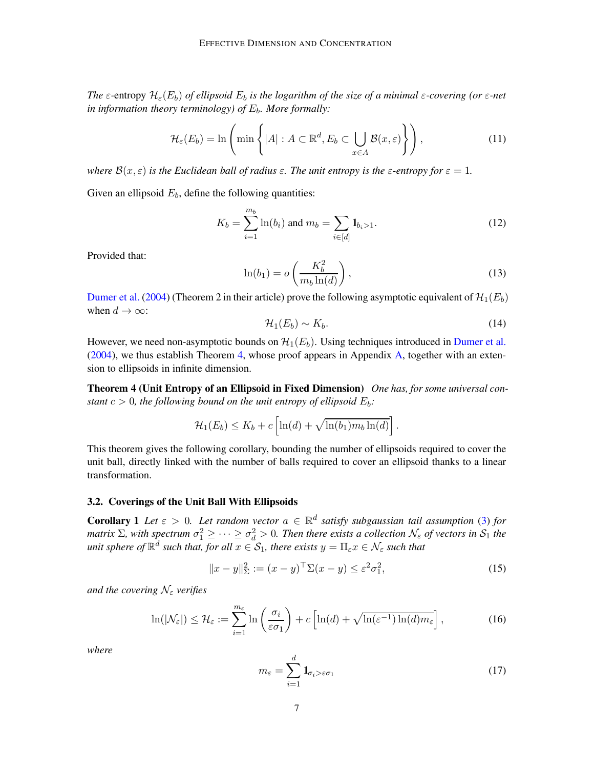*The*  $\varepsilon$ -entropy  $\mathcal{H}_{\varepsilon}(E_b)$  *of ellipsoid*  $E_b$  *is the logarithm of the size of a minimal*  $\varepsilon$ -covering (or  $\varepsilon$ -net *in information theory terminology) of*  $E_b$ *. More formally:* 

$$
\mathcal{H}_{\varepsilon}(E_b) = \ln\left(\min\left\{|A| : A \subset \mathbb{R}^d, E_b \subset \bigcup_{x \in A} \mathcal{B}(x,\varepsilon)\right\}\right),\tag{11}
$$

*where*  $\mathcal{B}(x,\varepsilon)$  *is the Euclidean ball of radius*  $\varepsilon$ *. The unit entropy is the*  $\varepsilon$ *-entropy for*  $\varepsilon = 1$ *.* 

Given an ellipsoid  $E_b$ , define the following quantities:

$$
K_b = \sum_{i=1}^{m_b} \ln(b_i) \text{ and } m_b = \sum_{i \in [d]} \mathbf{1}_{b_i > 1}.\tag{12}
$$

Provided that:

<span id="page-6-1"></span>
$$
\ln(b_1) = o\left(\frac{K_b^2}{m_b \ln(d)}\right),\tag{13}
$$

[Dumer et al.](#page-14-2) [\(2004](#page-14-2)) (Theorem 2 in their article) prove the following asymptotic equivalent of  $\mathcal{H}_1(E_b)$ when  $d \to \infty$ :

<span id="page-6-0"></span>
$$
\mathcal{H}_1(E_b) \sim K_b. \tag{14}
$$

However, we need non-asymptotic bounds on  $\mathcal{H}_1(E_b)$ . Using techniques introduced in [Dumer et al.](#page-14-2) [\(2004](#page-14-2)), we thus establish Theorem [4,](#page-6-0) whose proof appears in Appendix [A,](#page-17-0) together with an extension to ellipsoids in infinite dimension.

Theorem 4 (Unit Entropy of an Ellipsoid in Fixed Dimension) *One has, for some universal constant*  $c > 0$ *, the following bound on the unit entropy of ellipsoid*  $E<sub>b</sub>$ *:* 

$$
\mathcal{H}_1(E_b) \leq K_b + c \left[ \ln(d) + \sqrt{\ln(b_1) m_b \ln(d)} \right].
$$

This theorem gives the following corollary, bounding the number of ellipsoids required to cover the unit ball, directly linked with the number of balls required to cover an ellipsoid thanks to a linear transformation.

## <span id="page-6-3"></span><span id="page-6-2"></span>3.2. Coverings of the Unit Ball With Ellipsoids

**Corollary 1** Let  $\varepsilon > 0$ . Let random vector  $a \in \mathbb{R}^d$  satisfy subgaussian tail assumption [\(3\)](#page-1-2) for *matrix*  $\Sigma$ , with spectrum  $\sigma_1^2 \geq \cdots \geq \sigma_d^2 > 0$ . Then there exists a collection  $\mathcal{N}_{\varepsilon}$  of vectors in  $\mathcal{S}_1$  the  $u$ nit sphere of  $\mathbb{R}^d$  such that, for all  $x \in \mathcal{S}_1$ , there exists  $y = \Pi_\varepsilon x \in \mathcal{N}_\varepsilon$  such that

<span id="page-6-4"></span>
$$
||x - y||_{\Sigma}^{2} := (x - y)^{\top} \Sigma (x - y) \le \varepsilon^{2} \sigma_{1}^{2},
$$
\n(15)

*and the covering*  $\mathcal{N}_{\varepsilon}$  *verifies* 

<span id="page-6-5"></span>
$$
\ln(|\mathcal{N}_{\varepsilon}|) \leq \mathcal{H}_{\varepsilon} := \sum_{i=1}^{m_{\varepsilon}} \ln\left(\frac{\sigma_i}{\varepsilon \sigma_1}\right) + c \left[ \ln(d) + \sqrt{\ln(\varepsilon^{-1}) \ln(d) m_{\varepsilon}} \right],\tag{16}
$$

*where*

$$
m_{\varepsilon} = \sum_{i=1}^{d} \mathbf{1}_{\sigma_i > \varepsilon \sigma_1}
$$
 (17)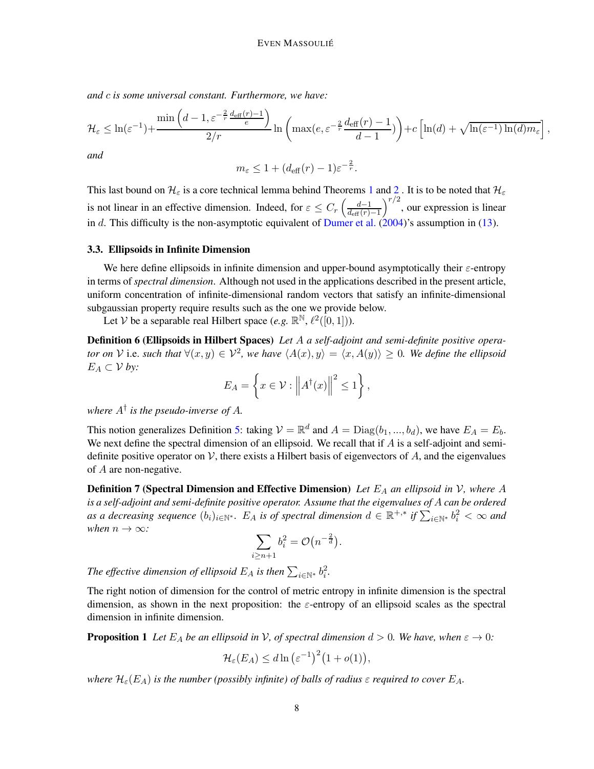*and* c *is some universal constant. Furthermore, we have:*

$$
\mathcal{H}_{\varepsilon} \leq \ln(\varepsilon^{-1}) + \frac{\min\left(d-1,\varepsilon^{-\frac{2}{r}}\frac{d_{\text{eff}}(r)-1}{\varepsilon}\right)}{2/r} \ln\left(\max(e,\varepsilon^{-\frac{2}{r}}\frac{d_{\text{eff}}(r)-1}{d-1})\right) + c\left[\ln(d) + \sqrt{\ln(\varepsilon^{-1})\ln(d)m_{\varepsilon}}\right]
$$

,

*and*

$$
m_{\varepsilon} \le 1 + (d_{\text{eff}}(r) - 1)\varepsilon^{-\frac{2}{r}}.
$$

This last bound on  $H_{\varepsilon}$  is a core technical lemma behind Theorems [1](#page-3-1) and [2](#page-3-4). It is to be noted that  $H_{\varepsilon}$ is not linear in an effective dimension. Indeed, for  $\varepsilon \leq C_r \left( \frac{d-1}{d_{\text{eff}}(r)} \right)$  $d_{\text{eff}}(r)-1$  $\int^{r/2}$ , our expression is linear in d. This difficulty is the non-asymptotic equivalent of [Dumer et al.](#page-14-2) [\(2004](#page-14-2))'s assumption in [\(13\)](#page-6-1).

#### <span id="page-7-0"></span>3.3. Ellipsoids in Infinite Dimension

We here define ellipsoids in infinite dimension and upper-bound asymptotically their  $\varepsilon$ -entropy in terms of *spectral dimension*. Although not used in the applications described in the present article, uniform concentration of infinite-dimensional random vectors that satisfy an infinite-dimensional subgaussian property require results such as the one we provide below.

Let V be a separable real Hilbert space  $(e.g. \mathbb{R}^{\mathbb{N}}, \ell^2([0,1]))$ .

Definition 6 (Ellipsoids in Hilbert Spaces) *Let* A *a self-adjoint and semi-definite positive operator on*  $V$  i.e. *such that*  $\forall (x, y) \in V^2$ , we have  $\langle A(x), y \rangle = \langle x, A(y) \rangle \ge 0$ . We define the ellipsoid  $E_A \subset V$  by:

$$
E_A = \left\{ x \in \mathcal{V} : \left\| A^\dagger(x) \right\|^2 \le 1 \right\},\
$$

*where* A† *is the pseudo-inverse of* A*.*

This notion generalizes Definition [5:](#page-5-2) taking  $V = \mathbb{R}^d$  and  $A = \text{Diag}(b_1, ..., b_d)$ , we have  $E_A = E_b$ . We next define the spectral dimension of an ellipsoid. We recall that if  $A$  is a self-adjoint and semidefinite positive operator on V, there exists a Hilbert basis of eigenvectors of A, and the eigenvalues of A are non-negative.

**Definition 7 (Spectral Dimension and Effective Dimension)** Let  $E_A$  an ellipsoid in V, where A *is a self-adjoint and semi-definite positive operator. Assume that the eigenvalues of* A *can be ordered* as a decreasing sequence  $(b_i)_{i\in\mathbb{N}^*}$ . E<sub>A</sub> is of spectral dimension  $d \in \mathbb{R}^{+,*}$  if  $\sum_{i\in\mathbb{N}^*} b_i^2 < \infty$  and *when*  $n \to \infty$ *:* 

$$
\sum_{i\geq n+1}b_i^2=\mathcal{O}\big(n^{-\frac{2}{d}}\big).
$$

The effective dimension of ellipsoid  $E_A$  is then  $\sum_{i\in\mathbb{N}^*}b_i^2$ .

The right notion of dimension for the control of metric entropy in infinite dimension is the spectral dimension, as shown in the next proposition: the  $\varepsilon$ -entropy of an ellipsoid scales as the spectral dimension in infinite dimension.

**Proposition 1** Let  $E_A$  be an ellipsoid in V, of spectral dimension  $d > 0$ . We have, when  $\varepsilon \to 0$ :

$$
\mathcal{H}_{\varepsilon}(E_A) \leq d \ln \left( \varepsilon^{-1} \right)^2 \left( 1 + o(1) \right),
$$

*where*  $\mathcal{H}_{\varepsilon}(E_A)$  *is the number (possibly infinite) of balls of radius*  $\varepsilon$  *required to cover*  $E_A$ .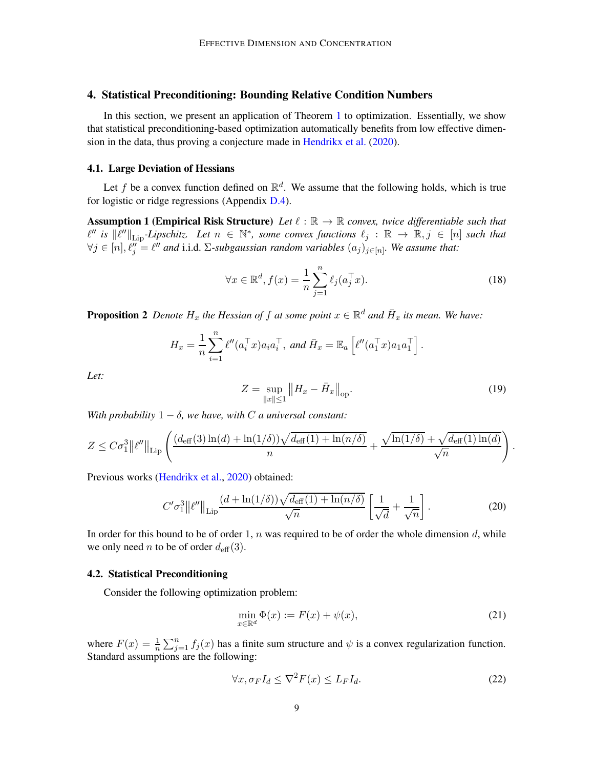# <span id="page-8-0"></span>4. Statistical Preconditioning: Bounding Relative Condition Numbers

In this section, we present an application of Theorem [1](#page-3-1) to optimization. Essentially, we show that statistical preconditioning-based optimization automatically benefits from low effective dimension in the data, thus proving a conjecture made in [Hendrikx et al.](#page-14-4) [\(2020\)](#page-14-4).

#### <span id="page-8-3"></span>4.1. Large Deviation of Hessians

Let f be a convex function defined on  $\mathbb{R}^d$ . We assume that the following holds, which is true for logistic or ridge regressions (Appendix [D.4\)](#page-35-0).

**Assumption 1 (Empirical Risk Structure)** Let  $\ell : \mathbb{R} \to \mathbb{R}$  convex, twice differentiable such that  $\ell''$  is  $\|\ell''\|_{\text{Lip}}$ -Lipschitz. Let  $n \in \mathbb{N}^*$ , some convex functions  $\ell_j : \mathbb{R} \to \mathbb{R}, j \in [n]$  such that  $\forall j \in [n], \ell''_j = \ell''$  and i.i.d. ∑-subgaussian random variables  $(a_j)_{j \in [n]}$ . We assume that:

<span id="page-8-2"></span>
$$
\forall x \in \mathbb{R}^d, f(x) = \frac{1}{n} \sum_{j=1}^n \ell_j(a_j^\top x). \tag{18}
$$

<span id="page-8-1"></span>**Proposition 2** Denote  $H_x$  the Hessian of f at some point  $x \in \mathbb{R}^d$  and  $\bar{H}_x$  its mean. We have:

$$
H_x = \frac{1}{n} \sum_{i=1}^n \ell''(a_i^\top x) a_i a_i^\top, \text{ and } \bar{H}_x = \mathbb{E}_a \left[ \ell''(a_1^\top x) a_1 a_1^\top \right].
$$

*Let:*

$$
Z = \sup_{\|x\| \le 1} \|H_x - \bar{H}_x\|_{\text{op}}.\tag{19}
$$

.

*With probability*  $1 - \delta$ *, we have, with C a universal constant:* 

$$
Z \leq C\sigma_1^3 \|\ell''\|_{\text{Lip}} \left( \frac{(d_{\text{eff}}(3)\ln(d) + \ln(1/\delta))\sqrt{d_{\text{eff}}(1) + \ln(n/\delta)}}{n} + \frac{\sqrt{\ln(1/\delta)} + \sqrt{d_{\text{eff}}(1)\ln(d)}}{\sqrt{n}} \right)
$$

Previous works [\(Hendrikx et al.,](#page-14-4) [2020\)](#page-14-4) obtained:

$$
C'\sigma_1^3 \|\ell''\|_{\text{Lip}} \frac{(d + \ln(1/\delta))\sqrt{d_{\text{eff}}(1) + \ln(n/\delta)}}{\sqrt{n}} \left[\frac{1}{\sqrt{d}} + \frac{1}{\sqrt{n}}\right].
$$
 (20)

In order for this bound to be of order 1,  $n$  was required to be of order the whole dimension  $d$ , while we only need *n* to be of order  $d_{\text{eff}}(3)$ .

#### <span id="page-8-4"></span>4.2. Statistical Preconditioning

Consider the following optimization problem:

$$
\min_{x \in \mathbb{R}^d} \Phi(x) := F(x) + \psi(x),\tag{21}
$$

where  $F(x) = \frac{1}{n} \sum_{j=1}^{n} f_j(x)$  has a finite sum structure and  $\psi$  is a convex regularization function. Standard assumptions are the following:

$$
\forall x, \sigma_F I_d \le \nabla^2 F(x) \le L_F I_d. \tag{22}
$$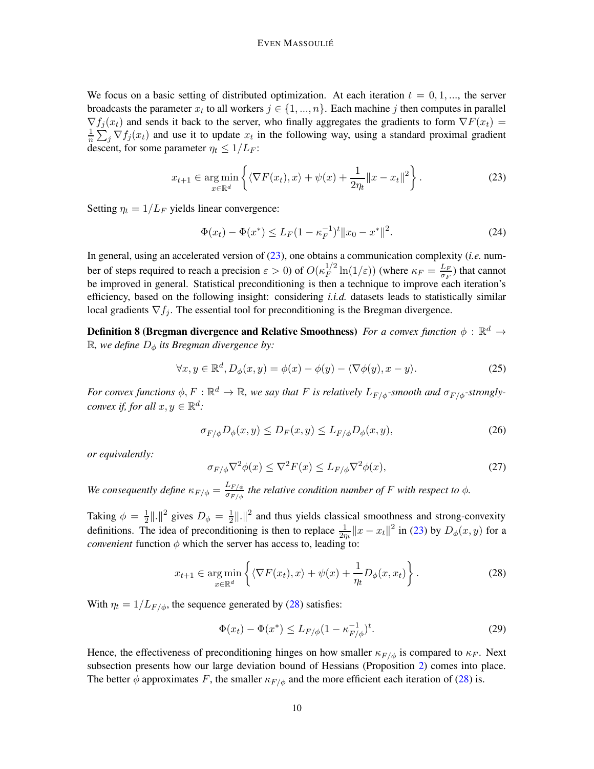We focus on a basic setting of distributed optimization. At each iteration  $t = 0, 1, \dots$ , the server broadcasts the parameter  $x_t$  to all workers  $j \in \{1, ..., n\}$ . Each machine j then computes in parallel  $\nabla f_j(x_t)$  and sends it back to the server, who finally aggregates the gradients to form  $\nabla F(x_t)$  = 1  $\frac{1}{n} \sum_j \nabla f_j(x_t)$  and use it to update  $x_t$  in the following way, using a standard proximal gradient descent, for some parameter  $\eta_t \leq 1/L_F$ :

<span id="page-9-0"></span>
$$
x_{t+1} \in \underset{x \in \mathbb{R}^d}{\arg \min} \left\{ \langle \nabla F(x_t), x \rangle + \psi(x) + \frac{1}{2\eta_t} ||x - x_t||^2 \right\}.
$$
 (23)

Setting  $\eta_t = 1/L_F$  yields linear convergence:

$$
\Phi(x_t) - \Phi(x^*) \le L_F (1 - \kappa_F^{-1})^t \|x_0 - x^*\|^2. \tag{24}
$$

In general, using an accelerated version of [\(23\)](#page-9-0), one obtains a communication complexity (*i.e.* number of steps required to reach a precision  $\varepsilon > 0$ ) of  $O(\kappa_F^{1/2})$  $\frac{1}{F}$   $\ln(1/\varepsilon)$ ) (where  $\kappa_F = \frac{L_F}{\sigma_F}$  $\frac{L_F}{\sigma_F}$ ) that cannot be improved in general. Statistical preconditioning is then a technique to improve each iteration's efficiency, based on the following insight: considering *i.i.d.* datasets leads to statistically similar local gradients  $\nabla f_i$ . The essential tool for preconditioning is the Bregman divergence.

Definition 8 (Bregman divergence and Relative Smoothness) *For a convex function*  $\phi$  :  $\mathbb{R}^d$   $\rightarrow$  $\mathbb{R}$ *, we define*  $D_{\phi}$  *its Bregman divergence by:* 

$$
\forall x, y \in \mathbb{R}^d, D_{\phi}(x, y) = \phi(x) - \phi(y) - \langle \nabla \phi(y), x - y \rangle.
$$
 (25)

*For convex functions*  $\phi, F : \mathbb{R}^d \to \mathbb{R}$ *, we say that F is relatively*  $L_{F/\phi}$ *-smooth and*  $\sigma_{F/\phi}$ *-stronglyconvex if, for all*  $x, y \in \mathbb{R}^d$ *:* 

$$
\sigma_{F/\phi} D_{\phi}(x, y) \le D_F(x, y) \le L_{F/\phi} D_{\phi}(x, y),\tag{26}
$$

*or equivalently:*

$$
\sigma_{F/\phi} \nabla^2 \phi(x) \le \nabla^2 F(x) \le L_{F/\phi} \nabla^2 \phi(x),\tag{27}
$$

*We consequently define*  $\kappa_{F/\phi} = \frac{L_{F/\phi}}{\sigma_{F/\phi}}$  $\frac{dE_F/\phi}{dE_F/\phi}$  the relative condition number of F with respect to  $\phi$ .

Taking  $\phi = \frac{1}{2}$  $\frac{1}{2}$ ||.||<sup>2</sup> gives  $D_{\phi} = \frac{1}{2}$  $\frac{1}{2}$ ||.||<sup>2</sup> and thus yields classical smoothness and strong-convexity definitions. The idea of preconditioning is then to replace  $\frac{1}{2n} ||x - x_t||^2$  in [\(23\)](#page-9-0) by  $D_{\phi}(x, y)$  for a *convenient* function  $\phi$  which the server has access to, leading to:

<span id="page-9-1"></span>
$$
x_{t+1} \in \underset{x \in \mathbb{R}^d}{\arg \min} \left\{ \langle \nabla F(x_t), x \rangle + \psi(x) + \frac{1}{\eta_t} D_{\phi}(x, x_t) \right\}.
$$
 (28)

With  $\eta_t = 1/L_{F/\phi}$ , the sequence generated by [\(28\)](#page-9-1) satisfies:

<span id="page-9-2"></span>
$$
\Phi(x_t) - \Phi(x^*) \le L_{F/\phi} (1 - \kappa_{F/\phi}^{-1})^t. \tag{29}
$$

Hence, the effectiveness of preconditioning hinges on how smaller  $\kappa_{F/\phi}$  is compared to  $\kappa_F$ . Next subsection presents how our large deviation bound of Hessians (Proposition [2\)](#page-8-1) comes into place. The better  $\phi$  approximates F, the smaller  $\kappa_{F/\phi}$  and the more efficient each iteration of [\(28\)](#page-9-1) is.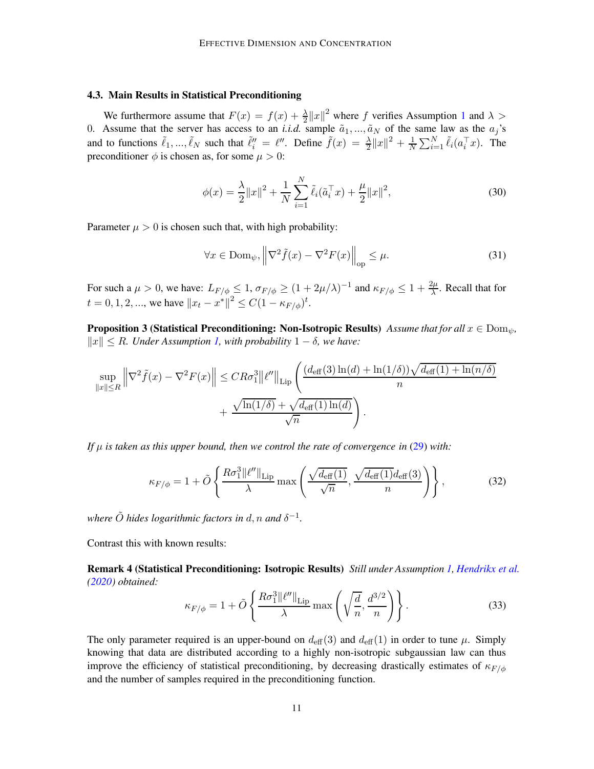## <span id="page-10-1"></span>4.3. Main Results in Statistical Preconditioning

We furthermore assume that  $F(x) = f(x) + \frac{\lambda}{2} ||x||^2$  where f verifies Assumption [1](#page-8-2) and  $\lambda >$ 0. Assume that the server has access to an *i.i.d.* sample  $\tilde{a}_1, ..., \tilde{a}_N$  of the same law as the  $a_j$ 's and to functions  $\tilde{\ell}_1, ..., \tilde{\ell}_N$  such that  $\tilde{\ell}_i'' = \ell''$ . Define  $\tilde{f}(x) = \frac{\lambda}{2} ||x||^2 + \frac{1}{N} \sum_{i=1}^N \tilde{\ell}_i (a_i^\top x)$ . The preconditioner  $\phi$  is chosen as, for some  $\mu > 0$ :

$$
\phi(x) = \frac{\lambda}{2} ||x||^2 + \frac{1}{N} \sum_{i=1}^{N} \tilde{\ell}_i(\tilde{a}_i^{\top} x) + \frac{\mu}{2} ||x||^2,
$$
\n(30)

Parameter  $\mu > 0$  is chosen such that, with high probability:

<span id="page-10-0"></span>
$$
\forall x \in \text{Dom}_{\psi}, \left\| \nabla^2 \tilde{f}(x) - \nabla^2 F(x) \right\|_{\text{op}} \le \mu. \tag{31}
$$

For such a  $\mu > 0$ , we have:  $L_{F/\phi} \leq 1$ ,  $\sigma_{F/\phi} \geq (1 + 2\mu/\lambda)^{-1}$  and  $\kappa_{F/\phi} \leq 1 + \frac{2\mu}{\lambda}$ . Recall that for  $t = 0, 1, 2, ...,$  we have  $||x_t - x^*||^2 \le C(1 - \kappa_{F/\phi})^t$ .

**Proposition 3 (Statistical Preconditioning: Non-Isotropic Results)** *Assume that for all*  $x \in \text{Dom}_{\psi}$ ,  $||x||$  ≤ R. Under Assumption [1,](#page-8-2) with probability 1 − δ, we have:

$$
\sup_{\|x\| \le R} \left\| \nabla^2 \tilde{f}(x) - \nabla^2 F(x) \right\| \le CR\sigma_1^3 \|\ell''\|_{\text{Lip}} \left( \frac{(d_{\text{eff}}(3)\ln(d) + \ln(1/\delta))\sqrt{d_{\text{eff}}(1) + \ln(n/\delta)}}{n} + \frac{\sqrt{\ln(1/\delta)} + \sqrt{d_{\text{eff}}(1)\ln(d)}}{\sqrt{n}} \right).
$$

*If*  $\mu$  *is taken as this upper bound, then we control the rate of convergence in* [\(29\)](#page-9-2) *with:* 

$$
\kappa_{F/\phi} = 1 + \tilde{O}\left\{ \frac{R\sigma_1^3 \|\ell''\|_{\text{Lip}}}{\lambda} \max\left(\frac{\sqrt{d_{\text{eff}}(1)}}{\sqrt{n}}, \frac{\sqrt{d_{\text{eff}}(1)}d_{\text{eff}}(3)}{n}\right) \right\},\tag{32}
$$

where  $\tilde{O}$  hides logarithmic factors in  $d,n$  and  $\delta^{-1}.$ 

Contrast this with known results:

Remark 4 (Statistical Preconditioning: Isotropic Results) *Still under Assumption [1,](#page-8-2) [Hendrikx et al.](#page-14-4) [\(2020](#page-14-4)) obtained:*

$$
\kappa_{F/\phi} = 1 + \tilde{O}\left\{ \frac{R\sigma_1^3 \|\ell''\|_{\text{Lip}}}{\lambda} \max\left(\sqrt{\frac{d}{n}}, \frac{d^{3/2}}{n}\right) \right\}.
$$
 (33)

The only parameter required is an upper-bound on  $d_{\text{eff}}(3)$  and  $d_{\text{eff}}(1)$  in order to tune  $\mu$ . Simply knowing that data are distributed according to a highly non-isotropic subgaussian law can thus improve the efficiency of statistical preconditioning, by decreasing drastically estimates of  $\kappa_{F/\phi}$ and the number of samples required in the preconditioning function.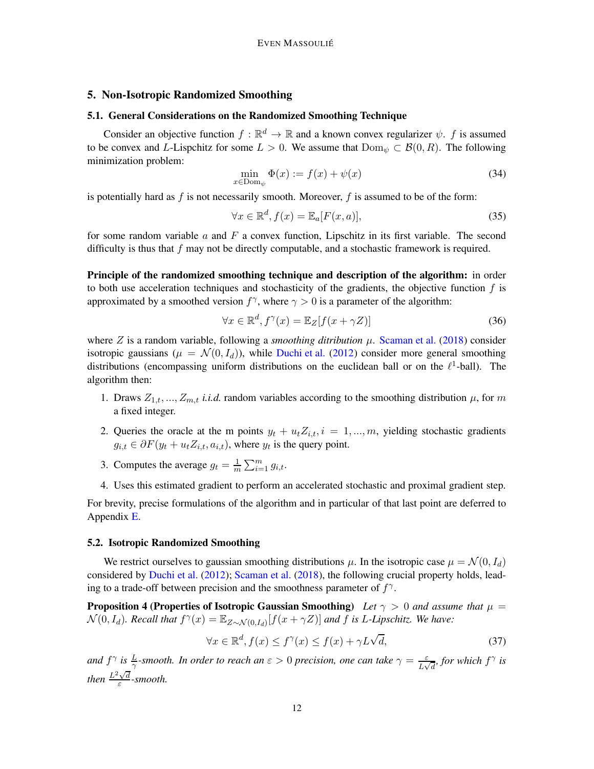# <span id="page-11-4"></span><span id="page-11-0"></span>5. Non-Isotropic Randomized Smoothing

## 5.1. General Considerations on the Randomized Smoothing Technique

Consider an objective function  $f : \mathbb{R}^d \to \mathbb{R}$  and a known convex regularizer  $\psi$ . f is assumed to be convex and L-Lispchitz for some  $L > 0$ . We assume that  $Dom_{\psi} \subset \mathcal{B}(0, R)$ . The following minimization problem:

$$
\min_{x \in \text{Dom}_{\psi}} \Phi(x) := f(x) + \psi(x) \tag{34}
$$

is potentially hard as  $f$  is not necessarily smooth. Moreover,  $f$  is assumed to be of the form:

<span id="page-11-2"></span>
$$
\forall x \in \mathbb{R}^d, f(x) = \mathbb{E}_a[F(x, a)],\tag{35}
$$

for some random variable  $a$  and  $F$  a convex function, Lipschitz in its first variable. The second difficulty is thus that  $f$  may not be directly computable, and a stochastic framework is required.

Principle of the randomized smoothing technique and description of the algorithm: in order to both use acceleration techniques and stochasticity of the gradients, the objective function  $f$  is approximated by a smoothed version  $f^{\gamma}$ , where  $\gamma > 0$  is a parameter of the algorithm:

$$
\forall x \in \mathbb{R}^d, f^{\gamma}(x) = \mathbb{E}_Z[f(x + \gamma Z)] \tag{36}
$$

where  $Z$  is a random variable, following a *smoothing ditribution*  $\mu$ . [Scaman et al.](#page-15-9) [\(2018](#page-15-9)) consider isotropic gaussians ( $\mu = \mathcal{N}(0, I_d)$ ), while [Duchi et al.](#page-14-5) [\(2012](#page-14-5)) consider more general smoothing distributions (encompassing uniform distributions on the euclidean ball or on the  $\ell^1$ -ball). The algorithm then:

- 1. Draws  $Z_{1,t},..., Z_{m,t}$  *i.i.d.* random variables according to the smoothing distribution  $\mu$ , for m a fixed integer.
- 2. Queries the oracle at the m points  $y_t + u_t Z_{i,t}$ ,  $i = 1, ..., m$ , yielding stochastic gradients  $g_{i,t} \in \partial F(y_t + u_t Z_{i,t}, a_{i,t})$ , where  $y_t$  is the query point.
- 3. Computes the average  $g_t = \frac{1}{m} \sum_{i=1}^m g_{i,t}$ .
- 4. Uses this estimated gradient to perform an accelerated stochastic and proximal gradient step.

For brevity, precise formulations of the algorithm and in particular of that last point are deferred to Appendix [E.](#page-35-1)

#### <span id="page-11-5"></span>5.2. Isotropic Randomized Smoothing

We restrict ourselves to gaussian smoothing distributions  $\mu$ . In the isotropic case  $\mu = \mathcal{N}(0, I_d)$ considered by [Duchi et al.](#page-14-5) [\(2012](#page-14-5)); [Scaman et al.](#page-15-9) [\(2018](#page-15-9)), the following crucial property holds, leading to a trade-off between precision and the smoothness parameter of  $f^{\gamma}$ .

**Proposition 4 (Properties of Isotropic Gaussian Smoothing)** Let  $\gamma > 0$  and assume that  $\mu =$  $\mathcal{N}(0, I_d)$ . Recall that  $f^{\gamma}(x) = \mathbb{E}_{Z \sim \mathcal{N}(0, I_d)}[f(x + \gamma Z)]$  and f is L-Lipschitz. We have:

<span id="page-11-3"></span>
$$
\forall x \in \mathbb{R}^d, f(x) \le f^\gamma(x) \le f(x) + \gamma L \sqrt{d},\tag{37}
$$

<span id="page-11-1"></span>and  $f^{\gamma}$  is  $\frac{L}{\gamma}$ -smooth. In order to reach an  $\varepsilon > 0$  precision, one can take  $\gamma = \frac{\varepsilon}{L\sqrt{d}}$ , for which  $f^{\gamma}$  is *then*  $\frac{L^2\sqrt{d}}{g}$ ε *-smooth.*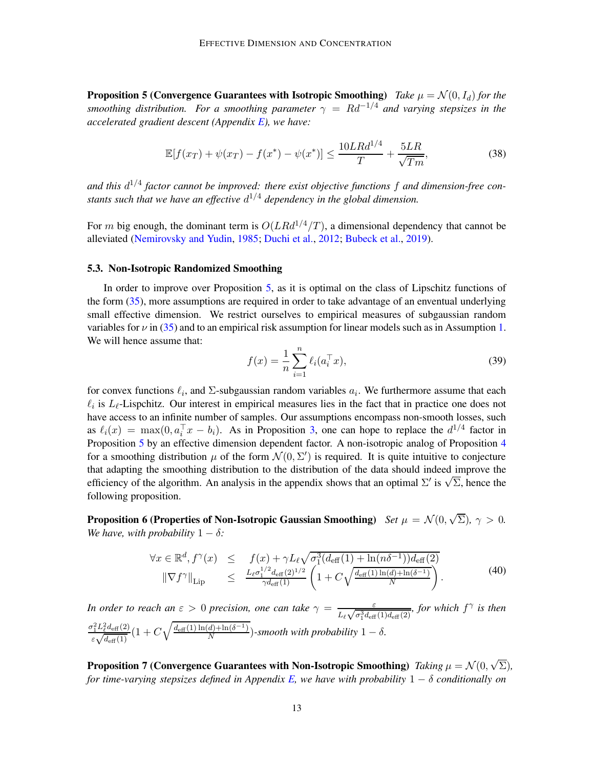**Proposition 5 (Convergence Guarantees with Isotropic Smoothing)** *Take*  $\mu = \mathcal{N}(0, I_d)$  *for the smoothing distribution. For a smoothing parameter*  $\gamma = Rd^{-1/4}$  *and varying stepsizes in the accelerated gradient descent (Appendix [E\)](#page-35-1), we have:*

<span id="page-12-1"></span>
$$
\mathbb{E}[f(x_T) + \psi(x_T) - f(x^*) - \psi(x^*)] \le \frac{10LRd^{1/4}}{T} + \frac{5LR}{\sqrt{Tm}},\tag{38}
$$

*and this* d 1/4 *factor cannot be improved: there exist objective functions* f *and dimension-free constants such that we have an effective* d <sup>1</sup>/<sup>4</sup> *dependency in the global dimension.*

For m big enough, the dominant term is  $O(LRd^{1/4}/T)$ , a dimensional dependency that cannot be alleviated [\(Nemirovsky and Yudin](#page-15-10), [1985](#page-15-10); [Duchi et al.](#page-14-5), [2012](#page-14-5); [Bubeck et al.](#page-13-3), [2019](#page-13-3)).

#### <span id="page-12-2"></span>5.3. Non-Isotropic Randomized Smoothing

In order to improve over Proposition [5,](#page-11-1) as it is optimal on the class of Lipschitz functions of the form [\(35\)](#page-11-2), more assumptions are required in order to take advantage of an enventual underlying small effective dimension. We restrict ourselves to empirical measures of subgaussian random variables for  $\nu$  in [\(35\)](#page-11-2) and to an empirical risk assumption for linear models such as in Assumption [1.](#page-8-2) We will hence assume that:

$$
f(x) = \frac{1}{n} \sum_{i=1}^{n} \ell_i(a_i^{\top} x),
$$
\n(39)

for convex functions  $\ell_i$ , and  $\Sigma$ -subgaussian random variables  $a_i$ . We furthermore assume that each  $\ell_i$  is  $L_{\ell}$ -Lispchitz. Our interest in empirical measures lies in the fact that in practice one does not have access to an infinite number of samples. Our assumptions encompass non-smooth losses, such as  $\ell_i(x) = \max(0, a_i^{\top} x - b_i)$ . As in Proposition [3,](#page-10-0) one can hope to replace the  $d^{1/4}$  factor in Proposition [5](#page-11-1) by an effective dimension dependent factor. A non-isotropic analog of Proposition [4](#page-11-3) for a smoothing distribution  $\mu$  of the form  $\mathcal{N}(0, \Sigma')$  is required. It is quite intuitive to conjecture that adapting the smoothing distribution to the distribution of the data should indeed improve the efficiency of the algorithm. An analysis in the appendix shows that an optimal  $\Sigma'$  is  $\sqrt{\Sigma}$ , hence the following proposition.

**Proposition 6 (Properties of Non-Isotropic Gaussian Smoothing)** *Set*  $\mu = \mathcal{N}(0, \sqrt{\Sigma})$ ,  $\gamma > 0$ . *We have, with probability*  $1 - \delta$ *:* 

<span id="page-12-3"></span><span id="page-12-0"></span>
$$
\forall x \in \mathbb{R}^d, f^{\gamma}(x) \leq f(x) + \gamma L_{\ell} \sqrt{\sigma_1^3 (d_{\text{eff}}(1) + \ln(n\delta^{-1})) d_{\text{eff}}(2)}
$$
  

$$
\|\nabla f^{\gamma}\|_{\text{Lip}} \leq \frac{L_{\ell} \sigma_1^{1/2} d_{\text{eff}}(2)^{1/2}}{\gamma d_{\text{eff}}(1)} \left(1 + C \sqrt{\frac{d_{\text{eff}}(1) \ln(d) + \ln(\delta^{-1})}{N}}\right).
$$
 (40)

*In order to reach an*  $\varepsilon > 0$  *precision, one can take*  $\gamma = \frac{\varepsilon}{\sqrt{3}}$  $\frac{\varepsilon}{L_{\ell}\sqrt{\sigma_1^3d_{\text{eff}}(1)d_{\text{eff}}(2)}}$ , for which  $f^{\gamma}$  is then  $\sigma_1^2 L_\ell^2 d_{\text{eff}}(2)$  $\frac{r_1^2L_\ell^2d_{\text{eff}}(2)}{\varepsilon\sqrt{d_{\text{eff}}(1)}}(1+C\sqrt{\frac{d_{\text{eff}}(1)\ln(d)+\ln(\delta^{-1})}{N}})$  $\frac{a_{j+1}a_{j+1}+b_{j}}{N}$  -smooth with probability  $1-\delta$ .

<span id="page-12-4"></span>Proposition 7 (Convergence Guarantees with Non-Isotropic Smoothing) *Taking*  $\mu = \mathcal{N}(0, \sqrt{\Sigma})$ , *for time-varying stepsizes defined in Appendix [E,](#page-35-1) we have with probability* 1 − δ *conditionally on*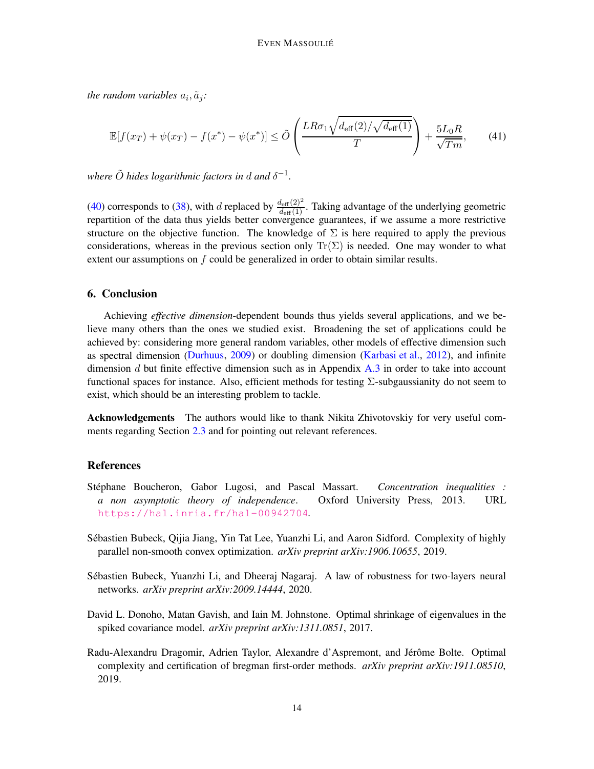*the random variables*  $a_i$ ,  $\tilde{a}_j$ :

$$
\mathbb{E}[f(x_T) + \psi(x_T) - f(x^*) - \psi(x^*)] \le \tilde{O}\left(\frac{LR\sigma_1\sqrt{d_{\text{eff}}(2)/\sqrt{d_{\text{eff}}(1)}}}{T}\right) + \frac{5L_0R}{\sqrt{Tm}},\tag{41}
$$

where  $\tilde{O}$  *hides logarithmic factors in*  $d$  *and*  $\delta^{-1}$ .

[\(40\)](#page-12-0) corresponds to [\(38\)](#page-12-1), with d replaced by  $\frac{d_{\text{eff}}(2)^2}{d_{\text{eff}}(1)}$ . Taking advantage of the underlying geometric repartition of the data thus yields better convergence guarantees, if we assume a more restrictive structure on the objective function. The knowledge of  $\Sigma$  is here required to apply the previous considerations, whereas in the previous section only  $Tr(\Sigma)$  is needed. One may wonder to what extent our assumptions on  $f$  could be generalized in order to obtain similar results.

# <span id="page-13-4"></span>6. Conclusion

Achieving *effective dimension*-dependent bounds thus yields several applications, and we believe many others than the ones we studied exist. Broadening the set of applications could be achieved by: considering more general random variables, other models of effective dimension such as spectral dimension [\(Durhuus](#page-14-7), [2009](#page-14-7)) or doubling dimension [\(Karbasi et al.,](#page-14-8) [2012](#page-14-8)), and infinite dimension  $d$  but finite effective dimension such as in Appendix  $A.3$  in order to take into account functional spaces for instance. Also, efficient methods for testing  $\Sigma$ -subgaussianity do not seem to exist, which should be an interesting problem to tackle.

Acknowledgements The authors would like to thank Nikita Zhivotovskiy for very useful com-ments regarding Section [2.3](#page-4-0) and for pointing out relevant references.

## References

- <span id="page-13-1"></span>St´ephane Boucheron, Gabor Lugosi, and Pascal Massart. *Concentration inequalities : a non asymptotic theory of independence*. Oxford University Press, 2013. URL <https://hal.inria.fr/hal-00942704>.
- <span id="page-13-3"></span>Sébastien Bubeck, Qijia Jiang, Yin Tat Lee, Yuanzhi Li, and Aaron Sidford. Complexity of highly parallel non-smooth convex optimization. *arXiv preprint arXiv:1906.10655*, 2019.
- <span id="page-13-2"></span>Sébastien Bubeck, Yuanzhi Li, and Dheeraj Nagaraj. A law of robustness for two-layers neural networks. *arXiv preprint arXiv:2009.14444*, 2020.
- <span id="page-13-0"></span>David L. Donoho, Matan Gavish, and Iain M. Johnstone. Optimal shrinkage of eigenvalues in the spiked covariance model. *arXiv preprint arXiv:1311.0851*, 2017.
- <span id="page-13-5"></span>Radu-Alexandru Dragomir, Adrien Taylor, Alexandre d'Aspremont, and Jérôme Bolte. Optimal complexity and certification of bregman first-order methods. *arXiv preprint arXiv:1911.08510*, 2019.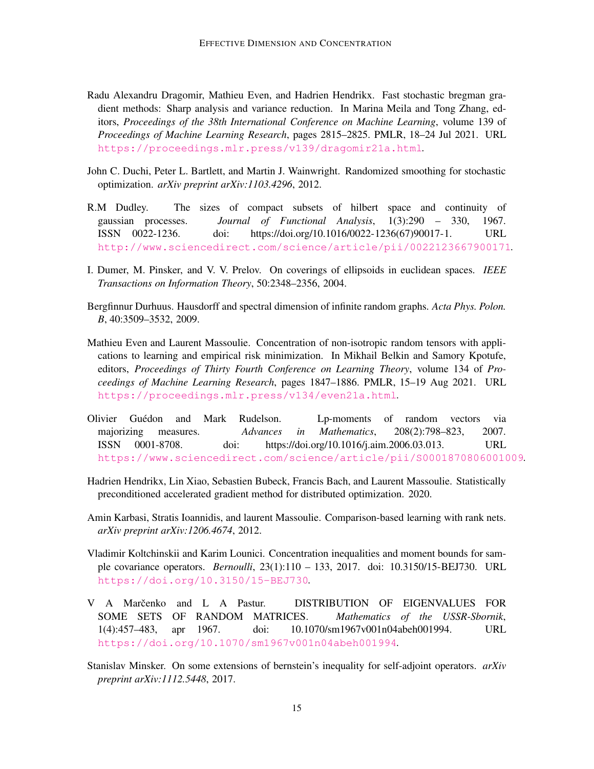- <span id="page-14-10"></span>Radu Alexandru Dragomir, Mathieu Even, and Hadrien Hendrikx. Fast stochastic bregman gradient methods: Sharp analysis and variance reduction. In Marina Meila and Tong Zhang, editors, *Proceedings of the 38th International Conference on Machine Learning*, volume 139 of *Proceedings of Machine Learning Research*, pages 2815–2825. PMLR, 18–24 Jul 2021. URL <https://proceedings.mlr.press/v139/dragomir21a.html>.
- <span id="page-14-5"></span>John C. Duchi, Peter L. Bartlett, and Martin J. Wainwright. Randomized smoothing for stochastic optimization. *arXiv preprint arXiv:1103.4296*, 2012.
- <span id="page-14-3"></span>R.M Dudley. The sizes of compact subsets of hilbert space and continuity of gaussian processes. *Journal of Functional Analysis*, 1(3):290 – 330, 1967. ISSN 0022-1236. doi: https://doi.org/10.1016/0022-1236(67)90017-1. URL <http://www.sciencedirect.com/science/article/pii/0022123667900171>.
- <span id="page-14-2"></span>I. Dumer, M. Pinsker, and V. V. Prelov. On coverings of ellipsoids in euclidean spaces. *IEEE Transactions on Information Theory*, 50:2348–2356, 2004.
- <span id="page-14-7"></span>Bergfinnur Durhuus. Hausdorff and spectral dimension of infinite random graphs. *Acta Phys. Polon. B*, 40:3509–3532, 2009.
- <span id="page-14-9"></span>Mathieu Even and Laurent Massoulie. Concentration of non-isotropic random tensors with applications to learning and empirical risk minimization. In Mikhail Belkin and Samory Kpotufe, editors, *Proceedings of Thirty Fourth Conference on Learning Theory*, volume 134 of *Proceedings of Machine Learning Research*, pages 1847–1886. PMLR, 15–19 Aug 2021. URL <https://proceedings.mlr.press/v134/even21a.html>.
- <span id="page-14-6"></span>Olivier Gu´edon and Mark Rudelson. Lp-moments of random vectors via majorizing measures. *Advances in Mathematics*, 208(2):798–823, 2007. ISSN 0001-8708. doi: https://doi.org/10.1016/j.aim.2006.03.013. URL <https://www.sciencedirect.com/science/article/pii/S0001870806001009>.
- <span id="page-14-4"></span>Hadrien Hendrikx, Lin Xiao, Sebastien Bubeck, Francis Bach, and Laurent Massoulie. Statistically preconditioned accelerated gradient method for distributed optimization. 2020.
- <span id="page-14-8"></span>Amin Karbasi, Stratis Ioannidis, and laurent Massoulie. Comparison-based learning with rank nets. *arXiv preprint arXiv:1206.4674*, 2012.
- Vladimir Koltchinskii and Karim Lounici. Concentration inequalities and moment bounds for sample covariance operators. *Bernoulli*, 23(1):110 – 133, 2017. doi: 10.3150/15-BEJ730. URL <https://doi.org/10.3150/15-BEJ730>.
- <span id="page-14-0"></span>V A Marčenko and L A Pastur. DISTRIBUTION OF EIGENVALUES FOR SOME SETS OF RANDOM MATRICES. *Mathematics of the USSR-Sbornik*, 1(4):457–483, apr 1967. doi: 10.1070/sm1967v001n04abeh001994. URL <https://doi.org/10.1070/sm1967v001n04abeh001994>.
- <span id="page-14-1"></span>Stanislav Minsker. On some extensions of bernstein's inequality for self-adjoint operators. *arXiv preprint arXiv:1112.5448*, 2017.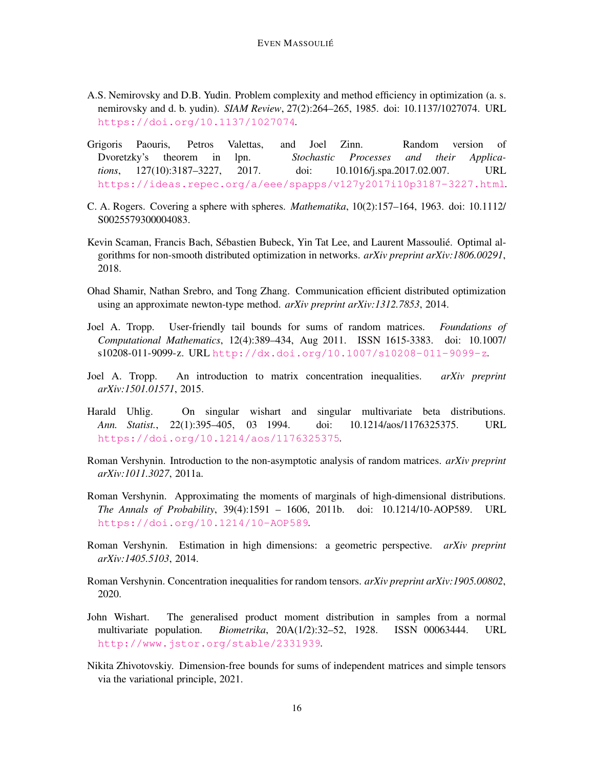- <span id="page-15-10"></span>A.S. Nemirovsky and D.B. Yudin. Problem complexity and method efficiency in optimization (a. s. nemirovsky and d. b. yudin). *SIAM Review*, 27(2):264–265, 1985. doi: 10.1137/1027074. URL <https://doi.org/10.1137/1027074>.
- <span id="page-15-6"></span>Grigoris Paouris, Petros Valettas, and Joel Zinn. Random version of Dvoretzky's theorem in lpn. *Stochastic Processes and their Applications*, 127(10):3187–3227, 2017. doi: 10.1016/j.spa.2017.02.007. URL <https://ideas.repec.org/a/eee/spapps/v127y2017i10p3187-3227.html>.
- <span id="page-15-13"></span>C. A. Rogers. Covering a sphere with spheres. *Mathematika*, 10(2):157–164, 1963. doi: 10.1112/ S0025579300004083.
- <span id="page-15-9"></span>Kevin Scaman, Francis Bach, Sébastien Bubeck, Yin Tat Lee, and Laurent Massoulié. Optimal algorithms for non-smooth distributed optimization in networks. *arXiv preprint arXiv:1806.00291*, 2018.
- <span id="page-15-8"></span>Ohad Shamir, Nathan Srebro, and Tong Zhang. Communication efficient distributed optimization using an approximate newton-type method. *arXiv preprint arXiv:1312.7853*, 2014.
- <span id="page-15-2"></span>Joel A. Tropp. User-friendly tail bounds for sums of random matrices. *Foundations of Computational Mathematics*, 12(4):389–434, Aug 2011. ISSN 1615-3383. doi: 10.1007/  $s10208-011-9099-z$ . URL <http://dx.doi.org/10.1007/s10208-011-9099-z>.
- <span id="page-15-3"></span>Joel A. Tropp. An introduction to matrix concentration inequalities. *arXiv preprint arXiv:1501.01571*, 2015.
- <span id="page-15-1"></span>Harald Uhlig. On singular wishart and singular multivariate beta distributions. *Ann. Statist.*, 22(1):395–405, 03 1994. doi: 10.1214/aos/1176325375. URL <https://doi.org/10.1214/aos/1176325375>.
- <span id="page-15-4"></span>Roman Vershynin. Introduction to the non-asymptotic analysis of random matrices. *arXiv preprint arXiv:1011.3027*, 2011a.
- <span id="page-15-12"></span>Roman Vershynin. Approximating the moments of marginals of high-dimensional distributions. *The Annals of Probability*, 39(4):1591 – 1606, 2011b. doi: 10.1214/10-AOP589. URL <https://doi.org/10.1214/10-AOP589>.
- <span id="page-15-5"></span>Roman Vershynin. Estimation in high dimensions: a geometric perspective. *arXiv preprint arXiv:1405.5103*, 2014.
- <span id="page-15-7"></span>Roman Vershynin. Concentration inequalities for random tensors. *arXiv preprint arXiv:1905.00802*, 2020.
- <span id="page-15-0"></span>John Wishart. The generalised product moment distribution in samples from a normal multivariate population. *Biometrika*, 20A(1/2):32–52, 1928. ISSN 00063444. URL <http://www.jstor.org/stable/2331939>.
- <span id="page-15-11"></span>Nikita Zhivotovskiy. Dimension-free bounds for sums of independent matrices and simple tensors via the variational principle, 2021.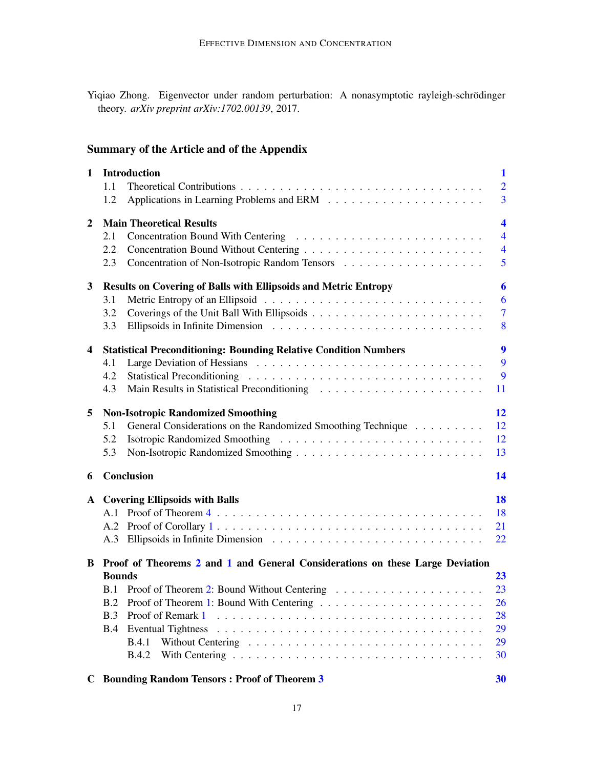<span id="page-16-0"></span>Yiqiao Zhong. Eigenvector under random perturbation: A nonasymptotic rayleigh-schrödinger theory. *arXiv preprint arXiv:1702.00139*, 2017.

# Summary of the Article and of the Appendix

| $\mathbf 1$    |                                                                                 | <b>Introduction</b>                                                     | $\mathbf 1$             |  |  |
|----------------|---------------------------------------------------------------------------------|-------------------------------------------------------------------------|-------------------------|--|--|
|                | 1.1                                                                             |                                                                         | $\overline{2}$          |  |  |
|                | 1.2                                                                             |                                                                         | $\overline{3}$          |  |  |
|                |                                                                                 |                                                                         |                         |  |  |
| $\overline{2}$ |                                                                                 | <b>Main Theoretical Results</b>                                         | $\overline{\mathbf{4}}$ |  |  |
|                | 2.1                                                                             |                                                                         | $\overline{4}$          |  |  |
|                | 2.2                                                                             |                                                                         | $\overline{4}$          |  |  |
|                | 2.3                                                                             |                                                                         | 5                       |  |  |
| $\mathbf{3}$   | <b>Results on Covering of Balls with Ellipsoids and Metric Entropy</b>          |                                                                         |                         |  |  |
|                | 3.1                                                                             |                                                                         | 6                       |  |  |
|                | 3.2                                                                             |                                                                         | $\overline{7}$          |  |  |
|                | 3.3                                                                             |                                                                         | 8                       |  |  |
|                |                                                                                 |                                                                         |                         |  |  |
| $\overline{4}$ |                                                                                 | <b>Statistical Preconditioning: Bounding Relative Condition Numbers</b> | $\boldsymbol{9}$        |  |  |
|                | 4.1                                                                             |                                                                         | 9                       |  |  |
|                | 4.2                                                                             |                                                                         | 9                       |  |  |
|                | 4.3                                                                             |                                                                         | 11                      |  |  |
| 5              |                                                                                 | <b>Non-Isotropic Randomized Smoothing</b>                               | 12                      |  |  |
|                | 5.1                                                                             | General Considerations on the Randomized Smoothing Technique            | 12                      |  |  |
|                | 5.2                                                                             |                                                                         | 12                      |  |  |
|                | 5.3                                                                             |                                                                         | 13                      |  |  |
| 6              |                                                                                 | Conclusion                                                              | 14                      |  |  |
|                |                                                                                 |                                                                         |                         |  |  |
|                |                                                                                 | A Covering Ellipsoids with Balls                                        | <b>18</b>               |  |  |
|                |                                                                                 |                                                                         | 18                      |  |  |
|                |                                                                                 |                                                                         | 21                      |  |  |
|                |                                                                                 |                                                                         | 22                      |  |  |
|                | B Proof of Theorems 2 and 1 and General Considerations on these Large Deviation |                                                                         |                         |  |  |
|                | <b>Bounds</b>                                                                   |                                                                         | 23                      |  |  |
|                |                                                                                 |                                                                         | 23                      |  |  |
|                |                                                                                 | B.2 Proof of Theorem 1: Bound With Centering                            | 26                      |  |  |
|                | <b>B.3</b>                                                                      |                                                                         | 28                      |  |  |
|                | B.4                                                                             |                                                                         | 29                      |  |  |
|                |                                                                                 | <b>B.4.1</b>                                                            | 29                      |  |  |
|                |                                                                                 | <b>B.4.2</b>                                                            | 30                      |  |  |
|                |                                                                                 |                                                                         |                         |  |  |
| C              |                                                                                 | <b>Bounding Random Tensors: Proof of Theorem 3</b>                      | 30                      |  |  |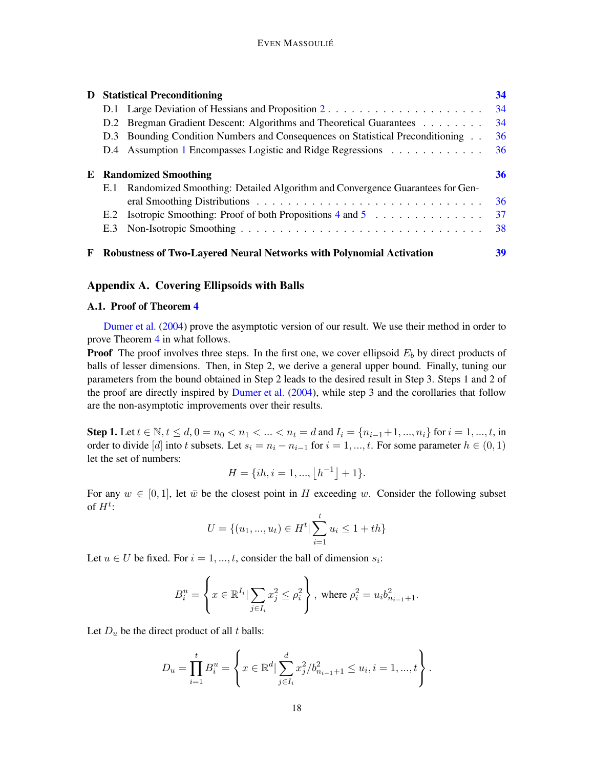| D |                               | <b>Statistical Preconditioning</b>                                             | 34 |
|---|-------------------------------|--------------------------------------------------------------------------------|----|
|   |                               |                                                                                | 34 |
|   |                               | D.2 Bregman Gradient Descent: Algorithms and Theoretical Guarantees            | 34 |
|   |                               | D.3 Bounding Condition Numbers and Consequences on Statistical Preconditioning | 36 |
|   |                               | D.4 Assumption 1 Encompasses Logistic and Ridge Regressions                    | 36 |
|   | <b>E</b> Randomized Smoothing |                                                                                |    |
|   | E.1                           | Randomized Smoothing: Detailed Algorithm and Convergence Guarantees for Gen-   |    |
|   |                               |                                                                                | 36 |
|   | E.2                           | Isotropic Smoothing: Proof of both Propositions $4$ and $5$                    | 37 |
|   | E.3                           |                                                                                | 38 |
| F |                               | Robustness of Two-Layered Neural Networks with Polynomial Activation           | 39 |

# <span id="page-17-1"></span><span id="page-17-0"></span>Appendix A. Covering Ellipsoids with Balls

# A.1. Proof of Theorem [4](#page-6-0)

[Dumer et al.](#page-14-2) [\(2004](#page-14-2)) prove the asymptotic version of our result. We use their method in order to prove Theorem [4](#page-6-0) in what follows.

**Proof** The proof involves three steps. In the first one, we cover ellipsoid  $E<sub>b</sub>$  by direct products of balls of lesser dimensions. Then, in Step 2, we derive a general upper bound. Finally, tuning our parameters from the bound obtained in Step 2 leads to the desired result in Step 3. Steps 1 and 2 of the proof are directly inspired by [Dumer et al.](#page-14-2) [\(2004](#page-14-2)), while step 3 and the corollaries that follow are the non-asymptotic improvements over their results.

Step 1. Let  $t \in \mathbb{N}, t \leq d, 0 = n_0 < n_1 < ... < n_t = d$  and  $I_i = \{n_{i-1}+1, ..., n_i\}$  for  $i = 1, ..., t$ , in order to divide [d] into t subsets. Let  $s_i = n_i - n_{i-1}$  for  $i = 1, ..., t$ . For some parameter  $h \in (0, 1)$ let the set of numbers:

$$
H = \{ih, i = 1, ..., \lfloor h^{-1} \rfloor + 1\}.
$$

For any  $w \in [0, 1]$ , let  $\bar{w}$  be the closest point in H exceeding w. Consider the following subset of  $H^t$ :

$$
U = \{(u_1, ..., u_t) \in H^t | \sum_{i=1}^t u_i \le 1 + th\}
$$

Let  $u \in U$  be fixed. For  $i = 1, ..., t$ , consider the ball of dimension  $s_i$ :

$$
B_i^u = \left\{ x \in \mathbb{R}^{I_i} | \sum_{j \in I_i} x_j^2 \le \rho_i^2 \right\}, \text{ where } \rho_i^2 = u_i b_{n_{i-1}+1}^2.
$$

Let  $D_u$  be the direct product of all t balls:

$$
D_u = \prod_{i=1}^t B_i^u = \left\{ x \in \mathbb{R}^d \mid \sum_{j \in I_i}^d x_j^2 / b_{n_{i-1}+1}^2 \le u_i, i = 1, ..., t \right\}.
$$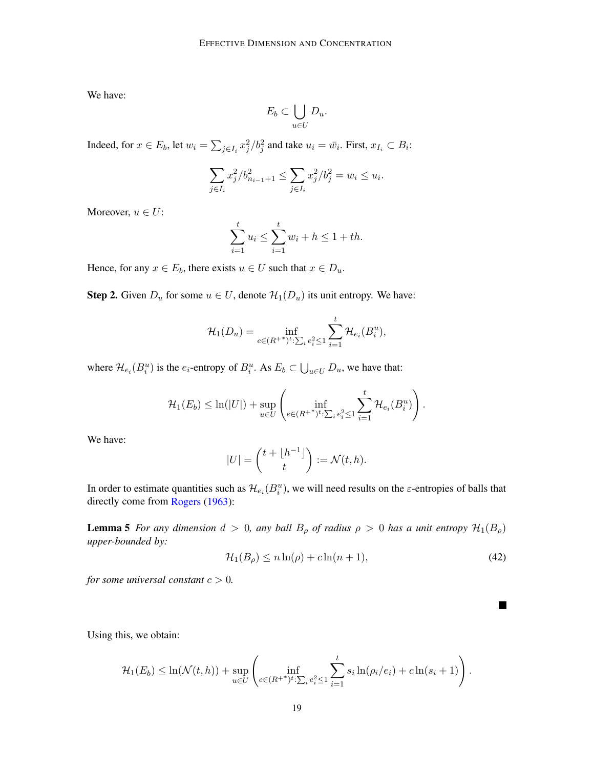We have:

$$
E_b \subset \bigcup_{u \in U} D_u.
$$

Indeed, for  $x \in E_b$ , let  $w_i = \sum_{j \in I_i} x_j^2 / b_j^2$  and take  $u_i = \bar{w_i}$ . First,  $x_{I_i} \subset B_i$ :

$$
\sum_{j \in I_i} x_j^2 / b_{n_{i-1}+1}^2 \le \sum_{j \in I_i} x_j^2 / b_j^2 = w_i \le u_i.
$$

Moreover,  $u \in U$ :

$$
\sum_{i=1}^{t} u_i \le \sum_{i=1}^{t} w_i + h \le 1 + th.
$$

Hence, for any  $x \in E_b$ , there exists  $u \in U$  such that  $x \in D_u$ .

**Step 2.** Given  $D_u$  for some  $u \in U$ , denote  $\mathcal{H}_1(D_u)$  its unit entropy. We have:

$$
\mathcal{H}_1(D_u) = \inf_{e \in (R^{+^*})^t : \sum_i e_i^2 \le 1} \sum_{i=1}^t \mathcal{H}_{e_i}(B_i^u),
$$

where  $\mathcal{H}_{e_i}(B_i^u)$  is the  $e_i$ -entropy of  $B_i^u$ . As  $E_b \subset \bigcup_{u \in U} D_u$ , we have that:

$$
\mathcal{H}_1(E_b) \leq \ln(|U|) + \sup_{u \in U} \left( \inf_{e \in (R^{+\ast})^t : \sum_i e_i^2 \leq 1} \sum_{i=1}^t \mathcal{H}_{e_i}(B_i^u) \right).
$$

We have:

$$
|U| = {t + \lfloor h^{-1} \rfloor \choose t} := \mathcal{N}(t, h).
$$

In order to estimate quantities such as  $\mathcal{H}_{e_i}(B_i^u)$ , we will need results on the  $\varepsilon$ -entropies of balls that directly come from [Rogers](#page-15-13) [\(1963](#page-15-13)):

**Lemma 5** *For any dimension*  $d > 0$ *, any ball*  $B_\rho$  *of radius*  $\rho > 0$  *has a unit entropy*  $\mathcal{H}_1(B_\rho)$ *upper-bounded by:*

$$
\mathcal{H}_1(B_\rho) \le n \ln(\rho) + c \ln(n+1),\tag{42}
$$

H

*for some universal constant*  $c > 0$ *.* 

Using this, we obtain:

$$
\mathcal{H}_1(E_b) \leq \ln(\mathcal{N}(t,h)) + \sup_{u \in U} \left( \inf_{e \in (R^{++})^t : \sum_i e_i^2 \leq 1} \sum_{i=1}^t s_i \ln(\rho_i/e_i) + c \ln(s_i+1) \right).
$$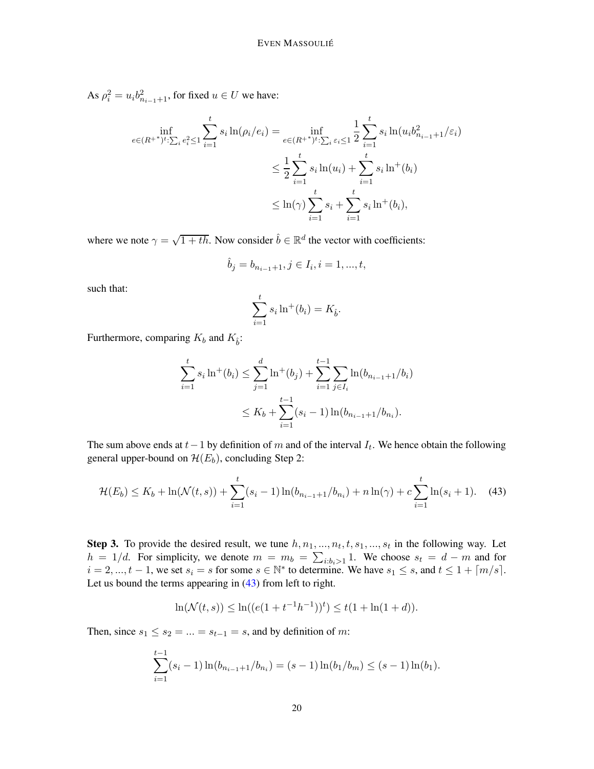As  $\rho_i^2 = u_i b_{n_{i-1}+1}^2$ , for fixed  $u \in U$  we have:

$$
\inf_{e \in (R^{+\ast})^t : \sum_i e_i^2 \le 1} \sum_{i=1}^t s_i \ln(\rho_i/e_i) = \inf_{e \in (R^{+\ast})^t : \sum_i \varepsilon_i \le 1} \frac{1}{2} \sum_{i=1}^t s_i \ln(u_i b_{n_{i-1}+1}^2/\varepsilon_i)
$$
\n
$$
\le \frac{1}{2} \sum_{i=1}^t s_i \ln(u_i) + \sum_{i=1}^t s_i \ln^+(b_i)
$$
\n
$$
\le \ln(\gamma) \sum_{i=1}^t s_i + \sum_{i=1}^t s_i \ln^+(b_i),
$$

where we note  $\gamma = \sqrt{1 + th}$ . Now consider  $\hat{b} \in \mathbb{R}^d$  the vector with coefficients:

$$
\hat{b}_j=b_{n_{i-1}+1}, j\in I_i, i=1,...,t,
$$

such that:

$$
\sum_{i=1}^{t} s_i \ln^+(b_i) = K_{\hat{b}}.
$$

Furthermore, comparing  $K_b$  and  $K_{\hat{b}}$ :

$$
\sum_{i=1}^{t} s_i \ln^{+}(b_i) \le \sum_{j=1}^{d} \ln^{+}(b_j) + \sum_{i=1}^{t-1} \sum_{j \in I_i} \ln(b_{n_{i-1}+1}/b_i)
$$
  

$$
\le K_b + \sum_{i=1}^{t-1} (s_i - 1) \ln(b_{n_{i-1}+1}/b_{n_i}).
$$

The sum above ends at  $t-1$  by definition of m and of the interval  $I_t$ . We hence obtain the following general upper-bound on  $\mathcal{H}(E_b)$ , concluding Step 2:

<span id="page-19-0"></span>
$$
\mathcal{H}(E_b) \le K_b + \ln(\mathcal{N}(t,s)) + \sum_{i=1}^t (s_i - 1) \ln(b_{n_{i-1}+1}/b_{n_i}) + n \ln(\gamma) + c \sum_{i=1}^t \ln(s_i + 1). \tag{43}
$$

**Step 3.** To provide the desired result, we tune  $h, n_1, ..., n_t, t, s_1, ..., s_t$  in the following way. Let  $h = 1/d$ . For simplicity, we denote  $m = m_b = \sum_{i:b_i>1} 1$ . We choose  $s_t = d - m$  and for  $i = 2, ..., t - 1$ , we set  $s_i = s$  for some  $s \in \mathbb{N}^*$  to determine. We have  $s_1 \leq s$ , and  $t \leq 1 + \lceil m/s \rceil$ . Let us bound the terms appearing in [\(43\)](#page-19-0) from left to right.

$$
\ln(\mathcal{N}(t,s)) \le \ln((e(1+t^{-1}h^{-1}))^t) \le t(1+\ln(1+d)).
$$

Then, since  $s_1 \leq s_2 = ... = s_{t-1} = s$ , and by definition of m:

$$
\sum_{i=1}^{t-1} (s_i - 1) \ln(b_{n_{i-1}+1}/b_{n_i}) = (s-1) \ln(b_1/b_m) \le (s-1) \ln(b_1).
$$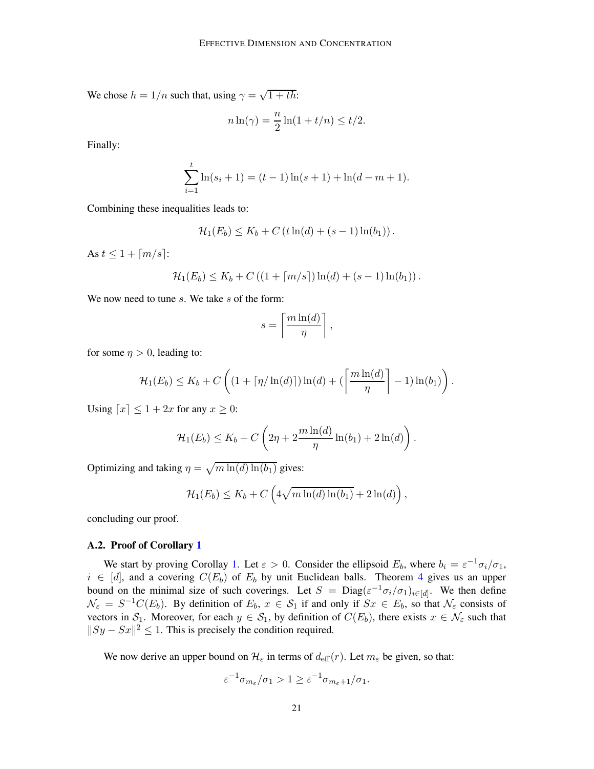We chose  $h = 1/n$  such that, using  $\gamma = \sqrt{1 + th}$ :

$$
n\ln(\gamma) = \frac{n}{2}\ln(1+t/n) \le t/2.
$$

Finally:

$$
\sum_{i=1}^{t} \ln(s_i + 1) = (t - 1)\ln(s + 1) + \ln(d - m + 1).
$$

Combining these inequalities leads to:

$$
\mathcal{H}_1(E_b) \le K_b + C \left( t \ln(d) + (s-1) \ln(b_1) \right).
$$

As  $t < 1 + \lceil m/s \rceil$ :

$$
\mathcal{H}_1(E_b) \leq K_b + C\left( (1 + \lceil m/s \rceil) \ln(d) + (s - 1) \ln(b_1) \right).
$$

We now need to tune  $s$ . We take  $s$  of the form:

$$
s = \left\lceil \frac{m \ln(d)}{\eta} \right\rceil,
$$

for some  $\eta > 0$ , leading to:

$$
\mathcal{H}_1(E_b) \leq K_b + C\left((1 + \lceil \eta / \ln(d) \rceil) \ln(d) + \left(\left\lceil \frac{m \ln(d)}{\eta} \right\rceil - 1) \ln(b_1)\right).
$$

Using  $[x] \leq 1 + 2x$  for any  $x \geq 0$ :

$$
\mathcal{H}_1(E_b) \leq K_b + C\left(2\eta + 2\frac{m\ln(d)}{\eta}\ln(b_1) + 2\ln(d)\right).
$$

Optimizing and taking  $\eta = \sqrt{m \ln(d) \ln(b_1)}$  gives:

$$
\mathcal{H}_1(E_b) \leq K_b + C\left(4\sqrt{m\ln(d)\ln(b_1)} + 2\ln(d)\right),\,
$$

concluding our proof.

### <span id="page-20-0"></span>A.2. Proof of Corollary [1](#page-6-3)

We start by proving Corollay [1.](#page-6-3) Let  $\varepsilon > 0$ . Consider the ellipsoid  $E_b$ , where  $b_i = \varepsilon^{-1} \sigma_i / \sigma_1$ ,  $i \in [d]$ , and a covering  $C(E_b)$  of  $E_b$  by unit Euclidean balls. Theorem [4](#page-6-0) gives us an upper bound on the minimal size of such coverings. Let  $S = \text{Diag}(\varepsilon^{-1}\sigma_i/\sigma_1)_{i \in [d]}$ . We then define  $\mathcal{N}_{\varepsilon} = S^{-1}C(E_b)$ . By definition of  $E_b$ ,  $x \in \mathcal{S}_1$  if and only if  $S_x \in E_b$ , so that  $\mathcal{N}_{\varepsilon}$  consists of vectors in  $S_1$ . Moreover, for each  $y \in S_1$ , by definition of  $C(E_b)$ , there exists  $x \in \mathcal{N}_{\varepsilon}$  such that  $||Sy - Sx||^2 \le 1$ . This is precisely the condition required.

We now derive an upper bound on  $\mathcal{H}_{\varepsilon}$  in terms of  $d_{\text{eff}}(r)$ . Let  $m_{\varepsilon}$  be given, so that:

$$
\varepsilon^{-1}\sigma_{m_{\varepsilon}}/\sigma_1 > 1 \geq \varepsilon^{-1}\sigma_{m_{\varepsilon}+1}/\sigma_1.
$$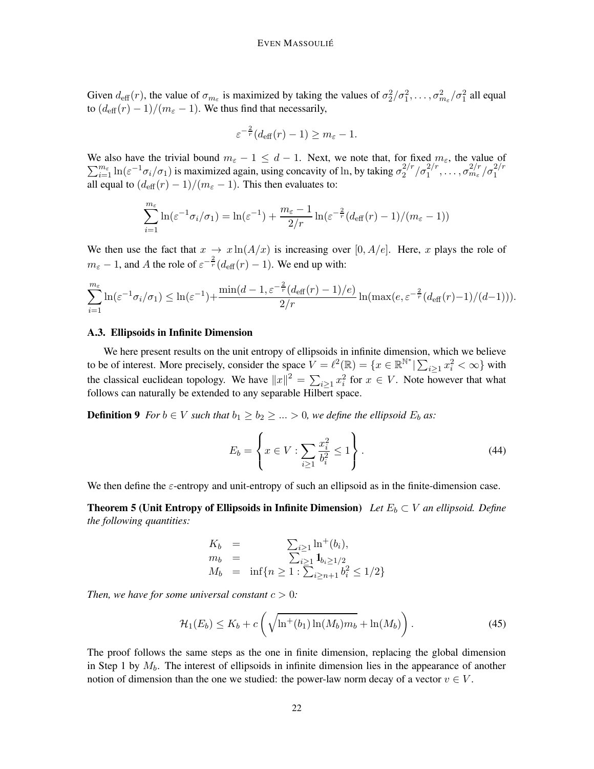Given  $d_{\text{eff}}(r)$ , the value of  $\sigma_{m_{\varepsilon}}$  is maximized by taking the values of  $\sigma_2^2/\sigma_1^2,\ldots,\sigma_{m_{\varepsilon}}^2/\sigma_1^2$  all equal to  $(d_{\text{eff}}(r) - 1)/(m_{\epsilon} - 1)$ . We thus find that necessarily,

$$
\varepsilon^{-\frac{2}{r}}(d_{\text{eff}}(r)-1) \geq m_{\varepsilon} - 1.
$$

 $\sum_{i=1}^{m_{\varepsilon}} \ln(\varepsilon^{-1} \sigma_i/\sigma_1)$  is maximized again, using concavity of ln, by taking  $\sigma_2^{2/r}$ We also have the trivial bound  $m_{\varepsilon} - 1 \leq d - 1$ . Next, we note that, for fixed  $m_{\varepsilon}$ , the value of  $\sigma_2^{2/r}/\sigma_1^{2/r}, \ldots, \sigma_{m_\varepsilon}^{2/r}/\sigma_1^{2/r}$ all equal to  $(d_{\text{eff}}(r) - 1)/(m_{\epsilon} - 1)$ . This then evaluates to:

$$
\sum_{i=1}^{m_{\varepsilon}} \ln(\varepsilon^{-1} \sigma_i/\sigma_1) = \ln(\varepsilon^{-1}) + \frac{m_{\varepsilon} - 1}{2/r} \ln(\varepsilon^{-\frac{2}{r}} (d_{\text{eff}}(r) - 1)/(m_{\varepsilon} - 1))
$$

We then use the fact that  $x \to x \ln(A/x)$  is increasing over [0, A/e]. Here, x plays the role of  $m_{\varepsilon} - 1$ , and A the role of  $\varepsilon^{-\frac{2}{r}}(d_{\text{eff}}(r) - 1)$ . We end up with:

$$
\sum_{i=1}^{m_{\varepsilon}} \ln(\varepsilon^{-1}\sigma_i/\sigma_1) \leq \ln(\varepsilon^{-1}) + \frac{\min(d-1,\varepsilon^{-\frac{2}{r}}(d_{\text{eff}}(r)-1)/e)}{2/r} \ln(\max(e,\varepsilon^{-\frac{2}{r}}(d_{\text{eff}}(r)-1)/(d-1))).
$$

#### <span id="page-21-0"></span>A.3. Ellipsoids in Infinite Dimension

We here present results on the unit entropy of ellipsoids in infinite dimension, which we believe to be of interest. More precisely, consider the space  $V = \ell^2(\mathbb{R}) = \{x \in \mathbb{R}^{\mathbb{N}^*} | \sum_{i \geq 1} x_i^2 < \infty\}$  with the classical euclidean topology. We have  $||x||^2 = \sum_{i\geq 1} x_i^2$  for  $x \in V$ . Note however that what follows can naturally be extended to any separable Hilbert space.

**Definition 9** *For*  $b \in V$  *such that*  $b_1 \geq b_2 \geq ... > 0$ *, we define the ellipsoid*  $E_b$  *as:* 

<span id="page-21-1"></span>
$$
E_b = \left\{ x \in V : \sum_{i \ge 1} \frac{x_i^2}{b_i^2} \le 1 \right\}.
$$
\n(44)

We then define the  $\varepsilon$ -entropy and unit-entropy of such an ellipsoid as in the finite-dimension case.

**Theorem 5 (Unit Entropy of Ellipsoids in Infinite Dimension)** Let  $E_b \subset V$  an ellipsoid. Define *the following quantities:*

$$
K_b = \sum_{i \ge 1} \ln^+(b_i),
$$
  
\n
$$
m_b = \sum_{i \ge 1} \mathbf{1}_{b_i \ge 1/2}
$$
  
\n
$$
M_b = \inf \{ n \ge 1 : \sum_{i \ge n+1} b_i^2 \le 1/2 \}
$$

*Then, we have for some universal constant*  $c > 0$ *:* 

$$
\mathcal{H}_1(E_b) \le K_b + c \left( \sqrt{\ln^+(b_1) \ln(M_b) m_b} + \ln(M_b) \right). \tag{45}
$$

The proof follows the same steps as the one in finite dimension, replacing the global dimension in Step 1 by  $M_b$ . The interest of ellipsoids in infinite dimension lies in the appearance of another notion of dimension than the one we studied: the power-law norm decay of a vector  $v \in V$ .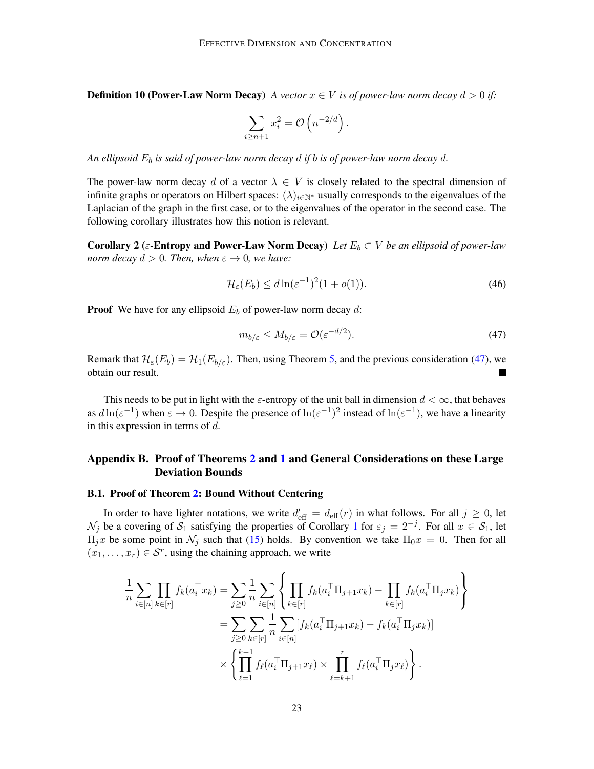**Definition 10 (Power-Law Norm Decay)** *A vector*  $x \in V$  *is of power-law norm decay*  $d > 0$  *if:* 

$$
\sum_{i\geq n+1} x_i^2 = \mathcal{O}\left(n^{-2/d}\right).
$$

*An ellipsoid*  $E_b$  *is said of power-law norm decay d if b is of power-law norm decay d.* 

The power-law norm decay d of a vector  $\lambda \in V$  is closely related to the spectral dimension of infinite graphs or operators on Hilbert spaces:  $(\lambda)_{i\in\mathbb{N}^*}$  usually corresponds to the eigenvalues of the Laplacian of the graph in the first case, or to the eigenvalues of the operator in the second case. The following corollary illustrates how this notion is relevant.

**Corollary 2** (ε-**Entropy and Power-Law Norm Decay**) Let  $E_b \subset V$  be an ellipsoid of power-law *norm decay*  $d > 0$ *. Then, when*  $\varepsilon \to 0$ *, we have:* 

$$
\mathcal{H}_{\varepsilon}(E_b) \le d \ln(\varepsilon^{-1})^2 (1 + o(1)).\tag{46}
$$

**Proof** We have for any ellipsoid  $E_b$  of power-law norm decay d:

<span id="page-22-2"></span>
$$
m_{b/\varepsilon} \le M_{b/\varepsilon} = \mathcal{O}(\varepsilon^{-d/2}).\tag{47}
$$

Remark that  $\mathcal{H}_{\varepsilon}(E_b) = \mathcal{H}_1(E_{b/\varepsilon})$ . Then, using Theorem [5,](#page-21-1) and the previous consideration [\(47\)](#page-22-2), we obtain our result. obtain our result.

This needs to be put in light with the  $\varepsilon$ -entropy of the unit ball in dimension  $d < \infty$ , that behaves as  $d\ln(\varepsilon^{-1})$  when  $\varepsilon \to 0$ . Despite the presence of  $\ln(\varepsilon^{-1})^2$  instead of  $\ln(\varepsilon^{-1})$ , we have a linearity in this expression in terms of  $d$ .

# <span id="page-22-0"></span>Appendix B. Proof of Theorems [2](#page-3-4) and [1](#page-3-1) and General Considerations on these Large Deviation Bounds

# <span id="page-22-1"></span>B.1. Proof of Theorem [2:](#page-3-4) Bound Without Centering

In order to have lighter notations, we write  $d'_{\text{eff}} = d_{\text{eff}}(r)$  in what follows. For all  $j \ge 0$ , let  $\mathcal{N}_j$  be a covering of  $\mathcal{S}_1$  $\mathcal{S}_1$  satisfying the properties of Corollary 1 for  $\varepsilon_j = 2^{-j}$ . For all  $x \in \mathcal{S}_1$ , let  $\Pi_j$ x be some point in  $\mathcal{N}_j$  such that [\(15\)](#page-6-4) holds. By convention we take  $\Pi_0 x = 0$ . Then for all  $(x_1, \ldots, x_r) \in \mathcal{S}^r$ , using the chaining approach, we write

$$
\frac{1}{n} \sum_{i \in [n]} \prod_{k \in [r]} f_k(a_i^\top x_k) = \sum_{j \ge 0} \frac{1}{n} \sum_{i \in [n]} \left\{ \prod_{k \in [r]} f_k(a_i^\top \Pi_{j+1} x_k) - \prod_{k \in [r]} f_k(a_i^\top \Pi_j x_k) \right\} \n= \sum_{j \ge 0} \sum_{k \in [r]} \frac{1}{n} \sum_{i \in [n]} [f_k(a_i^\top \Pi_{j+1} x_k) - f_k(a_i^\top \Pi_j x_k)] \n\times \left\{ \prod_{\ell=1}^{k-1} f_\ell(a_i^\top \Pi_{j+1} x_\ell) \times \prod_{\ell=k+1}^r f_\ell(a_i^\top \Pi_j x_\ell) \right\}.
$$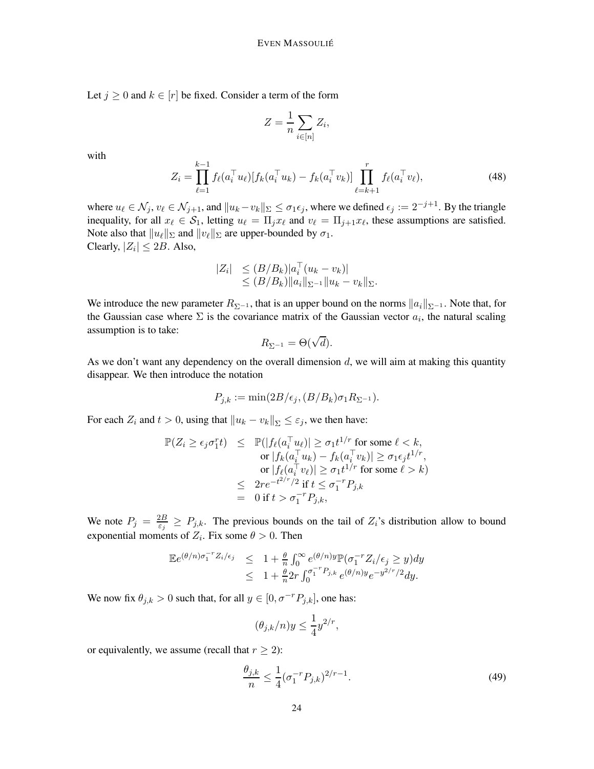Let  $j \geq 0$  and  $k \in [r]$  be fixed. Consider a term of the form

$$
Z = \frac{1}{n} \sum_{i \in [n]} Z_i,
$$

with

<span id="page-23-1"></span>
$$
Z_i = \prod_{\ell=1}^{k-1} f_{\ell}(a_i^{\top} u_{\ell}) [f_k(a_i^{\top} u_k) - f_k(a_i^{\top} v_k)] \prod_{\ell=k+1}^r f_{\ell}(a_i^{\top} v_{\ell}), \qquad (48)
$$

where  $u_\ell \in \mathcal{N}_j, v_\ell \in \mathcal{N}_{j+1}$ , and  $||u_k - v_k||_{\Sigma} \leq \sigma_1 \epsilon_j$ , where we defined  $\epsilon_j := 2^{-j+1}$ . By the triangle inequality, for all  $x_\ell \in S_1$ , letting  $u_\ell = \prod_j x_\ell$  and  $v_\ell = \prod_{j+1} x_\ell$ , these assumptions are satisfied. Note also that  $||u_\ell||_{\Sigma}$  and  $||v_\ell||_{\Sigma}$  are upper-bounded by  $\sigma_1$ . Clearly,  $|Z_i| \le 2B$ . Also,

$$
|Z_i| \leq (B/B_k)|a_i^\top (u_k - v_k)|
$$
  
\n
$$
\leq (B/B_k) ||a_i||_{\Sigma^{-1}} ||u_k - v_k||_{\Sigma}.
$$

We introduce the new parameter  $R_{\Sigma^{-1}}$ , that is an upper bound on the norms  $||a_i||_{\Sigma^{-1}}$ . Note that, for the Gaussian case where  $\Sigma$  is the covariance matrix of the Gaussian vector  $a_i$ , the natural scaling assumption is to take:

$$
R_{\Sigma^{-1}} = \Theta(\sqrt{d}).
$$

As we don't want any dependency on the overall dimension  $d$ , we will aim at making this quantity disappear. We then introduce the notation

$$
P_{j,k} := \min(2B/\epsilon_j, (B/B_k)\sigma_1 R_{\Sigma^{-1}}).
$$

For each  $Z_i$  and  $t > 0$ , using that  $||u_k - v_k||_{\Sigma} \leq \varepsilon_j$ , we then have:

$$
\mathbb{P}(Z_i \ge \epsilon_j \sigma_1^r t) \le \mathbb{P}(|f_\ell(a_i^\top u_\ell)| \ge \sigma_1 t^{1/r} \text{ for some } \ell < k, \text{ or } |f_k(a_i^\top u_k) - f_k(a_i^\top v_k)| \ge \sigma_1 \epsilon_j t^{1/r}, \text{ or } |f_\ell(a_i^\top v_\ell)| \ge \sigma_1 t^{1/r} \text{ for some } \ell > k) \le 2re^{-t^{2/r}/2} \text{ if } t \le \sigma_1^{-r} P_{j,k} \n= 0 \text{ if } t > \sigma_1^{-r} P_{j,k},
$$

We note  $P_j = \frac{2B}{\varepsilon_i}$  $\frac{2B}{\epsilon_j} \ge P_{j,k}$ . The previous bounds on the tail of  $Z_i$ 's distribution allow to bound exponential moments of  $Z_i$ . Fix some  $\theta > 0$ . Then

$$
\mathbb{E}e^{(\theta/n)\sigma_1^{-r}Z_i/\epsilon_j} \leq 1 + \frac{\theta}{n} \int_0^\infty e^{(\theta/n)y} \mathbb{P}(\sigma_1^{-r}Z_i/\epsilon_j \geq y) dy
$$
  

$$
\leq 1 + \frac{\theta}{n} 2r \int_0^{\sigma_1^{-r}P_{j,k}} e^{(\theta/n)y} e^{-y^{2/r}/2} dy.
$$

We now fix  $\theta_{j,k} > 0$  such that, for all  $y \in [0, \sigma^{-r}P_{j,k}]$ , one has:

$$
(\theta_{j,k}/n)y \le \frac{1}{4}y^{2/r},
$$

or equivalently, we assume (recall that  $r \geq 2$ ):

<span id="page-23-0"></span>
$$
\frac{\theta_{j,k}}{n} \le \frac{1}{4} (\sigma_1^{-r} P_{j,k})^{2/r - 1}.
$$
\n(49)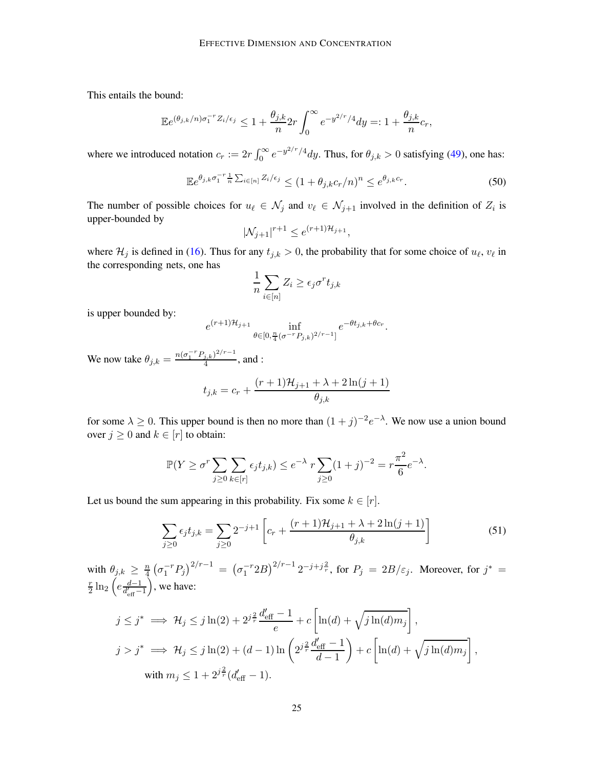This entails the bound:

$$
\mathbb{E}e^{(\theta_{j,k}/n)\sigma_1^{-r}Z_i/\epsilon_j} \leq 1 + \frac{\theta_{j,k}}{n} 2r \int_0^\infty e^{-y^{2/r}/4} dy =: 1 + \frac{\theta_{j,k}}{n} c_r,
$$

where we introduced notation  $c_r := 2r \int_0^\infty e^{-y^2/r/4} dy$ . Thus, for  $\theta_{j,k} > 0$  satisfying [\(49\)](#page-23-0), one has:

$$
\mathbb{E}e^{\theta_{j,k}\sigma_1^{-r}\frac{1}{n}\sum_{i\in[n]}Z_i/\epsilon_j} \le (1+\theta_{j,k}c_r/n)^n \le e^{\theta_{j,k}c_r}.
$$
 (50)

The number of possible choices for  $u_{\ell} \in \mathcal{N}_j$  and  $v_{\ell} \in \mathcal{N}_{j+1}$  involved in the definition of  $Z_i$  is upper-bounded by

$$
|\mathcal{N}_{j+1}|^{r+1} \le e^{(r+1)\mathcal{H}_{j+1}},
$$

where  $\mathcal{H}_j$  is defined in [\(16\)](#page-6-5). Thus for any  $t_{j,k} > 0$ , the probability that for some choice of  $u_\ell, v_\ell$  in the corresponding nets, one has

$$
\frac{1}{n} \sum_{i \in [n]} Z_i \ge \epsilon_j \sigma^r t_{j,k}
$$

is upper bounded by:

$$
e^{(r+1)\mathcal{H}_{j+1}} \inf_{\theta \in [0, \frac{n}{4}(\sigma^{-r}P_{j,k})^{2/r-1}]} e^{-\theta t_{j,k} + \theta c_r}.
$$

We now take  $\theta_{j,k} = \frac{n(\sigma_1^{-r} P_{j,k})^{2/r-1}}{4}$  $\frac{j,k}{4}$ , and :

<span id="page-24-0"></span>
$$
t_{j,k} = c_r + \frac{(r+1)\mathcal{H}_{j+1} + \lambda + 2\ln(j+1)}{\theta_{j,k}}
$$

for some  $\lambda \geq 0$ . This upper bound is then no more than  $(1+j)^{-2}e^{-\lambda}$ . We now use a union bound over  $j \geq 0$  and  $k \in [r]$  to obtain:

$$
\mathbb{P}(Y \ge \sigma^r \sum_{j\ge 0} \sum_{k \in [r]} \epsilon_j t_{j,k}) \le e^{-\lambda} r \sum_{j\ge 0} (1+j)^{-2} = r \frac{\pi^2}{6} e^{-\lambda}.
$$

Let us bound the sum appearing in this probability. Fix some  $k \in [r]$ .

$$
\sum_{j\geq 0} \epsilon_j t_{j,k} = \sum_{j\geq 0} 2^{-j+1} \left[ c_r + \frac{(r+1)\mathcal{H}_{j+1} + \lambda + 2\ln(j+1)}{\theta_{j,k}} \right]
$$
(51)

with  $\theta_{j,k} \geq \frac{n}{4}$  $\frac{d}{dt} \left( \sigma_1^{-r} P_j \right)^{2/r-1} = \left( \sigma_1^{-r} 2B \right)^{2/r-1} 2^{-j+j\frac{2}{r}}, \text{ for } P_j \ = \ 2B/\varepsilon_j.$  Moreover, for  $j^* = j$ r  $\frac{r}{2}\ln_2\Big(e\frac{d-1}{d'_{\text{eff}}-1}$ , we have:

$$
j \leq j^* \implies \mathcal{H}_j \leq j \ln(2) + 2^{j\frac{2}{r}} \frac{d'_{\text{eff}} - 1}{e} + c \left[ \ln(d) + \sqrt{j \ln(d) m_j} \right],
$$
  
\n
$$
j > j^* \implies \mathcal{H}_j \leq j \ln(2) + (d - 1) \ln\left( 2^{j\frac{2}{r}} \frac{d'_{\text{eff}} - 1}{d - 1} \right) + c \left[ \ln(d) + \sqrt{j \ln(d) m_j} \right],
$$
  
\nwith  $m_j \leq 1 + 2^{j\frac{2}{r}} (d'_{\text{eff}} - 1).$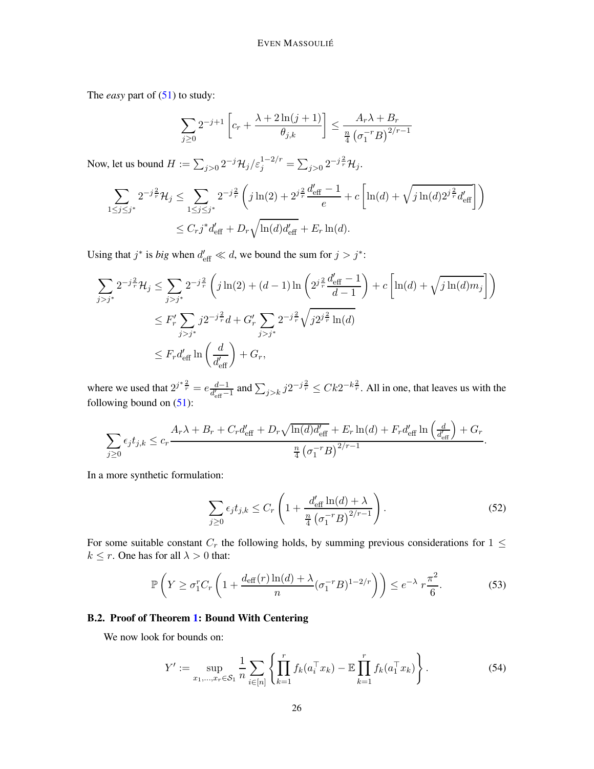The *easy* part of [\(51\)](#page-24-0) to study:

$$
\sum_{j\geq 0} 2^{-j+1} \left[ c_r + \frac{\lambda + 2\ln(j+1)}{\theta_{j,k}} \right] \leq \frac{A_r \lambda + B_r}{\frac{n}{4} \left( \sigma_1^{-r} B \right)^{2/r - 1}}
$$

Now, let us bound  $H := \sum_{j>0} 2^{-j} \mathcal{H}_j / \varepsilon_j^{1-2/r} = \sum_{j>0} 2^{-j \frac{2}{r}} \mathcal{H}_j$ .

$$
\sum_{1 \le j \le j^*} 2^{-j\frac{2}{r}} \mathcal{H}_j \le \sum_{1 \le j \le j^*} 2^{-j\frac{2}{r}} \left( j \ln(2) + 2^{j\frac{2}{r}} \frac{d'_{\text{eff}} - 1}{e} + c \left[ \ln(d) + \sqrt{j \ln(d) 2^{j\frac{2}{r}} d'_{\text{eff}}} \right] \right)
$$
  

$$
\le C_r j^* d'_{\text{eff}} + D_r \sqrt{\ln(d) d'_{\text{eff}}} + E_r \ln(d).
$$

Using that  $j^*$  is *big* when  $d'_{\text{eff}} \ll d$ , we bound the sum for  $j > j^*$ :

$$
\sum_{j>j^*} 2^{-j\frac{2}{r}} \mathcal{H}_j \le \sum_{j>j^*} 2^{-j\frac{2}{r}} \left( j \ln(2) + (d-1) \ln \left( 2^{j\frac{2}{r}} \frac{d'_{\text{eff}} - 1}{d-1} \right) + c \left[ \ln(d) + \sqrt{j \ln(d) m_j} \right] \right)
$$
  

$$
\le F'_r \sum_{j>j^*} j 2^{-j\frac{2}{r}} d + G'_r \sum_{j>j^*} 2^{-j\frac{2}{r}} \sqrt{j 2^{j\frac{2}{r}} \ln(d)}
$$
  

$$
\le F_r d'_{\text{eff}} \ln \left( \frac{d}{d'_{\text{eff}}} \right) + G_r,
$$

where we used that  $2^{j^* \frac{2}{r}} = e \frac{d-1}{d'_{\text{eff}}-1}$  and  $\sum_{j>k} j 2^{-j \frac{2}{r}} \leq C k 2^{-k \frac{2}{r}}$ . All in one, that leaves us with the following bound on  $(51)$ :

$$
\sum_{j\geq 0} \epsilon_j t_{j,k} \leq c_r \frac{A_r \lambda + B_r + C_r d_{\text{eff}}' + D_r \sqrt{\ln(d) d_{\text{eff}}'} + E_r \ln(d) + F_r d_{\text{eff}}' \ln\left(\frac{d}{d_{\text{eff}}'}\right) + G_r}{\frac{n}{4} \left(\sigma_1^{-r} B\right)^{2/r - 1}}.
$$

In a more synthetic formulation:

$$
\sum_{j\geq 0} \epsilon_j t_{j,k} \leq C_r \left( 1 + \frac{d'_{\text{eff}} \ln(d) + \lambda}{\frac{n}{4} \left( \sigma_1^{-r} B \right)^{2/r - 1}} \right). \tag{52}
$$

For some suitable constant  $C_r$  the following holds, by summing previous considerations for  $1 \leq$  $k \leq r$ . One has for all  $\lambda > 0$  that:

$$
\mathbb{P}\left(Y \ge \sigma_1^r C_r \left(1 + \frac{d_{\text{eff}}(r)\ln(d) + \lambda}{n} (\sigma_1^{-r} B)^{1 - 2/r}\right)\right) \le e^{-\lambda} r \frac{\pi^2}{6}.\tag{53}
$$

# <span id="page-25-0"></span>B.2. Proof of Theorem [1:](#page-3-1) Bound With Centering

We now look for bounds on:

<span id="page-25-1"></span>
$$
Y' := \sup_{x_1, \dots, x_r \in \mathcal{S}_1} \frac{1}{n} \sum_{i \in [n]} \left\{ \prod_{k=1}^r f_k(a_i^\top x_k) - \mathbb{E} \prod_{k=1}^r f_k(a_i^\top x_k) \right\}.
$$
 (54)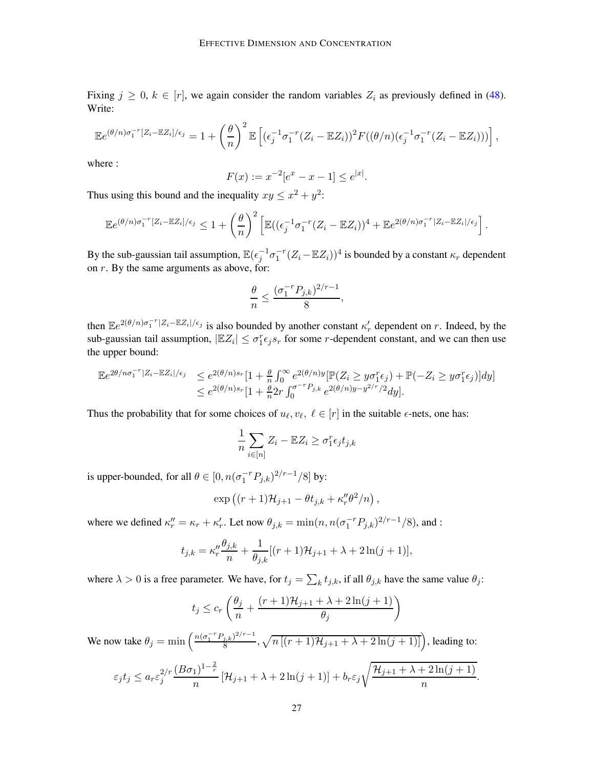Fixing  $j \geq 0$ ,  $k \in [r]$ , we again consider the random variables  $Z_i$  as previously defined in [\(48\)](#page-23-1). Write:

$$
\mathbb{E}e^{(\theta/n)\sigma_1^{-r}[Z_i-\mathbb{E}Z_i]/\epsilon_j} = 1 + \left(\frac{\theta}{n}\right)^2 \mathbb{E}\left[ (\epsilon_j^{-1}\sigma_1^{-r}(Z_i-\mathbb{E}Z_i))^2 F((\theta/n)(\epsilon_j^{-1}\sigma_1^{-r}(Z_i-\mathbb{E}Z_i))) \right],
$$

where :

$$
F(x) := x^{-2} [e^x - x - 1] \le e^{|x|}.
$$

Thus using this bound and the inequality  $xy \leq x^2 + y^2$ :

$$
\mathbb{E}e^{(\theta/n)\sigma_1^{-r}[Z_i-\mathbb{E}Z_i]/\epsilon_j}\leq 1+\left(\frac{\theta}{n}\right)^2\left[\mathbb{E}((\epsilon_j^{-1}\sigma_1^{-r}(Z_i-\mathbb{E}Z_i))^4+\mathbb{E}e^{2(\theta/n)\sigma_1^{-r}|Z_i-\mathbb{E}Z_i|/\epsilon_j}\right].
$$

By the sub-gaussian tail assumption,  $\mathbb{E}(\epsilon_j^{-1} \sigma_1^{-r} (Z_i - \mathbb{E} Z_i))^4$  is bounded by a constant  $\kappa_r$  dependent on  $r$ . By the same arguments as above, for:

$$
\frac{\theta}{n} \leq \frac{(\sigma_1^{-r}P_{j,k})^{2/r-1}}{8},
$$

then  $\mathbb{E}e^{2(\theta/n)\sigma_1^{-r}|Z_i-\mathbb{E}Z_i|/\epsilon_j}$  is also bounded by another constant  $\kappa'_r$  dependent on r. Indeed, by the sub-gaussian tail assumption,  $|\mathbb{E}Z_i| \leq \sigma_1^r \epsilon_j s_r$  for some *r*-dependent constant, and we can then use the upper bound:

$$
\mathbb{E}e^{2\theta/n\sigma_1^{-r}|Z_i - \mathbb{E}Z_i|/\epsilon_j} \leq e^{2(\theta/n)s_r}\left[1 + \frac{\theta}{n}\int_0^\infty e^{2(\theta/n)y} [\mathbb{P}(Z_i \geq y\sigma_1^r \epsilon_j) + \mathbb{P}(-Z_i \geq y\sigma_1^r \epsilon_j)]dy\right] \leq e^{2(\theta/n)s_r}\left[1 + \frac{\theta}{n}2r\int_0^{\sigma^{-r}P_{j,k}} e^{2(\theta/n)y - y^{2/r}/2}dy\right].
$$

Thus the probability that for some choices of  $u_{\ell}, v_{\ell}, \ell \in [r]$  in the suitable  $\epsilon$ -nets, one has:

$$
\frac{1}{n}\sum_{i\in[n]}Z_i - \mathbb{E}Z_i \ge \sigma_1^r \epsilon_j t_{j,k}
$$

is upper-bounded, for all  $\theta \in [0, n(\sigma_1^{-r}P_{j,k})^{2/r-1}/8]$  by:

$$
\exp ((r + 1)\mathcal{H}_{j+1} - \theta t_{j,k} + \kappa''_r \theta^2/n),
$$

where we defined  $\kappa''_r = \kappa_r + \kappa'_r$ . Let now  $\theta_{j,k} = \min(n, n(\sigma_1^{-r}P_{j,k})^{2/r-1}/8)$ , and :

$$
t_{j,k} = \kappa_r'' \frac{\theta_{j,k}}{n} + \frac{1}{\theta_{j,k}} [(r+1)\mathcal{H}_{j+1} + \lambda + 2\ln(j+1)],
$$

where  $\lambda > 0$  is a free parameter. We have, for  $t_j = \sum_k t_{j,k}$ , if all  $\theta_{j,k}$  have the same value  $\theta_j$ :

$$
t_j \le c_r \left( \frac{\theta_j}{n} + \frac{(r+1)\mathcal{H}_{j+1} + \lambda + 2\ln(j+1)}{\theta_j} \right)
$$

We now take  $\theta_j = \min \left( \frac{n(\sigma_1^{-r} P_{j,k})^{2/r-1}}{8} \right)$  $\frac{(j,k)^{2/r-1}}{8}, \sqrt{n\left[ (r+1)\mathcal{H}_{j+1} + \lambda + 2\ln(j+1) \right]} \Big)$ , leading to:

$$
\varepsilon_j t_j \leq a_r \varepsilon_j^{2/r} \frac{(B\sigma_1)^{1-\frac{2}{r}}}{n} \left[ \mathcal{H}_{j+1} + \lambda + 2\ln(j+1) \right] + b_r \varepsilon_j \sqrt{\frac{\mathcal{H}_{j+1} + \lambda + 2\ln(j+1)}{n}}.
$$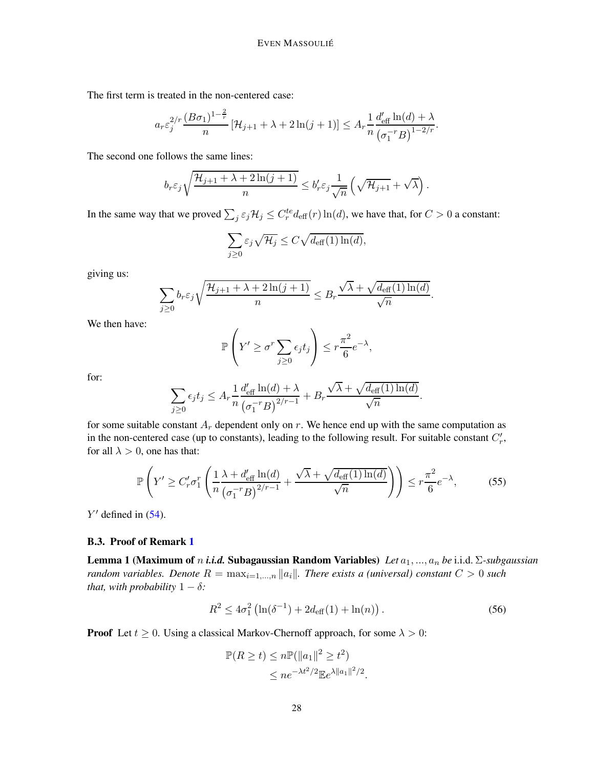The first term is treated in the non-centered case:

$$
a_r \varepsilon_j^{2/r} \frac{(B\sigma_1)^{1-\frac{2}{r}}}{n} \left[ \mathcal{H}_{j+1} + \lambda + 2\ln(j+1) \right] \leq A_r \frac{1}{n} \frac{d'_{\text{eff}} \ln(d) + \lambda}{\left(\sigma_1^{-r} B\right)^{1-2/r}}.
$$

The second one follows the same lines:

$$
b_r \varepsilon_j \sqrt{\frac{\mathcal{H}_{j+1} + \lambda + 2\ln(j+1)}{n}} \leq b'_r \varepsilon_j \frac{1}{\sqrt{n}} \left( \sqrt{\mathcal{H}_{j+1}} + \sqrt{\lambda} \right).
$$

In the same way that we proved  $\sum_j \varepsilon_j \mathcal{H}_j \leq C_r^{te} d_{\text{eff}}(r) \ln(d)$ , we have that, for  $C > 0$  a constant:

$$
\sum_{j\geq 0} \varepsilon_j \sqrt{\mathcal{H}_j} \leq C \sqrt{d_{\text{eff}}(1) \ln(d)},
$$

giving us:

$$
\sum_{j\geq 0} b_r \varepsilon_j \sqrt{\frac{\mathcal{H}_{j+1} + \lambda + 2\ln(j+1)}{n}} \leq B_r \frac{\sqrt{\lambda} + \sqrt{d_{\text{eff}}(1)\ln(d)}}{\sqrt{n}}.
$$

We then have:

$$
\mathbb{P}\left(Y' \geq \sigma^r \sum_{j\geq 0} \epsilon_j t_j\right) \leq r \frac{\pi^2}{6} e^{-\lambda},
$$

for:

$$
\sum_{j\geq 0} \epsilon_j t_j \leq A_r \frac{1}{n} \frac{d'_{\text{eff}} \ln(d) + \lambda}{\left(\sigma_1^{-r} B\right)^{2/r-1}} + B_r \frac{\sqrt{\lambda} + \sqrt{d_{\text{eff}}(1) \ln(d)}}{\sqrt{n}}.
$$

for some suitable constant  $A_r$  dependent only on r. We hence end up with the same computation as in the non-centered case (up to constants), leading to the following result. For suitable constant  $C'_r$ , for all  $\lambda > 0$ , one has that:

$$
\mathbb{P}\left(Y' \ge C'_r \sigma_1^r \left(\frac{1}{n} \frac{\lambda + d'_{\text{eff}} \ln(d)}{(\sigma_1^{-r} B)^{2/r - 1}} + \frac{\sqrt{\lambda} + \sqrt{d_{\text{eff}}(1) \ln(d)}}{\sqrt{n}}\right)\right) \le r \frac{\pi^2}{6} e^{-\lambda},\tag{55}
$$

 $Y'$  defined in  $(54)$ .

#### <span id="page-27-0"></span>B.3. Proof of Remark [1](#page-3-7)

Lemma 1 (Maximum of n *i.i.d.* Subagaussian Random Variables) *Let* a1, ..., a<sup>n</sup> *be* i.i.d. Σ*-subgaussian random variables. Denote*  $R = \max_{i=1,\dots,n} |a_i|$ *. There exists a (universal) constant*  $C > 0$  *such that, with probability*  $1 - \delta$ *:* 

$$
R^2 \le 4\sigma_1^2 \left( \ln(\delta^{-1}) + 2d_{\text{eff}}(1) + \ln(n) \right). \tag{56}
$$

**Proof** Let  $t \geq 0$ . Using a classical Markov-Chernoff approach, for some  $\lambda > 0$ :

$$
\mathbb{P}(R \ge t) \le n \mathbb{P}(\|a_1\|^2 \ge t^2)
$$
  

$$
\le n e^{-\lambda t^2/2} \mathbb{E}e^{\lambda \|a_1\|^2/2}.
$$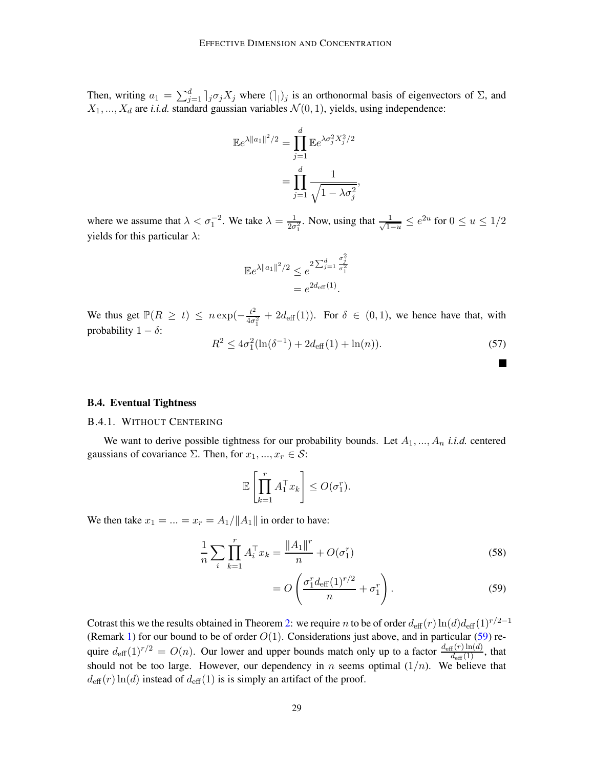Then, writing  $a_1 = \sum_{j=1}^d |j \sigma_j X_j|$  where  $(|j|)$  is an orthonormal basis of eigenvectors of  $\Sigma$ , and  $X_1, ..., X_d$  are *i.i.d.* standard gaussian variables  $\mathcal{N}(0, 1)$ , yields, using independence:

$$
\mathbb{E}e^{\lambda||a_1||^2/2} = \prod_{j=1}^d \mathbb{E}e^{\lambda \sigma_j^2 X_j^2/2}
$$

$$
= \prod_{j=1}^d \frac{1}{\sqrt{1 - \lambda \sigma_j^2}},
$$

where we assume that  $\lambda < \sigma_1^{-2}$ . We take  $\lambda = \frac{1}{2\sigma_1}$  $\frac{1}{2\sigma_1^2}$ . Now, using that  $\frac{1}{\sqrt{1-\sigma_1^2}}$  $\frac{1}{1-u} \leq e^{2u}$  for  $0 \leq u \leq 1/2$ yields for this particular  $\lambda$ :

$$
\mathbb{E}e^{\lambda||a_1||^2/2} \leq e^{2\sum_{j=1}^d \frac{\sigma_j^2}{\sigma_1^2}} = e^{2d_{\text{eff}}(1)}.
$$

We thus get  $\mathbb{P}(R \ge t) \le n \exp(-\frac{t^2}{4\sigma})$  $\frac{t^2}{4\sigma_1^2}$  +  $2d_{\text{eff}}(1)$ ). For  $\delta \in (0,1)$ , we hence have that, with probability  $1 - \delta$ :

$$
R^2 \le 4\sigma_1^2(\ln(\delta^{-1}) + 2d_{\text{eff}}(1) + \ln(n)).\tag{57}
$$

<span id="page-28-2"></span>П

# <span id="page-28-1"></span><span id="page-28-0"></span>B.4. Eventual Tightness

#### B.4.1. WITHOUT CENTERING

We want to derive possible tightness for our probability bounds. Let  $A_1, ..., A_n$  *i.i.d.* centered gaussians of covariance  $\Sigma$ . Then, for  $x_1, ..., x_r \in \mathcal{S}$ :

$$
\mathbb{E}\left[\prod_{k=1}^r A_1^\top x_k\right] \leq O(\sigma_1^r).
$$

We then take  $x_1 = ... = x_r = A_1 / ||A_1||$  in order to have:

$$
\frac{1}{n} \sum_{i} \prod_{k=1}^{r} A_i^{\top} x_k = \frac{\|A_1\|^r}{n} + O(\sigma_1^r)
$$
\n(58)

$$
= O\left(\frac{\sigma_1^r d_{\text{eff}}(1)^{r/2}}{n} + \sigma_1^r\right).
$$
 (59)

Cotrast this we the results obtained in Theorem [2:](#page-3-4) we require n to be of order  $d_{\text{eff}}(r) \ln(d) d_{\text{eff}}(1)^{r/2-1}$ (Remark [1\)](#page-3-7) for our bound to be of order  $O(1)$ . Considerations just above, and in particular [\(59\)](#page-28-2) require  $d_{\text{eff}}(1)^{r/2} = O(n)$ . Our lower and upper bounds match only up to a factor  $\frac{d_{\text{eff}}(r)\ln(d)}{d_{\text{eff}}(1)}$ , that should not be too large. However, our dependency in n seems optimal  $(1/n)$ . We believe that  $d_{\text{eff}}(r) \ln(d)$  instead of  $d_{\text{eff}}(1)$  is is simply an artifact of the proof.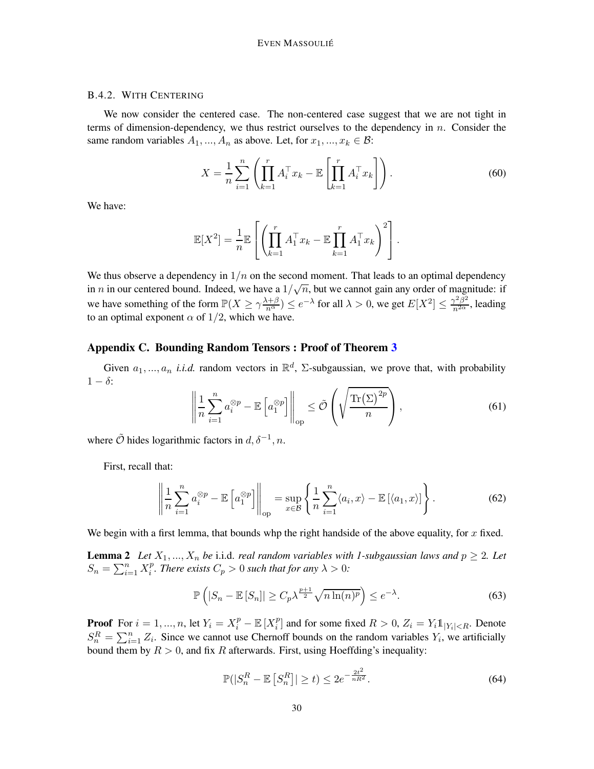# <span id="page-29-1"></span>B.4.2. WITH CENTERING

We now consider the centered case. The non-centered case suggest that we are not tight in terms of dimension-dependency, we thus restrict ourselves to the dependency in  $n$ . Consider the same random variables  $A_1, ..., A_n$  as above. Let, for  $x_1, ..., x_k \in \mathcal{B}$ :

$$
X = \frac{1}{n} \sum_{i=1}^{n} \left( \prod_{k=1}^{r} A_i^{\top} x_k - \mathbb{E} \left[ \prod_{k=1}^{r} A_i^{\top} x_k \right] \right). \tag{60}
$$

We have:

$$
\mathbb{E}[X^2] = \frac{1}{n} \mathbb{E}\left[\left(\prod_{k=1}^r A_1^\top x_k - \mathbb{E}\prod_{k=1}^r A_1^\top x_k\right)^2\right].
$$

We thus observe a dependency in  $1/n$  on the second moment. That leads to an optimal dependency in *n* in our centered bound. Indeed, we have a  $1/\sqrt{n}$ , but we cannot gain any order of magnitude: if we have something of the form  $\mathbb{P}(X \ge \gamma \frac{\lambda+\beta}{n^{\alpha}}) \le e^{-\lambda}$  for all  $\lambda > 0$ , we get  $E[X^2] \le \frac{\gamma^2 \beta^2}{n^{2\alpha}}$ , leading to an optimal exponent  $\alpha$  of 1/2, which we have.

#### <span id="page-29-0"></span>Appendix C. Bounding Random Tensors : Proof of Theorem [3](#page-5-1)

Given  $a_1, ..., a_n$  *i.i.d.* random vectors in  $\mathbb{R}^d$ ,  $\Sigma$ -subgaussian, we prove that, with probability  $1 - \delta$ :

$$
\left\| \frac{1}{n} \sum_{i=1}^{n} a_i^{\otimes p} - \mathbb{E} \left[ a_1^{\otimes p} \right] \right\|_{\text{op}} \le \tilde{\mathcal{O}} \left( \sqrt{\frac{\text{Tr}(\Sigma)^{2p}}{n}} \right),\tag{61}
$$

where  $\tilde{\mathcal{O}}$  hides logarithmic factors in  $d, \delta^{-1}, n$ .

First, recall that:

$$
\left\| \frac{1}{n} \sum_{i=1}^{n} a_i^{\otimes p} - \mathbb{E} \left[ a_1^{\otimes p} \right] \right\|_{\text{op}} = \sup_{x \in \mathcal{B}} \left\{ \frac{1}{n} \sum_{i=1}^{n} \langle a_i, x \rangle - \mathbb{E} \left[ \langle a_1, x \rangle \right] \right\}.
$$
 (62)

We begin with a first lemma, that bounds whp the right handside of the above equality, for  $x$  fixed.

**Lemma 2** Let  $X_1, ..., X_n$  be i.i.d. *real random variables with 1-subgaussian laws and*  $p \ge 2$ *. Let*  $S_n = \sum_{i=1}^n X_i^p$  $i<sup>p</sup>$ . There exists  $C_p > 0$  such that for any  $\lambda > 0$ :

$$
\mathbb{P}\left(|S_n - \mathbb{E}\left[S_n\right]| \ge C_p \lambda^{\frac{p+1}{2}} \sqrt{n \ln(n)^p} \right) \le e^{-\lambda}.\tag{63}
$$

**Proof** For  $i = 1, ..., n$ , let  $Y_i = X_i^p - \mathbb{E}[X_i^p]$  $i$ <sup>p</sup> and for some fixed  $R > 0$ ,  $Z_i = Y_i \mathbb{1}_{|Y_i| < R}$ . Denote  $S_n^R = \sum_{i=1}^n Z_i$ . Since we cannot use Chernoff bounds on the random variables  $Y_i$ , we artificially bound them by  $R > 0$ , and fix R afterwards. First, using Hoeffding's inequality:

<span id="page-29-2"></span>
$$
\mathbb{P}(|S_n^R - \mathbb{E}\left[S_n^R\right]| \ge t) \le 2e^{-\frac{2t^2}{nR^2}}.\tag{64}
$$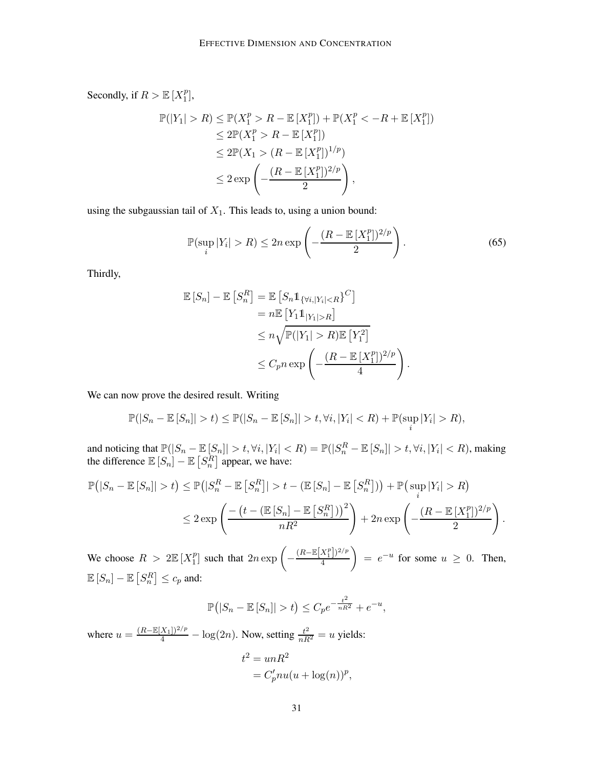Secondly, if  $R > \mathbb{E}[X_1^p]$  $\binom{p}{1}$ ,

$$
\mathbb{P}(|Y_1| > R) \le \mathbb{P}(X_1^p > R - \mathbb{E}[X_1^p]) + \mathbb{P}(X_1^p < -R + \mathbb{E}[X_1^p])
$$
  
\n
$$
\le 2\mathbb{P}(X_1^p > R - \mathbb{E}[X_1^p])
$$
  
\n
$$
\le 2\mathbb{P}(X_1 > (R - \mathbb{E}[X_1^p])^{1/p})
$$
  
\n
$$
\le 2 \exp\left(-\frac{(R - \mathbb{E}[X_1^p])^{2/p}}{2}\right),
$$

using the subgaussian tail of  $X_1$ . This leads to, using a union bound:

$$
\mathbb{P}(\sup_{i}|Y_{i}| > R) \leq 2n \exp\left(-\frac{(R - \mathbb{E}[X_{1}^{p}])^{2/p}}{2}\right).
$$
\n(65)

.

Thirdly,

$$
\mathbb{E}\left[S_n\right] - \mathbb{E}\left[S_n^R\right] = \mathbb{E}\left[S_n \mathbb{1}_{\{\forall i, |Y_i| < R\}}\right]^C
$$
\n
$$
= n \mathbb{E}\left[Y_1 \mathbb{1}_{|Y_1| > R}\right]
$$
\n
$$
\leq n \sqrt{\mathbb{P}(|Y_1| > R)} \mathbb{E}\left[Y_1^2\right]
$$
\n
$$
\leq C_p n \exp\left(-\frac{(R - \mathbb{E}\left[X_1^p\right])^{2/p}}{4}\right)
$$

We can now prove the desired result. Writing

$$
\mathbb{P}(|S_n - \mathbb{E}[S_n]| > t) \le \mathbb{P}(|S_n - \mathbb{E}[S_n]| > t, \forall i, |Y_i| < R) + \mathbb{P}(\sup_i |Y_i| > R),
$$

and noticing that  $\mathbb{P}(|S_n - \mathbb{E}[S_n]| > t, \forall i, |Y_i| < R) = \mathbb{P}(|S_n^R - \mathbb{E}[S_n]| > t, \forall i, |Y_i| < R)$ , making the difference  $\mathbb{E}[S_n] - \mathbb{E}[S_n^R]$  appear, we have:

$$
\mathbb{P}(|S_n - \mathbb{E}[S_n]| > t) \le \mathbb{P}(|S_n^R - \mathbb{E}[S_n^R]| > t - (\mathbb{E}[S_n] - \mathbb{E}[S_n^R])) + \mathbb{P}(\sup_i |Y_i| > R)
$$
  

$$
\le 2 \exp\left(\frac{-\left(t - (\mathbb{E}[S_n] - \mathbb{E}[S_n^R])\right)^2}{nR^2}\right) + 2n \exp\left(-\frac{(R - \mathbb{E}[X_1^P])^{2/p}}{2}\right).
$$

We choose  $R > 2\mathbb{E}[X_1^p]$  $\binom{p}{1}$  such that  $2n \exp \left(-\frac{1}{2}\right)$  $(R-\mathbb{E}[X_1^p])^{2/p}$ 4  $= e^{-u}$  for some  $u \geq 0$ . Then,  $\mathbb{E}\left[S_n\right] - \mathbb{E}\left[S_n^R\right] \leq c_p$  and:

$$
\mathbb{P}(|S_n - \mathbb{E}[S_n]| > t) \le C_p e^{-\frac{t^2}{nR^2}} + e^{-u},
$$

where  $u = \frac{(R - \mathbb{E}[X_1])^{2/p}}{4} - \log(2n)$ . Now, setting  $\frac{t^2}{nR^2} = u$  yields:

$$
t2 = unR2
$$
  
=  $C'_p nu(u + \log(n))^p$ ,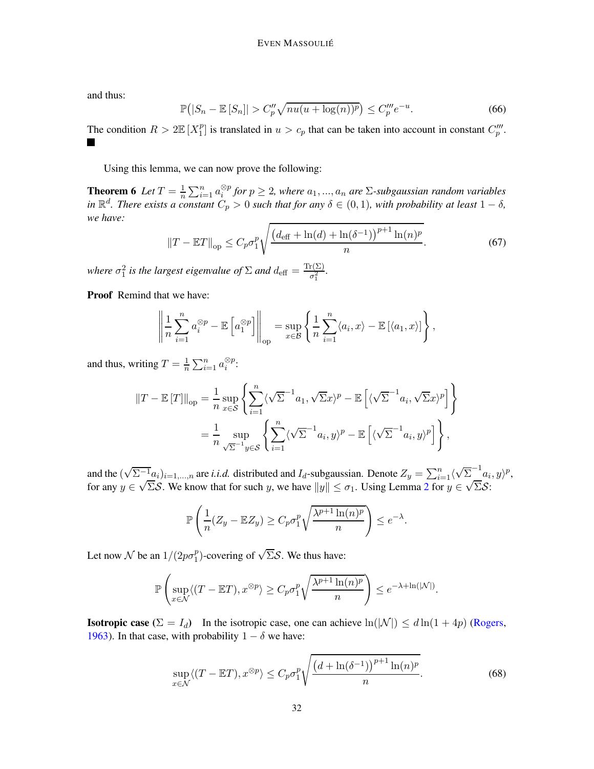and thus:

$$
\mathbb{P}\big(|S_n - \mathbb{E}[S_n]| > C_p'' \sqrt{nu(u + \log(n))^p} \big) \le C_p''' e^{-u}.\tag{66}
$$

The condition  $R > 2\mathbb{E}[X_1^p]$  $_{1}^{p}$ ] is translated in  $u > c_{p}$  that can be taken into account in constant  $C_p'''$ .  $\blacksquare$ 

Using this lemma, we can now prove the following:

**Theorem 6** Let  $T = \frac{1}{n}$  $\frac{1}{n} \sum_{i=1}^{n} a_i^{\otimes p}$  for  $p \ge 2$ , where  $a_1, ..., a_n$  are  $\Sigma$ -subgaussian random variables *in*  $\mathbb{R}^d$ *. There exists a constant*  $C_p > 0$  *such that for any*  $\delta \in (0,1)$ *, with probability at least*  $1 - \delta$ *, we have:*

$$
||T - \mathbb{E}T||_{op} \le C_p \sigma_1^p \sqrt{\frac{\left(d_{\text{eff}} + \ln(d) + \ln(\delta^{-1})\right)^{p+1} \ln(n)^p}{n}}.
$$
\n(67)

*where*  $\sigma_1^2$  *is the largest eigenvalue of*  $\Sigma$  *and*  $d_{\text{eff}} = \frac{\text{Tr}(\Sigma)}{\sigma_1^2}$  $\frac{\Gamma(\frac{2}{2})}{\sigma_1^2}$ .

Proof Remind that we have:

$$
\left\| \frac{1}{n} \sum_{i=1}^n a_i^{\otimes p} - \mathbb{E}\left[a_1^{\otimes p}\right] \right\|_{\text{op}} = \sup_{x \in \mathcal{B}} \left\{ \frac{1}{n} \sum_{i=1}^n \langle a_i, x \rangle - \mathbb{E}\left[\langle a_1, x \rangle\right] \right\},\,
$$

and thus, writing  $T = \frac{1}{n}$  $\frac{1}{n} \sum_{i=1}^n a_i^{\otimes p}$ :

$$
||T - \mathbb{E}[T]||_{op} = \frac{1}{n} \sup_{x \in \mathcal{S}} \left\{ \sum_{i=1}^{n} \langle \sqrt{\Sigma}^{-1} a_1, \sqrt{\Sigma} x \rangle^p - \mathbb{E} \left[ \langle \sqrt{\Sigma}^{-1} a_i, \sqrt{\Sigma} x \rangle^p \right] \right\}
$$
  

$$
= \frac{1}{n} \sup_{\sqrt{\Sigma}^{-1} y \in \mathcal{S}} \left\{ \sum_{i=1}^{n} \langle \sqrt{\Sigma}^{-1} a_i, y \rangle^p - \mathbb{E} \left[ \langle \sqrt{\Sigma}^{-1} a_i, y \rangle^p \right] \right\},
$$

and the  $(\sqrt{\Sigma^{-1}}a_i)_{i=1,\dots,n}$  are *i.i.d.* distributed and  $I_d$ -subgaussian. Denote  $Z_y = \sum_{i=1}^n \langle a_i, a_i \rangle$  $\sqrt{\Sigma}^{-1} a_i, y \rangle^p$ , for any  $y \in \sqrt{\Sigma}S$ . We know that for such y, we have  $||y|| \leq \sigma_1$ . Using Lemma [2](#page-29-2) for  $y \in \sqrt{\Sigma}S$ :

$$
\mathbb{P}\left(\frac{1}{n}(Z_y - \mathbb{E}Z_y) \ge C_p \sigma_1^p \sqrt{\frac{\lambda^{p+1}\ln(n)^p}{n}}\right) \le e^{-\lambda}.
$$

Let now N be an  $1/(2p\sigma_1^p)$  $_{1}^{p}$ )-covering of  $\sqrt{\Sigma}S$ . We thus have:

$$
\mathbb{P}\left(\sup_{x\in\mathcal{N}}\langle (T-\mathbb{E}T), x^{\otimes p} \rangle \ge C_p \sigma_1^p \sqrt{\frac{\lambda^{p+1}\ln(n)^p}{n}}\right) \le e^{-\lambda + \ln(|\mathcal{N}|)}.
$$

**Isotropic case**  $(\Sigma = I_d)$  In the isotropic case, one can achieve  $\ln(|\mathcal{N}|) \leq d \ln(1 + 4p)$  [\(Rogers](#page-15-13), [1963\)](#page-15-13). In that case, with probability  $1 - \delta$  we have:

$$
\sup_{x \in \mathcal{N}} \langle (T - \mathbb{E}T), x^{\otimes p} \rangle \le C_p \sigma_1^p \sqrt{\frac{\left(d + \ln(\delta^{-1})\right)^{p+1} \ln(n)^p}{n}}.
$$
\n(68)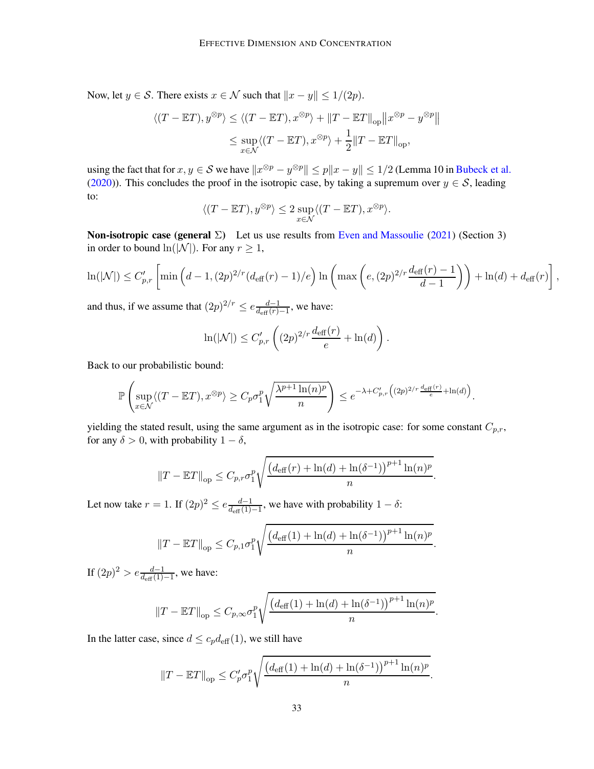Now, let  $y \in S$ . There exists  $x \in \mathcal{N}$  such that  $||x - y|| \leq 1/(2p)$ .

$$
\begin{aligned} \langle (T-\mathbb{E}T), y^{\otimes p} \rangle &\leq \langle (T-\mathbb{E}T), x^{\otimes p} \rangle + \| T-\mathbb{E}T \|_{\text{op}} \big\| x^{\otimes p} - y^{\otimes p} \big\| \\ &\leq \sup_{x \in \mathcal{N}} \langle (T-\mathbb{E}T), x^{\otimes p} \rangle + \frac{1}{2} \| T-\mathbb{E}T \|_{\text{op}}, \end{aligned}
$$

using the fact that for  $x, y \in S$  we have  $||x^{\otimes p} - y^{\otimes p}|| \le p||x - y|| \le 1/2$  (Lemma 10 in [Bubeck et al.](#page-13-2) [\(2020](#page-13-2))). This concludes the proof in the isotropic case, by taking a supremum over  $y \in S$ , leading to:

$$
\langle (T - \mathbb{E}T), y^{\otimes p} \rangle \le 2 \sup_{x \in \mathcal{N}} \langle (T - \mathbb{E}T), x^{\otimes p} \rangle.
$$

**Non-isotropic case (general**  $\Sigma$ **)** Let us use results from [Even and Massoulie](#page-14-9) [\(2021](#page-14-9)) (Section 3) in order to bound  $ln(|\mathcal{N}|)$ . For any  $r \geq 1$ ,

$$
\ln(|\mathcal{N}|) \le C'_{p,r} \left[ \min\left(d-1, (2p)^{2/r} (d_{\text{eff}}(r)-1)/e\right) \ln\left(\max\left(e, (2p)^{2/r} \frac{d_{\text{eff}}(r)-1}{d-1}\right)\right) + \ln(d) + d_{\text{eff}}(r) \right],
$$

and thus, if we assume that  $(2p)^{2/r} \le e \frac{d-1}{d_{\text{eff}}(r)}$  $\frac{d-1}{d_{\text{eff}}(r)-1}$ , we have:

$$
\ln(|\mathcal{N}|) \le C'_{p,r}\left((2p)^{2/r}\frac{d_{\text{eff}}(r)}{e} + \ln(d)\right).
$$

Back to our probabilistic bound:

$$
\mathbb{P}\left(\sup_{x\in\mathcal{N}}\langle (T-\mathbb{E}T), x^{\otimes p} \rangle \geq C_p \sigma_1^p \sqrt{\frac{\lambda^{p+1}\ln(n)^p}{n}}\right) \leq e^{-\lambda + C'_{p,r}\left((2p)^{2/r}\frac{d_{\text{eff}}(r)}{e} + \ln(d)\right)}.
$$

yielding the stated result, using the same argument as in the isotropic case: for some constant  $C_{p,r}$ , for any  $\delta > 0$ , with probability  $1 - \delta$ ,

$$
||T - \mathbb{E}T||_{op} \leq C_{p,r} \sigma_1^p \sqrt{\frac{(d_{\text{eff}}(r) + \ln(d) + \ln(\delta^{-1}))^{p+1} \ln(n)^p}{n}}
$$
.

Let now take  $r = 1$ . If  $(2p)^2 \le e \frac{d-1}{d_{\text{eff}}(1)}$  $\frac{d-1}{d_{\text{eff}}(1)-1}$ , we have with probability  $1-\delta$ :

$$
||T - \mathbb{E}T||_{op} \le C_{p,1}\sigma_1^p \sqrt{\frac{(d_{\text{eff}}(1) + \ln(d) + \ln(\delta^{-1}))^{p+1}\ln(n)^p}{n}}
$$

.

If  $(2p)^2 > e \frac{d-1}{d_{\text{eff}}(1)-1}$ , we have:

$$
||T - \mathbb{E}T||_{op} \leq C_{p,\infty} \sigma_1^p \sqrt{\frac{(d_{\text{eff}}(1) + \ln(d) + \ln(\delta^{-1}))^{p+1} \ln(n)^p}{n}}
$$
.

In the latter case, since  $d \leq c_p d_{\text{eff}}(1)$ , we still have

$$
||T - \mathbb{E}T||_{op} \le C'_p \sigma_1^p \sqrt{\frac{(d_{\text{eff}}(1) + \ln(d) + \ln(\delta^{-1}))^{p+1} \ln(n)^p}{n}}.
$$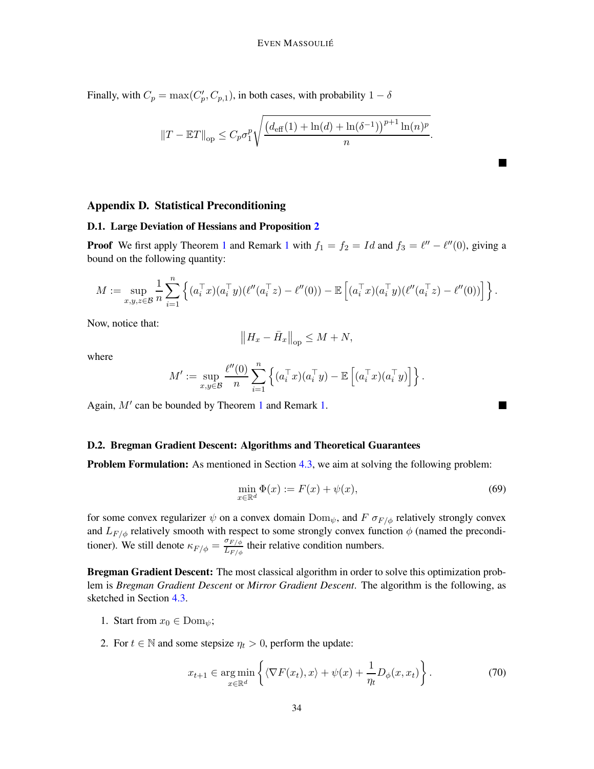Finally, with  $C_p = \max(C_p', C_{p,1})$ , in both cases, with probability  $1 - \delta$ 

$$
||T - \mathbb{E}T||_{op} \leq C_p \sigma_1^p \sqrt{\frac{(d_{\text{eff}}(1) + \ln(d) + \ln(\delta^{-1}))^{p+1} \ln(n)^p}{n}}
$$
.

# <span id="page-33-1"></span><span id="page-33-0"></span>Appendix D. Statistical Preconditioning

## D.1. Large Deviation of Hessians and Proposition [2](#page-8-1)

**Proof** We first apply Theorem [1](#page-3-7) and Remark 1 with  $f_1 = f_2 = Id$  and  $f_3 = \ell'' - \ell''(0)$ , giving a bound on the following quantity:

$$
M := \sup_{x,y,z \in \mathcal{B}} \frac{1}{n} \sum_{i=1}^n \left\{ (a_i^\top x)(a_i^\top y)(\ell''(a_i^\top z) - \ell''(0)) - \mathbb{E}\left[ (a_i^\top x)(a_i^\top y)(\ell''(a_i^\top z) - \ell''(0)) \right] \right\}.
$$

Now, notice that:

$$
\left\|H_x - \bar{H}_x\right\|_{\text{op}} \le M + N,
$$

where

$$
M':=\sup_{x,y\in\mathcal{B}}\frac{\ell''(0)}{n}\sum_{i=1}^n\left\{(a_i^\top x)(a_i^\top y)-\mathbb{E}\left[(a_i^\top x)(a_i^\top y)\right]\right\}.
$$

Again, M′ can be bounded by Theorem [1](#page-3-1) and Remark [1.](#page-3-7)

### <span id="page-33-2"></span>D.2. Bregman Gradient Descent: Algorithms and Theoretical Guarantees

**Problem Formulation:** As mentioned in Section [4.3,](#page-10-1) we aim at solving the following problem:

$$
\min_{x \in \mathbb{R}^d} \Phi(x) := F(x) + \psi(x),\tag{69}
$$

П

 $\blacksquare$ 

for some convex regularizer  $\psi$  on a convex domain  $Dom_{\psi}$ , and  $F \sigma_{F/\phi}$  relatively strongly convex and  $L_{F/\phi}$  relatively smooth with respect to some strongly convex function  $\phi$  (named the preconditioner). We still denote  $\kappa_{F/\phi} = \frac{\sigma_{F/\phi}}{L_{F/\phi}}$  $\frac{\partial F/\phi}{\partial F/\phi}$  their relative condition numbers.

Bregman Gradient Descent: The most classical algorithm in order to solve this optimization problem is *Bregman Gradient Descent* or *Mirror Gradient Descent*. The algorithm is the following, as sketched in Section [4.3.](#page-10-1)

- 1. Start from  $x_0 \in \text{Dom}_{\psi}$ ;
- 2. For  $t \in \mathbb{N}$  and some stepsize  $\eta_t > 0$ , perform the update:

<span id="page-33-3"></span>
$$
x_{t+1} \in \underset{x \in \mathbb{R}^d}{\arg \min} \left\{ \langle \nabla F(x_t), x \rangle + \psi(x) + \frac{1}{\eta_t} D_{\phi}(x, x_t) \right\}.
$$
 (70)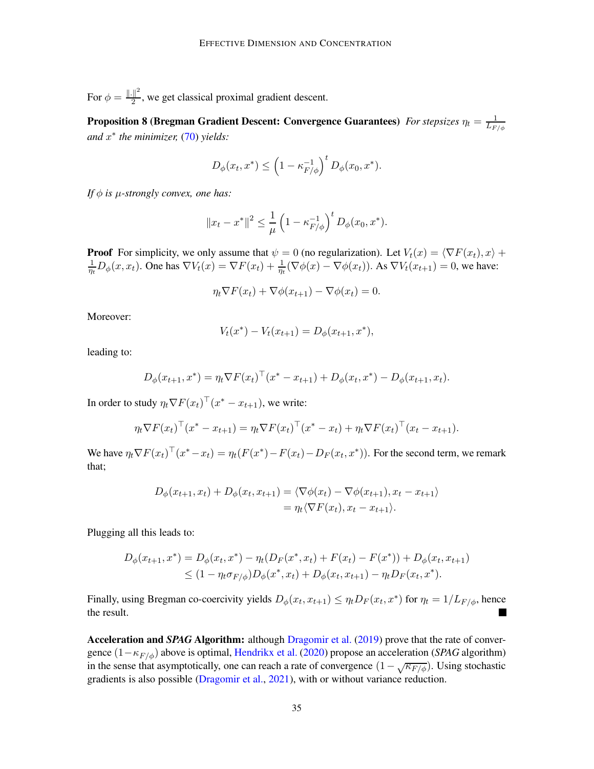For  $\phi = \frac{\left\| . \right\|^2}{2}$  $\frac{1}{2}$ , we get classical proximal gradient descent.

**Proposition 8 (Bregman Gradient Descent: Convergence Guarantees)** For stepsizes  $\eta_t = \frac{1}{L_{F/\phi}}$ *and* x ∗ *the minimizer,* [\(70\)](#page-33-3) *yields:*

$$
D_{\phi}(x_t, x^*) \leq \left(1 - \kappa_{F/\phi}^{-1}\right)^t D_{\phi}(x_0, x^*).
$$

*If*  $\phi$  *is*  $\mu$ -strongly convex, one has:

$$
||x_t - x^*||^2 \le \frac{1}{\mu} \left(1 - \kappa_{F/\phi}^{-1}\right)^t D_\phi(x_0, x^*).
$$

**Proof** For simplicity, we only assume that  $\psi = 0$  (no regularization). Let  $V_t(x) = \langle \nabla F(x_t), x \rangle +$ 1  $\frac{1}{\eta_t}D_{\phi}(x, x_t)$ . One has  $\nabla V_t(x) = \nabla F(x_t) + \frac{1}{\eta_t}(\nabla \phi(x) - \nabla \phi(x_t))$ . As  $\nabla V_t(x_{t+1}) = 0$ , we have:

$$
\eta_t \nabla F(x_t) + \nabla \phi(x_{t+1}) - \nabla \phi(x_t) = 0.
$$

Moreover:

$$
V_t(x^*) - V_t(x_{t+1}) = D_{\phi}(x_{t+1}, x^*),
$$

leading to:

$$
D_{\phi}(x_{t+1}, x^*) = \eta_t \nabla F(x_t)^\top (x^* - x_{t+1}) + D_{\phi}(x_t, x^*) - D_{\phi}(x_{t+1}, x_t).
$$

In order to study  $\eta_t \nabla F(x_t)^\top (x^* - x_{t+1})$ , we write:

$$
\eta_t \nabla F(x_t)^\top (x^* - x_{t+1}) = \eta_t \nabla F(x_t)^\top (x^* - x_t) + \eta_t \nabla F(x_t)^\top (x_t - x_{t+1}).
$$

We have  $\eta_t \nabla F(x_t)$ <sup> $\mid$ </sup>  $(x^* - x_t) = \eta_t (F(x^*) - F(x_t) - D_F(x_t, x^*))$ . For the second term, we remark that;

$$
D_{\phi}(x_{t+1}, x_t) + D_{\phi}(x_t, x_{t+1}) = \langle \nabla \phi(x_t) - \nabla \phi(x_{t+1}), x_t - x_{t+1} \rangle
$$
  
=  $\eta_t \langle \nabla F(x_t), x_t - x_{t+1} \rangle$ .

Plugging all this leads to:

$$
D_{\phi}(x_{t+1}, x^*) = D_{\phi}(x_t, x^*) - \eta_t (D_F(x^*, x_t) + F(x_t) - F(x^*)) + D_{\phi}(x_t, x_{t+1})
$$
  
\$\leq (1 - \eta\_t \sigma\_{F/\phi}) D\_{\phi}(x^\*, x\_t) + D\_{\phi}(x\_t, x\_{t+1}) - \eta\_t D\_F(x\_t, x^\*)\$.

Finally, using Bregman co-coercivity yields  $D_{\phi}(x_t, x_{t+1}) \leq \eta_t D_F(x_t, x^*)$  for  $\eta_t = 1/L_{F/\phi}$ , hence the result. П

Acceleration and *SPAG* Algorithm: although [Dragomir et al.](#page-13-5) [\(2019\)](#page-13-5) prove that the rate of convergence (1−κF/φ) above is optimal, [Hendrikx et al.](#page-14-4) [\(2020](#page-14-4)) propose an acceleration (*SPAG* algorithm) in the sense that asymptotically, one can reach a rate of convergence  $(1 - \sqrt{\kappa_{F/\phi}})$ . Using stochastic gradients is also possible [\(Dragomir et al.](#page-14-10), [2021\)](#page-14-10), with or without variance reduction.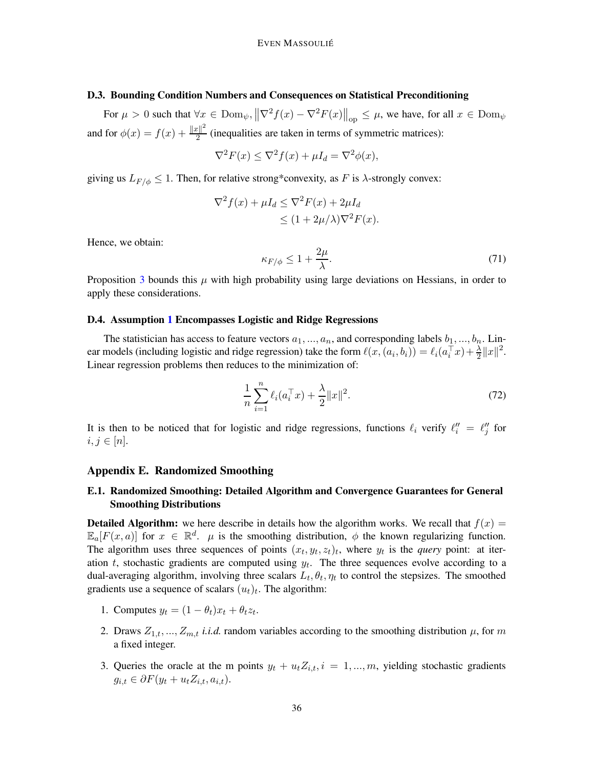# <span id="page-35-2"></span>D.3. Bounding Condition Numbers and Consequences on Statistical Preconditioning

For  $\mu > 0$  such that  $\forall x \in \text{Dom}_{\psi}, \left\|\nabla^2 f(x) - \nabla^2 F(x)\right\|_{\text{op}} \leq \mu$ , we have, for all  $x \in \text{Dom}_{\psi}$ and for  $\phi(x) = f(x) + \frac{||x||^2}{2}$  $\frac{2}{2}$  (inequalities are taken in terms of symmetric matrices):

$$
\nabla^2 F(x) \le \nabla^2 f(x) + \mu I_d = \nabla^2 \phi(x),
$$

giving us  $L_{F/\phi} \leq 1$ . Then, for relative strong\*convexity, as F is  $\lambda$ -strongly convex:

$$
\nabla^2 f(x) + \mu I_d \le \nabla^2 F(x) + 2\mu I_d
$$
  
\n
$$
\le (1 + 2\mu/\lambda)\nabla^2 F(x).
$$

Hence, we obtain:

$$
\kappa_{F/\phi} \le 1 + \frac{2\mu}{\lambda}.\tag{71}
$$

Proposition [3](#page-10-0) bounds this  $\mu$  with high probability using large deviations on Hessians, in order to apply these considerations.

# <span id="page-35-0"></span>D.4. Assumption [1](#page-8-2) Encompasses Logistic and Ridge Regressions

The statistician has access to feature vectors  $a_1, ..., a_n$ , and corresponding labels  $b_1, ..., b_n$ . Linear models (including logistic and ridge regression) take the form  $\ell(x, (a_i, b_i)) = \ell_i(a_i^\top x) + \frac{\lambda}{2} ||x||^2$ . Linear regression problems then reduces to the minimization of:

$$
\frac{1}{n}\sum_{i=1}^{n}\ell_i(a_i^{\top}x) + \frac{\lambda}{2}||x||^2.
$$
 (72)

It is then to be noticed that for logistic and ridge regressions, functions  $\ell_i$  verify  $\ell''_i = \ell''_j$  for  $i, j \in [n]$ .

### <span id="page-35-3"></span><span id="page-35-1"></span>Appendix E. Randomized Smoothing

# E.1. Randomized Smoothing: Detailed Algorithm and Convergence Guarantees for General Smoothing Distributions

**Detailed Algorithm:** we here describe in details how the algorithm works. We recall that  $f(x) =$  $\mathbb{E}_a[F(x,a)]$  for  $x \in \mathbb{R}^d$ .  $\mu$  is the smoothing distribution,  $\phi$  the known regularizing function. The algorithm uses three sequences of points  $(x_t, y_t, z_t)_t$ , where  $y_t$  is the *query* point: at iteration  $t$ , stochastic gradients are computed using  $y_t$ . The three sequences evolve according to a dual-averaging algorithm, involving three scalars  $L_t$ ,  $\theta_t$ ,  $\eta_t$  to control the stepsizes. The smoothed gradients use a sequence of scalars  $(u_t)_t$ . The algorithm:

- 1. Computes  $y_t = (1 \theta_t)x_t + \theta_t z_t$ .
- 2. Draws  $Z_{1,t},..., Z_{m,t}$  *i.i.d.* random variables according to the smoothing distribution  $\mu$ , for m a fixed integer.
- 3. Queries the oracle at the m points  $y_t + u_t Z_{i,t}$ ,  $i = 1, ..., m$ , yielding stochastic gradients  $g_{i,t} \in \partial F(y_t + u_t Z_{i,t}, a_{i,t}).$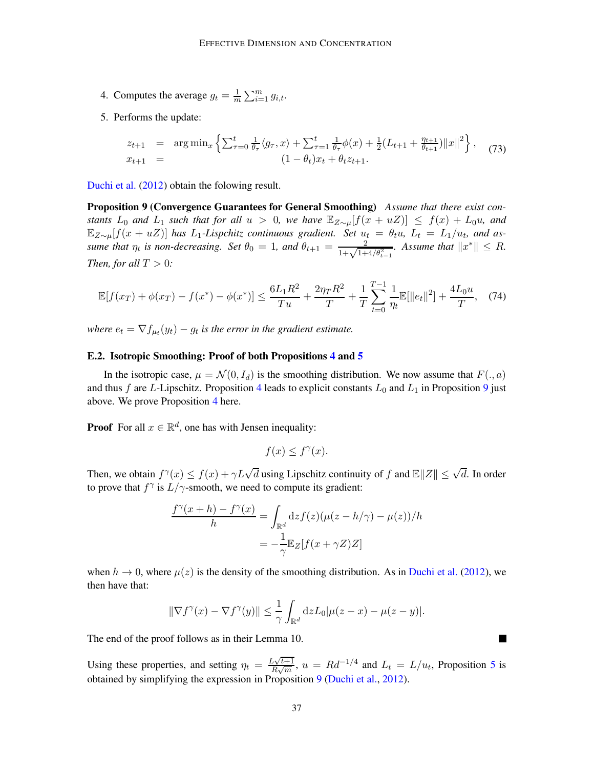- 4. Computes the average  $g_t = \frac{1}{m}$  $\frac{1}{m}\sum_{i=1}^m g_{i,t}.$
- 5. Performs the update:

<span id="page-36-1"></span>
$$
z_{t+1} = \arg\min_{x} \left\{ \sum_{\tau=0}^{t} \frac{1}{\theta_{\tau}} \langle g_{\tau}, x \rangle + \sum_{\tau=1}^{t} \frac{1}{\theta_{\tau}} \phi(x) + \frac{1}{2} (L_{t+1} + \frac{\eta_{t+1}}{\theta_{t+1}}) ||x||^2 \right\}, \quad (73)
$$
  

$$
x_{t+1} = (1 - \theta_t)x_t + \theta_t z_{t+1}.
$$

[Duchi et al.](#page-14-5) [\(2012](#page-14-5)) obtain the folowing result.

Proposition 9 (Convergence Guarantees for General Smoothing) *Assume that there exist constants*  $L_0$  *and*  $L_1$  *such that for all*  $u > 0$ *, we have*  $\mathbb{E}_{Z \sim \mu}[f(x + uZ)] \leq f(x) + L_0u$ *, and*  $\mathbb{E}_{Z\sim\mu}[f(x+uZ)]$  has  $L_1$ -Lispchitz continuous gradient. Set  $u_t = \theta_t u$ ,  $L_t = L_1/u_t$ , and as*sume that*  $\eta_t$  *is non-decreasing.* Set  $\theta_0 = 1$ *, and*  $\theta_{t+1} = \frac{2}{1 + \sqrt{1 + 4/\theta_{t-1}^2}}$ *. Assume that*  $||x^*|| \leq R$ *. Then, for all*  $T > 0$ *:* 

$$
\mathbb{E}[f(x_T) + \phi(x_T) - f(x^*) - \phi(x^*)] \le \frac{6L_1R^2}{Tu} + \frac{2\eta_TR^2}{T} + \frac{1}{T}\sum_{t=0}^{T-1} \frac{1}{\eta_t} \mathbb{E}[\|e_t\|^2] + \frac{4L_0u}{T}, \quad (74)
$$

where  $e_t = \nabla f_{\mu_t}(y_t) - g_t$  is the error in the gradient estimate.

## <span id="page-36-0"></span>E.2. Isotropic Smoothing: Proof of both Propositions [4](#page-11-3) and [5](#page-11-1)

In the isotropic case,  $\mu = \mathcal{N}(0, I_d)$  is the smoothing distribution. We now assume that  $F(., a)$ and thus f are L-Lipschitz. Proposition [4](#page-11-3) leads to explicit constants  $L_0$  and  $L_1$  in Proposition [9](#page-36-1) just above. We prove Proposition [4](#page-11-3) here.

**Proof** For all  $x \in \mathbb{R}^d$ , one has with Jensen inequality:

$$
f(x) \le f^{\gamma}(x).
$$

Then, we obtain  $f^{\gamma}(x) \le f(x) + \gamma L \sqrt{d}$  using Lipschitz continuity of f and  $\mathbb{E} ||Z|| \le \sqrt{d}$ . In order to prove that  $f^{\gamma}$  is  $L/\gamma$ -smooth, we need to compute its gradient:

$$
\frac{f^{\gamma}(x+h) - f^{\gamma}(x)}{h} = \int_{\mathbb{R}^d} dz f(z) (\mu(z-h/\gamma) - \mu(z))/h
$$

$$
= -\frac{1}{\gamma} \mathbb{E}_Z[f(x+\gamma Z)Z]
$$

when  $h \to 0$ , where  $\mu(z)$  is the density of the smoothing distribution. As in [Duchi et al.](#page-14-5) [\(2012](#page-14-5)), we then have that:

$$
\|\nabla f^{\gamma}(x) - \nabla f^{\gamma}(y)\| \leq \frac{1}{\gamma} \int_{\mathbb{R}^d} dz L_0 |\mu(z - x) - \mu(z - y)|.
$$

■

The end of the proof follows as in their Lemma 10.

Using these properties, and setting  $\eta_t = \frac{L\sqrt{t+1}}{B\sqrt{m}}$  $\frac{L\sqrt{t+1}}{R\sqrt{m}}, u = Rd^{-1/4}$  and  $L_t = L/u_t$ , Proposition [5](#page-11-1) is obtained by simplifying the expression in Proposition [9](#page-36-1) [\(Duchi et al.,](#page-14-5) [2012](#page-14-5)).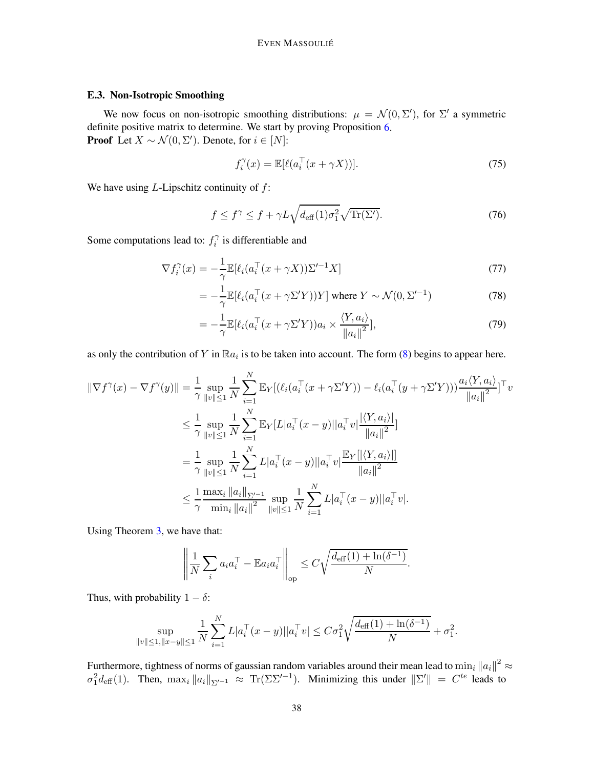# <span id="page-37-0"></span>E.3. Non-Isotropic Smoothing

We now focus on non-isotropic smoothing distributions:  $\mu = \mathcal{N}(0, \Sigma')$ , for  $\Sigma'$  a symmetric definite positive matrix to determine. We start by proving Proposition [6.](#page-12-3) **Proof** Let  $X \sim \mathcal{N}(0, \Sigma')$ . Denote, for  $i \in [N]$ :

$$
f_i^{\gamma}(x) = \mathbb{E}[\ell(a_i^{\top}(x + \gamma X))]. \tag{75}
$$

We have using  $L$ -Lipschitz continuity of  $f$ :

$$
f \le f^{\gamma} \le f + \gamma L \sqrt{d_{\text{eff}}(1)\sigma_1^2} \sqrt{\text{Tr}(\Sigma')}.
$$
 (76)

Some computations lead to:  $f_i^{\gamma}$  $i^{\gamma}$  is differentiable and

$$
\nabla f_i^{\gamma}(x) = -\frac{1}{\gamma} \mathbb{E}[\ell_i(a_i^{\top}(x + \gamma X))\Sigma'^{-1}X] \tag{77}
$$

$$
= -\frac{1}{\gamma} \mathbb{E}[\ell_i(a_i^\top (x + \gamma \Sigma' Y))Y] \text{ where } Y \sim \mathcal{N}(0, \Sigma'^{-1})
$$
 (78)

$$
= -\frac{1}{\gamma} \mathbb{E} [\ell_i (a_i^\top (x + \gamma \Sigma' Y)) a_i \times \frac{\langle Y, a_i \rangle}{\|a_i\|^2}], \tag{79}
$$

as only the contribution of Y in  $\mathbb{R}a_i$  is to be taken into account. The form [\(8\)](#page-3-8) begins to appear here.

$$
\|\nabla f^{\gamma}(x) - \nabla f^{\gamma}(y)\| = \frac{1}{\gamma} \sup_{\|v\| \le 1} \frac{1}{N} \sum_{i=1}^{N} \mathbb{E}_{Y} [(\ell_i(a_i^{\top}(x + \gamma \Sigma' Y)) - \ell_i(a_i^{\top}(y + \gamma \Sigma' Y))) \frac{a_i \langle Y, a_i \rangle}{\|a_i\|^2}]^{\top} v
$$
  
\n
$$
\le \frac{1}{\gamma} \sup_{\|v\| \le 1} \frac{1}{N} \sum_{i=1}^{N} \mathbb{E}_{Y} [L|a_i^{\top}(x - y)||a_i^{\top} v] \frac{|\langle Y, a_i \rangle|}{\|a_i\|^2}]
$$
  
\n
$$
= \frac{1}{\gamma} \sup_{\|v\| \le 1} \frac{1}{N} \sum_{i=1}^{N} L|a_i^{\top}(x - y)||a_i^{\top} v] \frac{\mathbb{E}_{Y} [|\langle Y, a_i \rangle|]}{\|a_i\|^2}
$$
  
\n
$$
\le \frac{1}{\gamma} \frac{\max_i \|a_i\|_{\Sigma'^{-1}}}{\min_i \|a_i\|^2} \sup_{\|v\| \le 1} \frac{1}{N} \sum_{i=1}^{N} L|a_i^{\top}(x - y)||a_i^{\top} v|.
$$

Using Theorem [3,](#page-5-1) we have that:

$$
\left\| \frac{1}{N} \sum_{i} a_i a_i^{\top} - \mathbb{E} a_i a_i^{\top} \right\|_{\text{op}} \leq C \sqrt{\frac{d_{\text{eff}}(1) + \ln(\delta^{-1})}{N}}.
$$

Thus, with probability  $1 - \delta$ :

$$
\sup_{\|v\| \le 1, \|x-y\| \le 1} \frac{1}{N} \sum_{i=1}^N L |a_i^\top (x-y)| |a_i^\top v| \le C\sigma_1^2 \sqrt{\frac{d_{\text{eff}}(1) + \ln(\delta^{-1})}{N}} + \sigma_1^2.
$$

Furthermore, tightness of norms of gaussian random variables around their mean lead to  $\min_i ||a_i||^2 \approx$  $\sigma_1^2 d_{\text{eff}}(1)$ . Then,  $\max_i ||a_i||_{\Sigma'^{-1}} \approx \text{Tr}(\Sigma \Sigma'^{-1})$ . Minimizing this under  $||\Sigma'|| = C^{te}$  leads to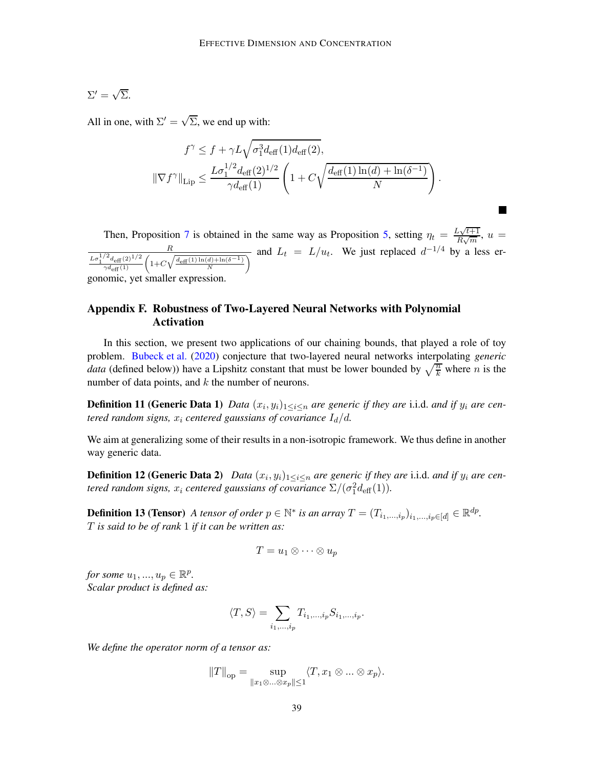$$
\Sigma' = \sqrt{\Sigma}.
$$

All in one, with  $\Sigma' = \sqrt{\Sigma}$ , we end up with:

$$
f^{\gamma} \leq f + \gamma L \sqrt{\sigma_1^3 d_{\text{eff}}(1) d_{\text{eff}}(2)},
$$
  

$$
\|\nabla f^{\gamma}\|_{\text{Lip}} \leq \frac{L \sigma_1^{1/2} d_{\text{eff}}(2)^{1/2}}{\gamma d_{\text{eff}}(1)} \left(1 + C \sqrt{\frac{d_{\text{eff}}(1) \ln(d) + \ln(\delta^{-1})}{N}}\right).
$$

Then, Proposition [7](#page-12-4) is obtained in the same way as Proposition [5,](#page-11-1) setting  $\eta_t = \frac{L\sqrt{t+1}}{B\sqrt{m}}$ ,  $u =$  $R\sqrt{m}$ R  $\frac{1}{2} \frac{L\sigma_1^{1/2} d_{\text{eff}}(2)^{1/2}}{\sqrt{d_{\text{eff}}(1)}} \left(1 + C\sqrt{\frac{d_{\text{eff}}(1)\ln(d) + \ln(\delta^{-1})}{N}}\right)$  and  $L_t = L/u_t$ . We just replaced  $d^{-1/4}$  by a less ergonomic, yet smaller expression.

# <span id="page-38-0"></span>Appendix F. Robustness of Two-Layered Neural Networks with Polynomial Activation

In this section, we present two applications of our chaining bounds, that played a role of toy problem. [Bubeck et al.](#page-13-2) [\(2020](#page-13-2)) conjecture that two-layered neural networks interpolating *generic data* (defined below)) have a Lipshitz constant that must be lower bounded by  $\sqrt{\frac{n}{k}}$  where *n* is the number of data points, and  $k$  the number of neurons.

**Definition 11 (Generic Data 1)** Data  $(x_i, y_i)_{1 \leq i \leq n}$  are generic if they are i.i.d. and if  $y_i$  are cen*tered random signs,*  $x_i$  *centered gaussians of covariance*  $I_d/d$ *.* 

<span id="page-38-1"></span>We aim at generalizing some of their results in a non-isotropic framework. We thus define in another way generic data.

**Definition 12 (Generic Data 2)** Data  $(x_i, y_i)_{1 \leq i \leq n}$  are generic if they are i.i.d. and if  $y_i$  are centered random signs,  $x_i$  centered gaussians of covariance  $\Sigma/(\sigma_1^2 d_{\text{eff}}(1))$ .

**Definition 13 (Tensor)** *A tensor of order*  $p \in \mathbb{N}^*$  *is an array*  $T = (T_{i_1,\ldots,i_p})_{i_1,\ldots,i_p \in [d]} \in \mathbb{R}^{dp}$ . T *is said to be of rank* 1 *if it can be written as:*

$$
T = u_1 \otimes \cdots \otimes u_p
$$

*for some*  $u_1, ..., u_p \in \mathbb{R}^p$ . *Scalar product is defined as:*

$$
\langle T, S \rangle = \sum_{i_1, \dots, i_p} T_{i_1, \dots, i_p} S_{i_1, \dots, i_p}.
$$

*We define the operator norm of a tensor as:*

$$
||T||_{\text{op}} = \sup_{||x_1 \otimes ... \otimes x_p|| \le 1} \langle T, x_1 \otimes ... \otimes x_p \rangle.
$$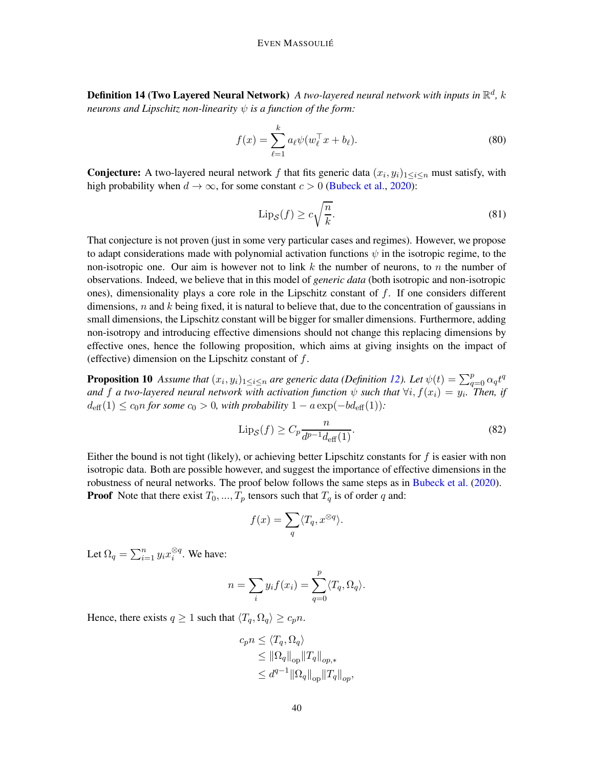**Definition 14 (Two Layered Neural Network)** A two-layered neural network with inputs in  $\mathbb{R}^d$ , k *neurons and Lipschitz non-linearity* ψ *is a function of the form:*

$$
f(x) = \sum_{\ell=1}^{k} a_{\ell} \psi(w_{\ell}^{\top} x + b_{\ell}).
$$
 (80)

**Conjecture:** A two-layered neural network f that fits generic data  $(x_i, y_i)_{1 \leq i \leq n}$  must satisfy, with high probability when  $d \to \infty$ , for some constant  $c > 0$  [\(Bubeck et al.,](#page-13-2) [2020\)](#page-13-2):

$$
\text{Lip}_{\mathcal{S}}(f) \ge c\sqrt{\frac{n}{k}}.\tag{81}
$$

That conjecture is not proven (just in some very particular cases and regimes). However, we propose to adapt considerations made with polynomial activation functions  $\psi$  in the isotropic regime, to the non-isotropic one. Our aim is however not to link  $k$  the number of neurons, to  $n$  the number of observations. Indeed, we believe that in this model of *generic data* (both isotropic and non-isotropic ones), dimensionality plays a core role in the Lipschitz constant of  $f$ . If one considers different dimensions,  $n$  and  $k$  being fixed, it is natural to believe that, due to the concentration of gaussians in small dimensions, the Lipschitz constant will be bigger for smaller dimensions. Furthermore, adding non-isotropy and introducing effective dimensions should not change this replacing dimensions by effective ones, hence the following proposition, which aims at giving insights on the impact of (effective) dimension on the Lipschitz constant of  $f$ .

**Proposition 10** Assume that  $(x_i, y_i)_{1 \leq i \leq n}$  are generic data (Definition [12\)](#page-38-1). Let  $\psi(t) = \sum_{q=0}^{p} \alpha_q t^q$ *and* f a two-layered neural network with activation function  $\psi$  such that  $\forall i, f(x_i) = y_i$ . Then, if  $d_{\text{eff}}(1) \leq c_0 n$  *for some*  $c_0 > 0$ *, with probability*  $1 - a \exp(-b d_{\text{eff}}(1))$ *:* 

$$
\operatorname{Lip}_{\mathcal{S}}(f) \ge C_p \frac{n}{d^{p-1} d_{\text{eff}}(1)}.\tag{82}
$$

Either the bound is not tight (likely), or achieving better Lipschitz constants for  $f$  is easier with non isotropic data. Both are possible however, and suggest the importance of effective dimensions in the robustness of neural networks. The proof below follows the same steps as in [Bubeck et al.](#page-13-2) [\(2020\)](#page-13-2). **Proof** Note that there exist  $T_0, ..., T_p$  tensors such that  $T_q$  is of order q and:

$$
f(x) = \sum_{q} \langle T_q, x^{\otimes q} \rangle.
$$

Let  $\Omega_q = \sum_{i=1}^n y_i x_i^{\otimes q}$ . We have:

$$
n = \sum_{i} y_i f(x_i) = \sum_{q=0}^{p} \langle T_q, \Omega_q \rangle.
$$

Hence, there exists  $q \ge 1$  such that  $\langle T_q, \Omega_q \rangle \ge c_p n$ .

$$
c_p n \leq \langle T_q, \Omega_q \rangle
$$
  
\n
$$
\leq \|\Omega_q\|_{op} \|T_q\|_{op,*}
$$
  
\n
$$
\leq d^{q-1} \|\Omega_q\|_{op} \|T_q\|_{op},
$$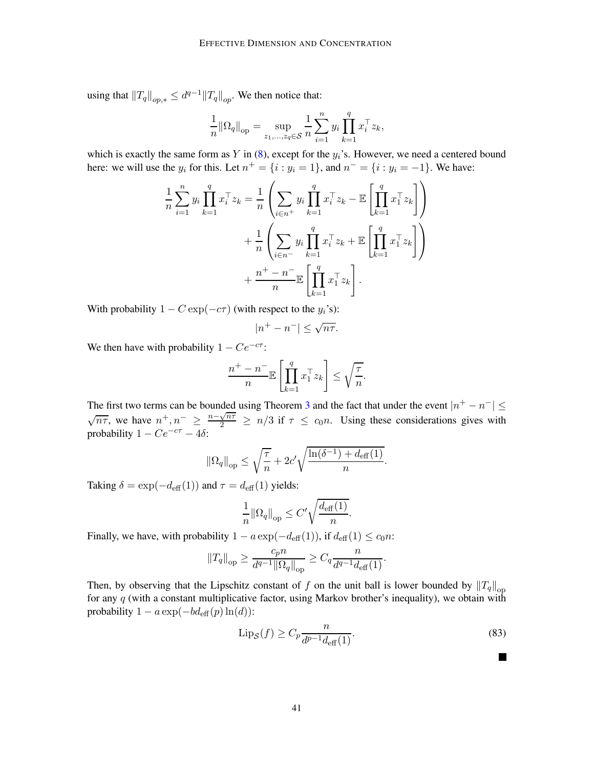using that  $||T_q||_{op,*} \leq d^{q-1} ||T_q||_{op}.$  We then notice that:

$$
\frac{1}{n} \|\Omega_q\|_{\text{op}} = \sup_{z_1,\ldots,z_q \in \mathcal{S}} \frac{1}{n} \sum_{i=1}^n y_i \prod_{k=1}^q x_i^{\top} z_k,
$$

which is exactly the same form as  $Y$  in [\(8\)](#page-3-8), except for the  $y_i$ 's. However, we need a centered bound here: we will use the  $y_i$  for this. Let  $n^+ = \{i : y_i = 1\}$ , and  $n^- = \{i : y_i = -1\}$ . We have:

$$
\frac{1}{n}\sum_{i=1}^{n}y_{i}\prod_{k=1}^{q}x_{i}^{\top}z_{k} = \frac{1}{n}\left(\sum_{i\in n^{+}}y_{i}\prod_{k=1}^{q}x_{i}^{\top}z_{k} - \mathbb{E}\left[\prod_{k=1}^{q}x_{1}^{\top}z_{k}\right]\right) \n+ \frac{1}{n}\left(\sum_{i\in n^{-}}y_{i}\prod_{k=1}^{q}x_{i}^{\top}z_{k} + \mathbb{E}\left[\prod_{k=1}^{q}x_{1}^{\top}z_{k}\right]\right) \n+ \frac{n^{+}-n^{-}}{n}\mathbb{E}\left[\prod_{k=1}^{q}x_{1}^{\top}z_{k}\right].
$$

With probability  $1 - C \exp(-c\tau)$  (with respect to the  $y_i$ 's):

$$
|n^+ - n^-| \le \sqrt{n\tau}.
$$

We then have with probability  $1 - Ce^{-c\tau}$ :

$$
\frac{n^+ - n^-}{n} \mathbb{E}\left[\prod_{k=1}^q x_1^\top z_k\right] \le \sqrt{\frac{\tau}{n}}.
$$

The first two terms can be bounded using Theorem [3](#page-5-1) and the fact that under the event  $|n^+ - n^-| \le$  $\sqrt{n\tau}$ , we have  $n^+, n^- \geq \frac{n-\sqrt{n\tau}}{2} \geq n/3$  if  $\tau \leq c_0 n$ . Using these considerations gives with probability  $1 - Ce^{-c\tau} - 4\delta$ :

$$
\left\|\Omega_q\right\|_{\text{op}} \leq \sqrt{\frac{\tau}{n}} + 2c'\sqrt{\frac{\ln(\delta^{-1}) + d_{\text{eff}}(1)}{n}}.
$$

Taking  $\delta = \exp(-d_{\text{eff}}(1))$  and  $\tau = d_{\text{eff}}(1)$  yields:

$$
\frac{1}{n} \|\Omega_q\|_{\text{op}} \le C' \sqrt{\frac{d_{\text{eff}}(1)}{n}}.
$$

Finally, we have, with probability  $1 - a \exp(-d_{\text{eff}}(1))$ , if  $d_{\text{eff}}(1) \leq c_0 n$ :

$$
||T_q||_{\text{op}} \ge \frac{c_p n}{d^{q-1} ||\Omega_q||_{\text{op}}} \ge C_q \frac{n}{d^{q-1} d_{\text{eff}}(1)}.
$$

<span id="page-40-0"></span>Then, by observing that the Lipschitz constant of f on the unit ball is lower bounded by  $||T_q||_{op}$ for any  $q$  (with a constant multiplicative factor, using Markov brother's inequality), we obtain with probability  $1 - a \exp(-b d_{\text{eff}}(p) \ln(d))$ :

$$
\operatorname{Lip}_{\mathcal{S}}(f) \ge C_p \frac{n}{d^{p-1} d_{\text{eff}}(1)}.\tag{83}
$$

I II